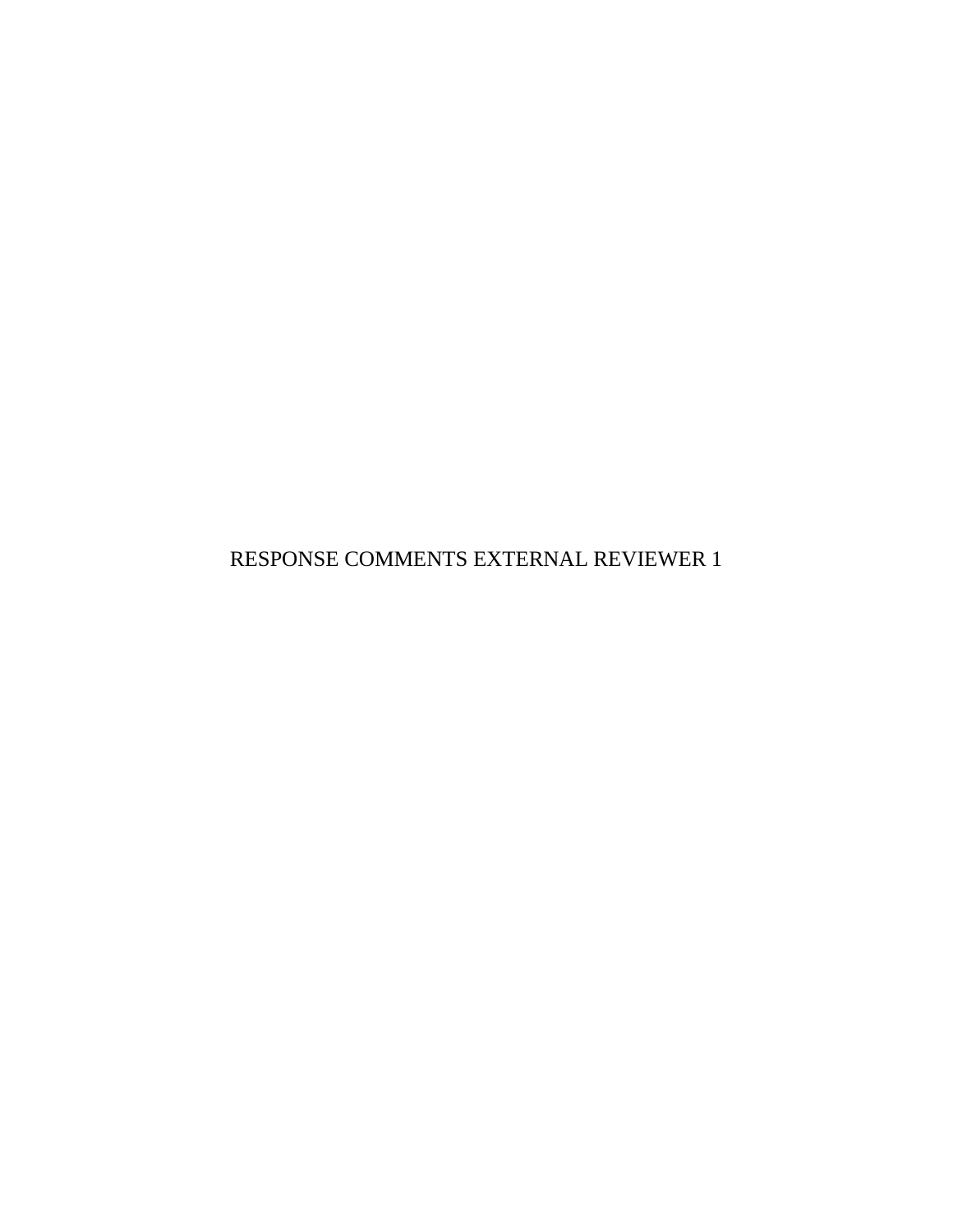RESPONSE COMMENTS EXTERNAL REVIEWER 1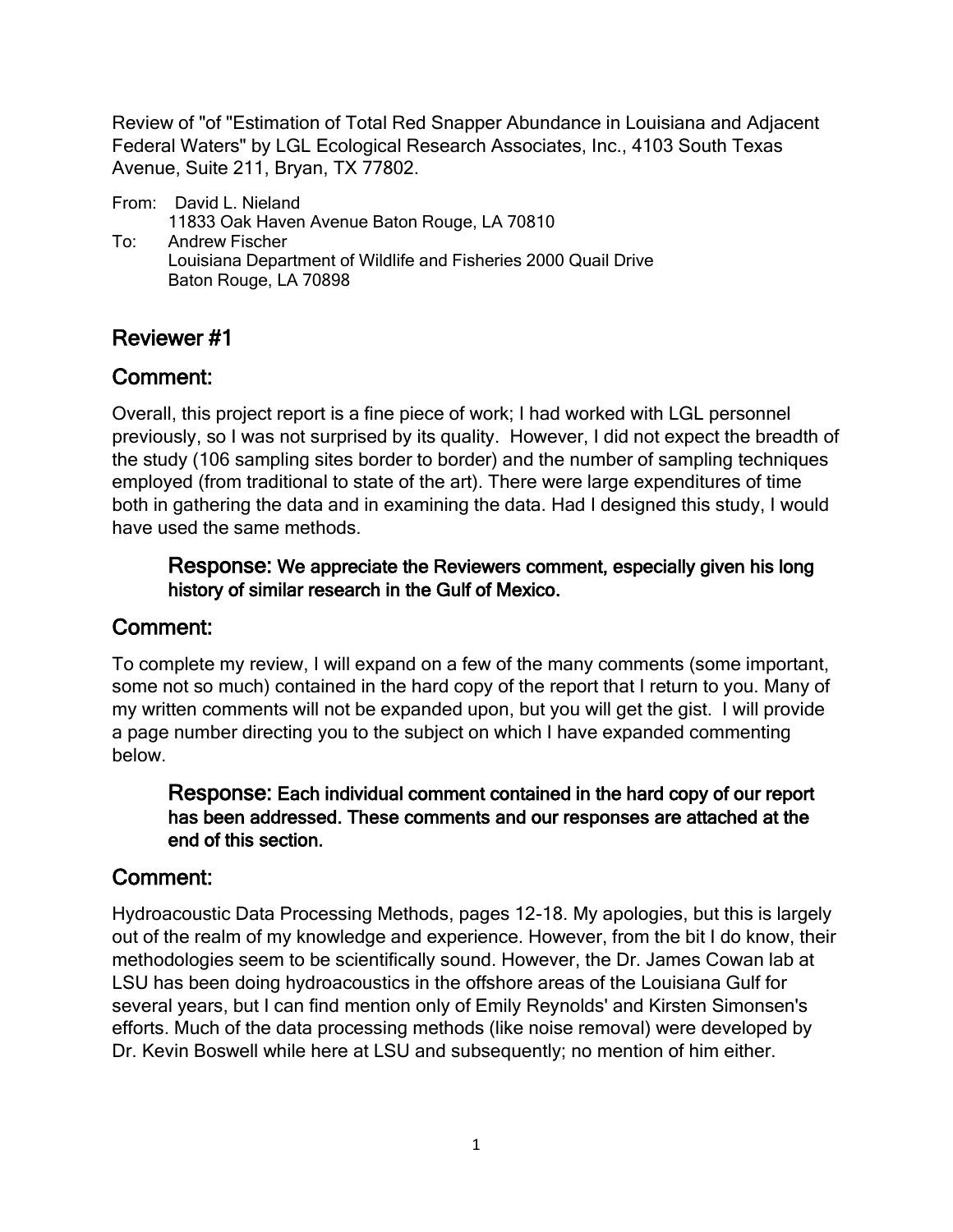Review of "of "Estimation of Total Red Snapper Abundance in Louisiana and Adjacent Federal Waters" by LGL Ecological Research Associates, Inc., 4103 South Texas Avenue, Suite 211, Bryan, TX 77802.

From: David L. Nieland 11833 Oak Haven Avenue Baton Rouge, LA 70810 To: Andrew Fischer Louisiana Department of Wildlife and Fisheries 2000 Quail Drive Baton Rouge, LA 70898

# Reviewer #1

# Comment:

Overall, this project report is a fine piece of work; I had worked with LGL personnel previously, so I was not surprised by its quality. However, I did not expect the breadth of the study (106 sampling sites border to border) and the number of sampling techniques employed (from traditional to state of the art). There were large expenditures of time both in gathering the data and in examining the data. Had I designed this study, I would have used the same methods.

### Response: We appreciate the Reviewers comment, especially given his long history of similar research in the Gulf of Mexico.

## Comment:

To complete my review, I will expand on a few of the many comments (some important, some not so much) contained in the hard copy of the report that I return to you. Many of my written comments will not be expanded upon, but you will get the gist. I will provide a page number directing you to the subject on which I have expanded commenting below.

#### Response: Each individual comment contained in the hard copy of our report has been addressed. These comments and our responses are attached at the end of this section.

## Comment:

Hydroacoustic Data Processing Methods, pages 12-18. My apologies, but this is largely out of the realm of my knowledge and experience. However, from the bit I do know, their methodologies seem to be scientifically sound. However, the Dr. James Cowan lab at LSU has been doing hydroacoustics in the offshore areas of the Louisiana Gulf for several years, but I can find mention only of Emily Reynolds' and Kirsten Simonsen's efforts. Much of the data processing methods (like noise removal) were developed by Dr. Kevin Boswell while here at LSU and subsequently; no mention of him either.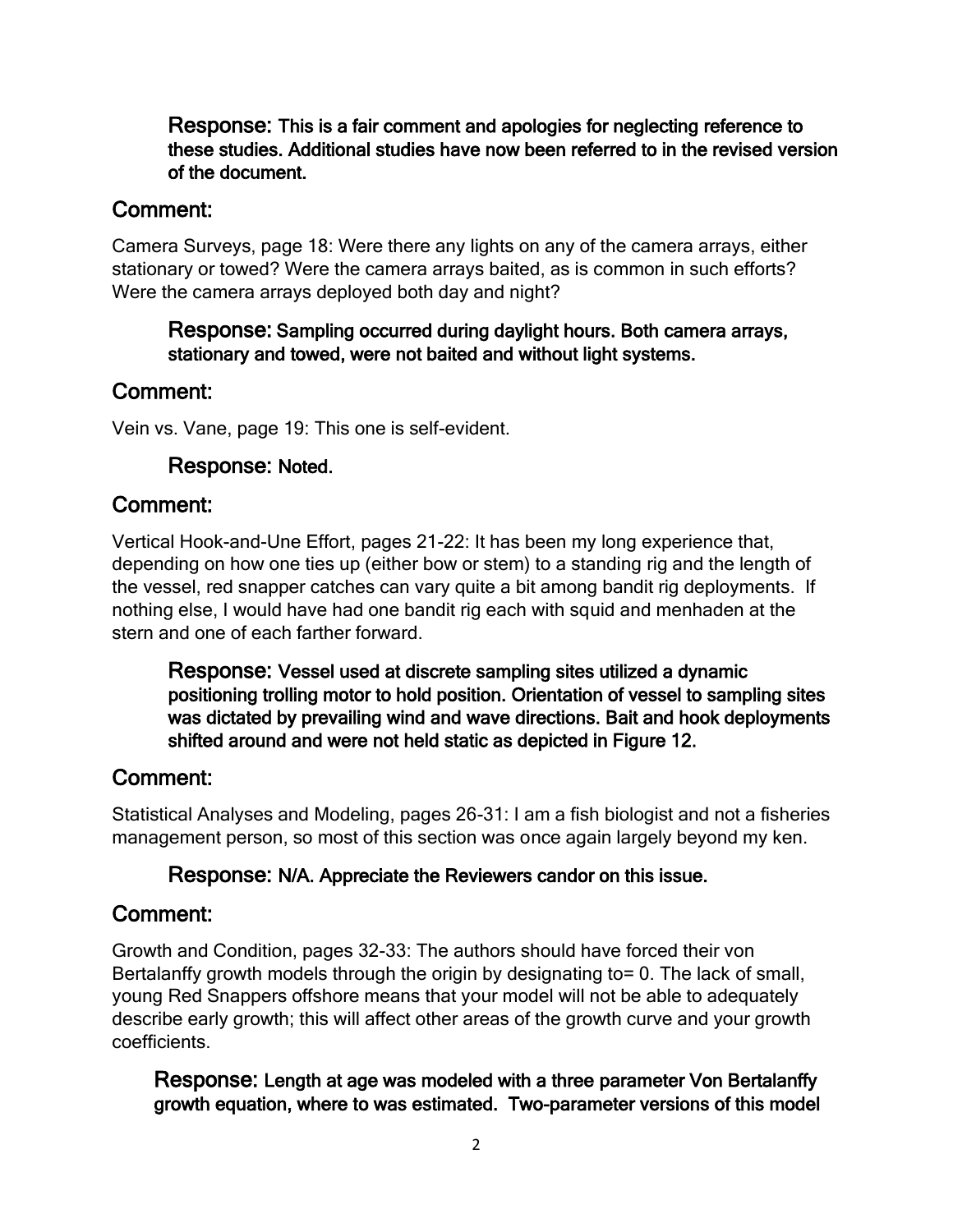Response: This is a fair comment and apologies for neglecting reference to these studies. Additional studies have now been referred to in the revised version of the document.

### Comment:

Camera Surveys, page 18: Were there any lights on any of the camera arrays, either stationary or towed? Were the camera arrays baited, as is common in such efforts? Were the camera arrays deployed both day and night?

### Response: Sampling occurred during daylight hours. Both camera arrays, stationary and towed, were not baited and without light systems.

## Comment:

Vein vs. Vane, page 19: This one is self-evident.

### Response: Noted.

## Comment:

Vertical Hook-and-Une Effort, pages 21-22: It has been my long experience that, depending on how one ties up (either bow or stem) to a standing rig and the length of the vessel, red snapper catches can vary quite a bit among bandit rig deployments. If nothing else, I would have had one bandit rig each with squid and menhaden at the stern and one of each farther forward.

Response: Vessel used at discrete sampling sites utilized a dynamic positioning trolling motor to hold position. Orientation of vessel to sampling sites was dictated by prevailing wind and wave directions. Bait and hook deployments shifted around and were not held static as depicted in Figure 12.

## Comment:

Statistical Analyses and Modeling, pages 26-31: I am a fish biologist and not a fisheries management person, so most of this section was once again largely beyond my ken.

#### Response: N/A. Appreciate the Reviewers candor on this issue.

## Comment:

Growth and Condition, pages 32-33: The authors should have forced their von Bertalanffy growth models through the origin by designating to= 0. The lack of small, young Red Snappers offshore means that your model will not be able to adequately describe early growth; this will affect other areas of the growth curve and your growth coefficients.

Response: Length at age was modeled with a three parameter Von Bertalanffy growth equation, where to was estimated. Two-parameter versions of this model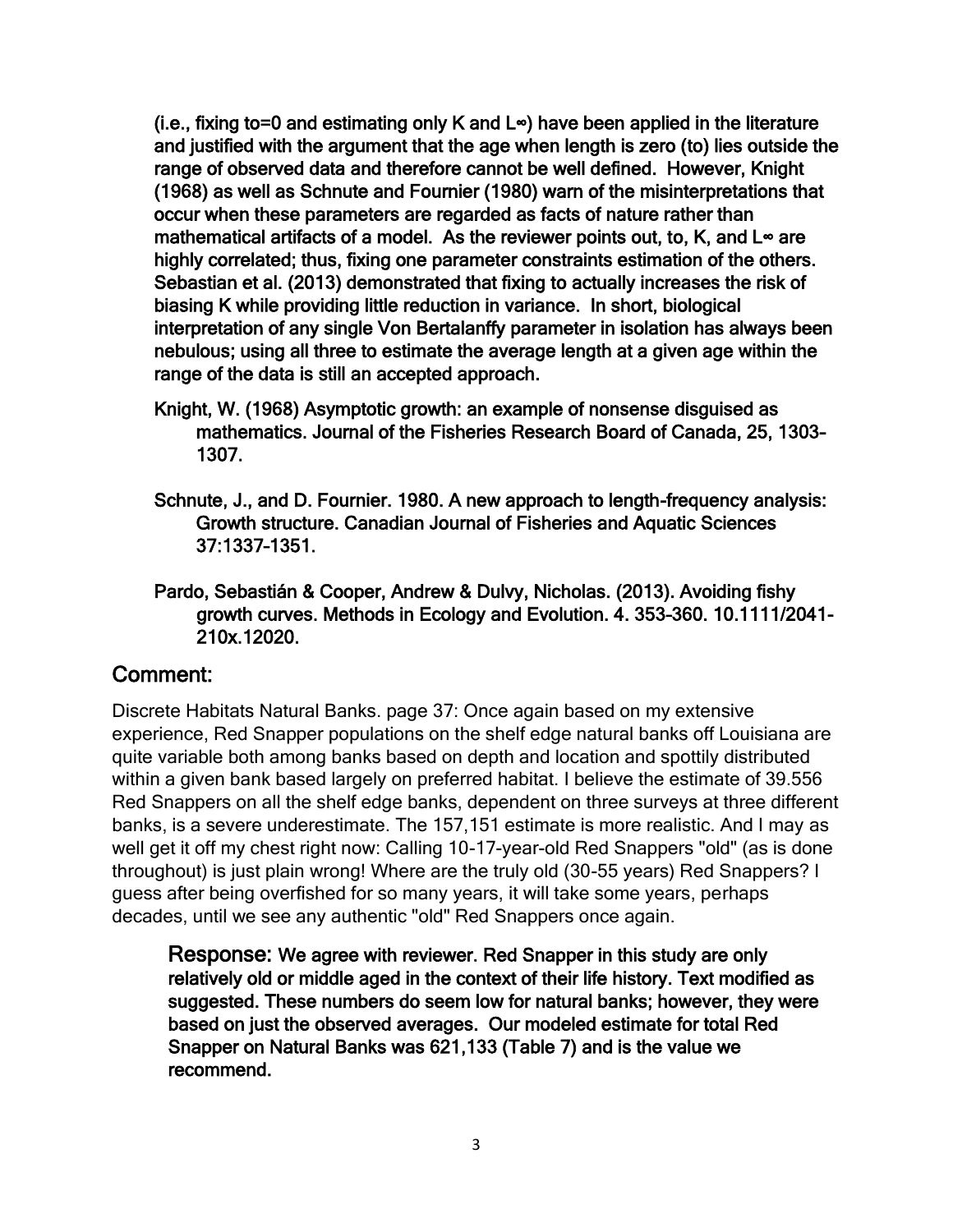(i.e., fixing to=0 and estimating only K and L∞) have been applied in the literature and justified with the argument that the age when length is zero (to) lies outside the range of observed data and therefore cannot be well defined. However, Knight (1968) as well as Schnute and Fournier (1980) warn of the misinterpretations that occur when these parameters are regarded as facts of nature rather than mathematical artifacts of a model. As the reviewer points out, to, K, and L∞ are highly correlated; thus, fixing one parameter constraints estimation of the others. Sebastian et al. (2013) demonstrated that fixing to actually increases the risk of biasing K while providing little reduction in variance. In short, biological interpretation of any single Von Bertalanffy parameter in isolation has always been nebulous; using all three to estimate the average length at a given age within the range of the data is still an accepted approach.

- Knight, W. (1968) Asymptotic growth: an example of nonsense disguised as mathematics. Journal of the Fisheries Research Board of Canada, 25, 1303– 1307.
- Schnute, J., and D. Fournier. 1980. A new approach to length-frequency analysis: Growth structure. Canadian Journal of Fisheries and Aquatic Sciences 37:1337–1351.
- Pardo, Sebastián & Cooper, Andrew & Dulvy, Nicholas. (2013). Avoiding fishy growth curves. Methods in Ecology and Evolution. 4. 353–360. 10.1111/2041- 210x.12020.

## Comment:

Discrete Habitats Natural Banks. page 37: Once again based on my extensive experience, Red Snapper populations on the shelf edge natural banks off Louisiana are quite variable both among banks based on depth and location and spottily distributed within a given bank based largely on preferred habitat. I believe the estimate of 39.556 Red Snappers on all the shelf edge banks, dependent on three surveys at three different banks, is a severe underestimate. The 157,151 estimate is more realistic. And I may as well get it off my chest right now: Calling 10-17-year-old Red Snappers "old" (as is done throughout) is just plain wrong! Where are the truly old (30-55 years) Red Snappers? I guess after being overfished for so many years, it will take some years, perhaps decades, until we see any authentic "old" Red Snappers once again.

Response: We agree with reviewer. Red Snapper in this study are only relatively old or middle aged in the context of their life history. Text modified as suggested. These numbers do seem low for natural banks; however, they were based on just the observed averages. Our modeled estimate for total Red Snapper on Natural Banks was 621,133 (Table 7) and is the value we recommend.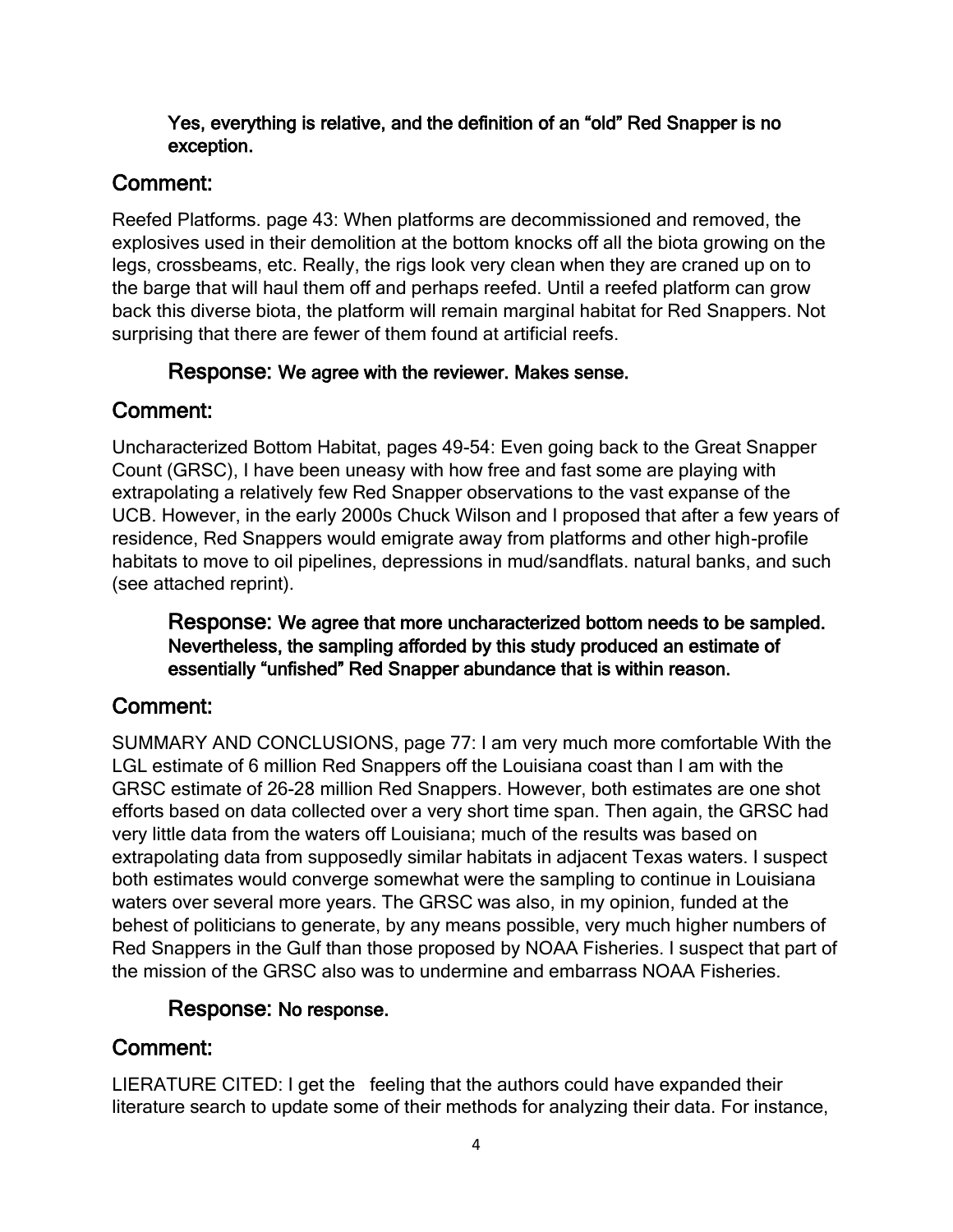### Yes, everything is relative, and the definition of an "old" Red Snapper is no exception.

# Comment:

Reefed Platforms. page 43: When platforms are decommissioned and removed, the explosives used in their demolition at the bottom knocks off all the biota growing on the legs, crossbeams, etc. Really, the rigs look very clean when they are craned up on to the barge that will haul them off and perhaps reefed. Until a reefed platform can grow back this diverse biota, the platform will remain marginal habitat for Red Snappers. Not surprising that there are fewer of them found at artificial reefs.

## Response: We agree with the reviewer. Makes sense.

# Comment:

Uncharacterized Bottom Habitat, pages 49-54: Even going back to the Great Snapper Count (GRSC), I have been uneasy with how free and fast some are playing with extrapolating a relatively few Red Snapper observations to the vast expanse of the UCB. However, in the early 2000s Chuck Wilson and I proposed that after a few years of residence, Red Snappers would emigrate away from platforms and other high-profile habitats to move to oil pipelines, depressions in mud/sandflats. natural banks, and such (see attached reprint).

Response: We agree that more uncharacterized bottom needs to be sampled. Nevertheless, the sampling afforded by this study produced an estimate of essentially "unfished" Red Snapper abundance that is within reason.

# Comment:

SUMMARY AND CONCLUSIONS, page 77: I am very much more comfortable With the LGL estimate of 6 million Red Snappers off the Louisiana coast than I am with the GRSC estimate of 26-28 million Red Snappers. However, both estimates are one shot efforts based on data collected over a very short time span. Then again, the GRSC had very little data from the waters off Louisiana; much of the results was based on extrapolating data from supposedly similar habitats in adjacent Texas waters. I suspect both estimates would converge somewhat were the sampling to continue in Louisiana waters over several more years. The GRSC was also, in my opinion, funded at the behest of politicians to generate, by any means possible, very much higher numbers of Red Snappers in the Gulf than those proposed by NOAA Fisheries. I suspect that part of the mission of the GRSC also was to undermine and embarrass NOAA Fisheries.

# Response: No response.

# Comment:

LIERATURE CITED: I get the feeling that the authors could have expanded their literature search to update some of their methods for analyzing their data. For instance,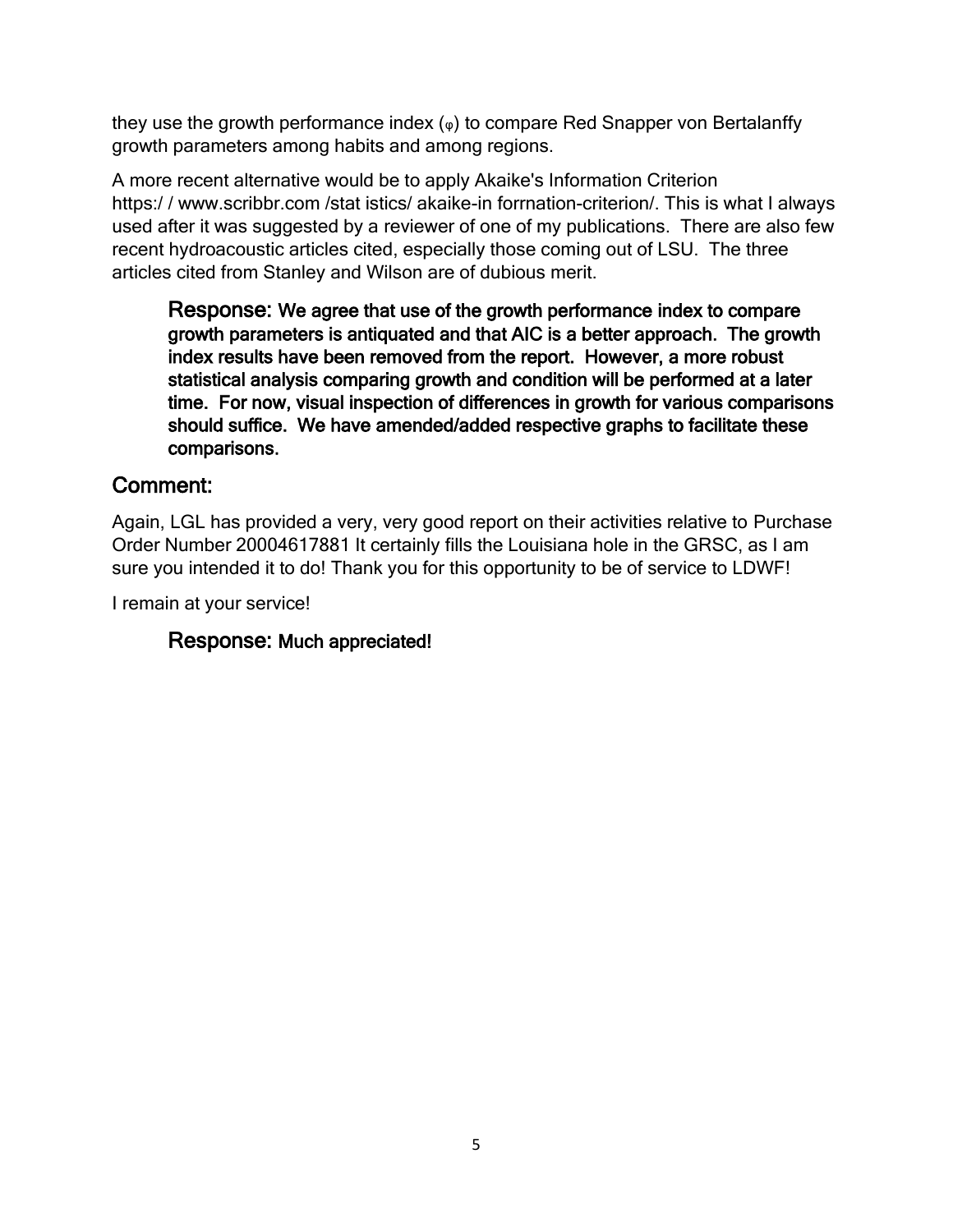they use the growth performance index  $(\varphi)$  to compare Red Snapper von Bertalanffy growth parameters among habits and among regions.

A more recent alternative would be to apply Akaike's Information Criterion https:/ / www.scribbr.com /stat istics/ akaike-in forrnation-criterion/. This is what I always used after it was suggested by a reviewer of one of my publications. There are also few recent hydroacoustic articles cited, especially those coming out of LSU. The three articles cited from Stanley and Wilson are of dubious merit.

Response: We agree that use of the growth performance index to compare growth parameters is antiquated and that AIC is a better approach. The growth index results have been removed from the report. However, a more robust statistical analysis comparing growth and condition will be performed at a later time. For now, visual inspection of differences in growth for various comparisons should suffice. We have amended/added respective graphs to facilitate these comparisons.

## Comment:

Again, LGL has provided a very, very good report on their activities relative to Purchase Order Number 20004617881 It certainly fills the Louisiana hole in the GRSC, as I am sure you intended it to do! Thank you for this opportunity to be of service to LDWF!

I remain at your service!

## Response: Much appreciated!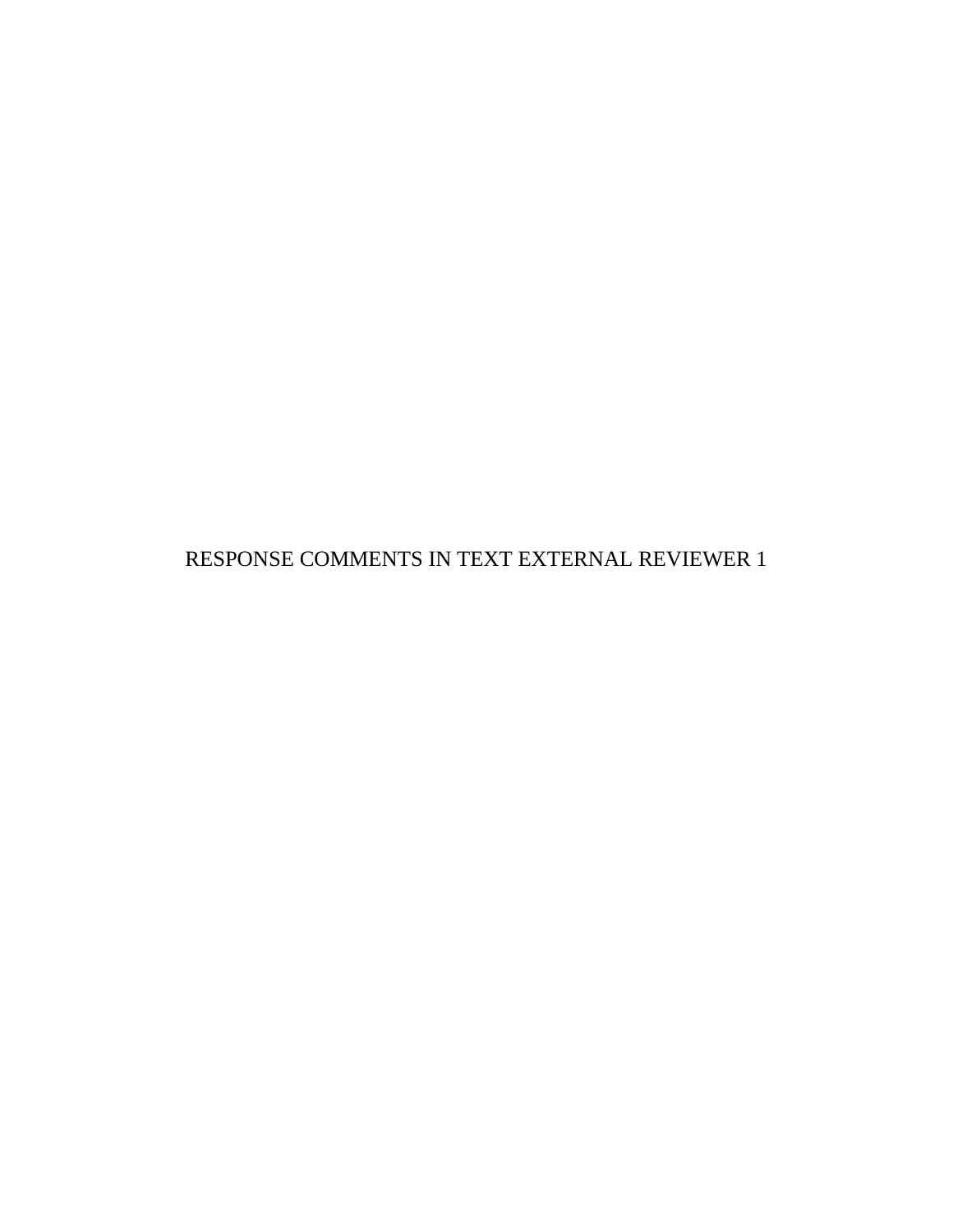RESPONSE COMMENTS IN TEXT EXTERNAL REVIEWER 1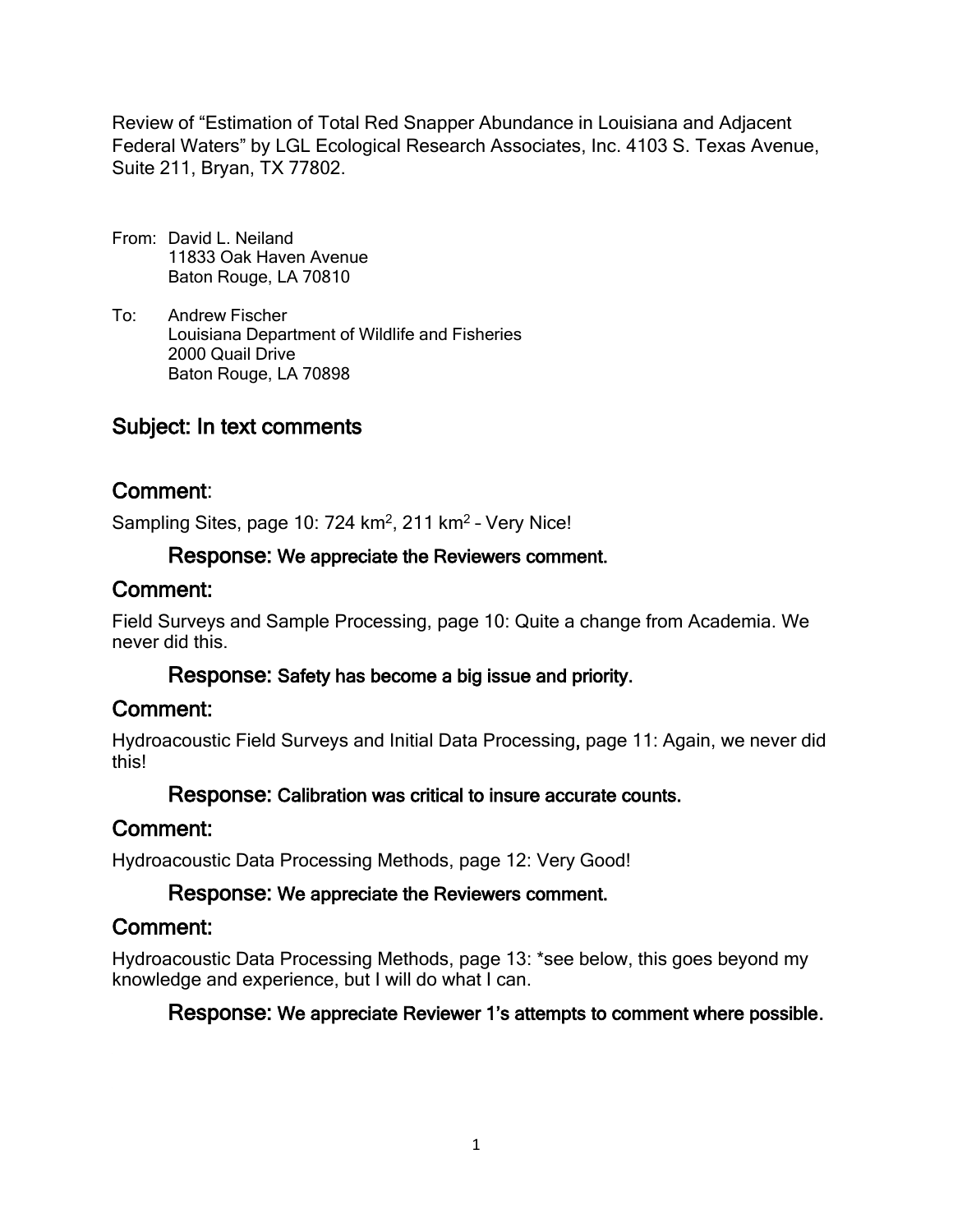Review of "Estimation of Total Red Snapper Abundance in Louisiana and Adjacent Federal Waters" by LGL Ecological Research Associates, Inc. 4103 S. Texas Avenue, Suite 211, Bryan, TX 77802.

- From: David L. Neiland 11833 Oak Haven Avenue Baton Rouge, LA 70810
- To: Andrew Fischer Louisiana Department of Wildlife and Fisheries 2000 Quail Drive Baton Rouge, LA 70898

# Subject: In text comments

## Comment:

Sampling Sites, page 10: 724 km<sup>2</sup>, 211 km<sup>2</sup> - Very Nice!

### Response: We appreciate the Reviewers comment.

## Comment:

Field Surveys and Sample Processing, page 10: Quite a change from Academia. We never did this.

## Response: Safety has become a big issue and priority.

## Comment:

Hydroacoustic Field Surveys and Initial Data Processing, page 11: Again, we never did this!

## Response: Calibration was critical to insure accurate counts.

## Comment:

Hydroacoustic Data Processing Methods, page 12: Very Good!

## Response: We appreciate the Reviewers comment.

## Comment:

Hydroacoustic Data Processing Methods, page 13: \*see below, this goes beyond my knowledge and experience, but I will do what I can.

## Response: We appreciate Reviewer 1's attempts to comment where possible.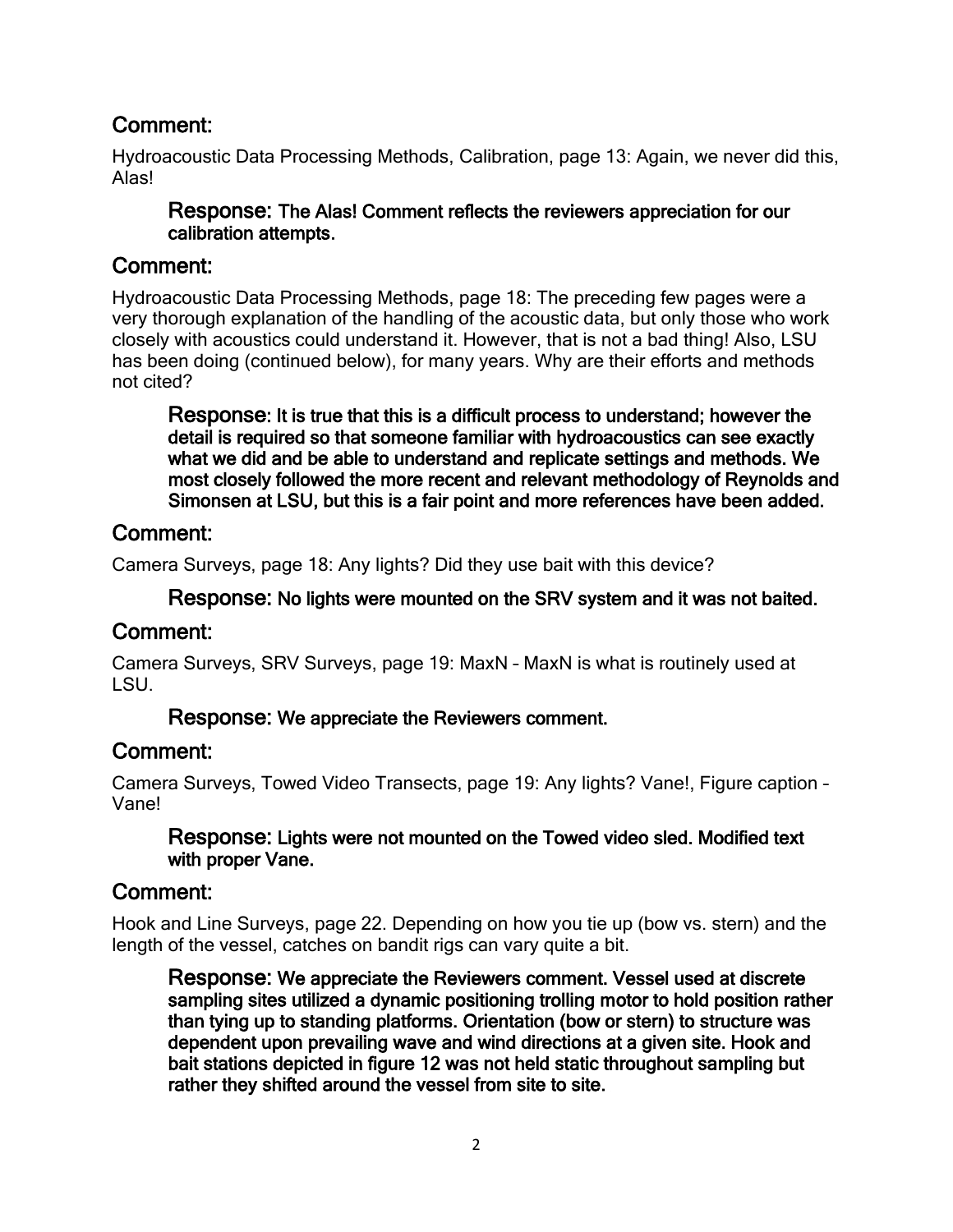Hydroacoustic Data Processing Methods, Calibration, page 13: Again, we never did this, Alas!

#### Response: The Alas! Comment reflects the reviewers appreciation for our calibration attempts.

## Comment:

Hydroacoustic Data Processing Methods, page 18: The preceding few pages were a very thorough explanation of the handling of the acoustic data, but only those who work closely with acoustics could understand it. However, that is not a bad thing! Also, LSU has been doing (continued below), for many years. Why are their efforts and methods not cited?

Response: It is true that this is a difficult process to understand; however the detail is required so that someone familiar with hydroacoustics can see exactly what we did and be able to understand and replicate settings and methods. We most closely followed the more recent and relevant methodology of Reynolds and Simonsen at LSU, but this is a fair point and more references have been added.

## Comment:

Camera Surveys, page 18: Any lights? Did they use bait with this device?

#### Response: No lights were mounted on the SRV system and it was not baited.

## Comment:

Camera Surveys, SRV Surveys, page 19: MaxN – MaxN is what is routinely used at LSU.

#### Response: We appreciate the Reviewers comment.

## Comment:

Camera Surveys, Towed Video Transects, page 19: Any lights? Vane!, Figure caption – Vane!

#### Response: Lights were not mounted on the Towed video sled. Modified text with proper Vane.

## Comment:

Hook and Line Surveys, page 22. Depending on how you tie up (bow vs. stern) and the length of the vessel, catches on bandit rigs can vary quite a bit.

Response: We appreciate the Reviewers comment. Vessel used at discrete sampling sites utilized a dynamic positioning trolling motor to hold position rather than tying up to standing platforms. Orientation (bow or stern) to structure was dependent upon prevailing wave and wind directions at a given site. Hook and bait stations depicted in figure 12 was not held static throughout sampling but rather they shifted around the vessel from site to site.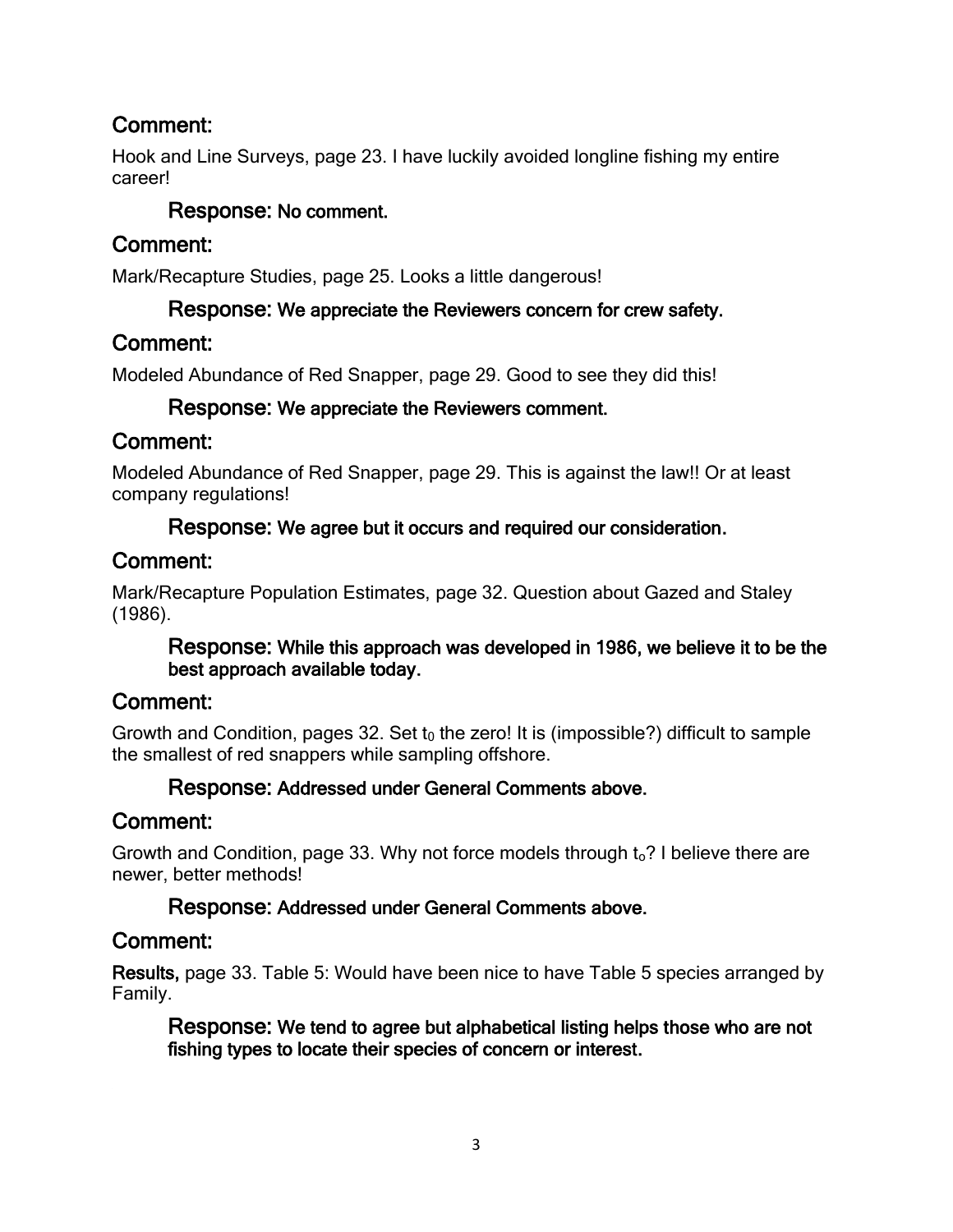Hook and Line Surveys, page 23. I have luckily avoided longline fishing my entire career!

## Response: No comment.

## Comment:

Mark/Recapture Studies, page 25. Looks a little dangerous!

## Response: We appreciate the Reviewers concern for crew safety.

## Comment:

Modeled Abundance of Red Snapper, page 29. Good to see they did this!

## Response: We appreciate the Reviewers comment.

## Comment:

Modeled Abundance of Red Snapper, page 29. This is against the law!! Or at least company regulations!

## Response: We agree but it occurs and required our consideration.

## Comment:

Mark/Recapture Population Estimates, page 32. Question about Gazed and Staley (1986).

#### Response: While this approach was developed in 1986, we believe it to be the best approach available today.

# Comment:

Growth and Condition, pages 32. Set  $t_0$  the zero! It is (impossible?) difficult to sample the smallest of red snappers while sampling offshore.

## Response: Addressed under General Comments above.

## Comment:

Growth and Condition, page 33. Why not force models through  $t_0$ ? I believe there are newer, better methods!

## Response: Addressed under General Comments above.

# Comment:

Results, page 33. Table 5: Would have been nice to have Table 5 species arranged by Family.

Response: We tend to agree but alphabetical listing helps those who are not fishing types to locate their species of concern or interest.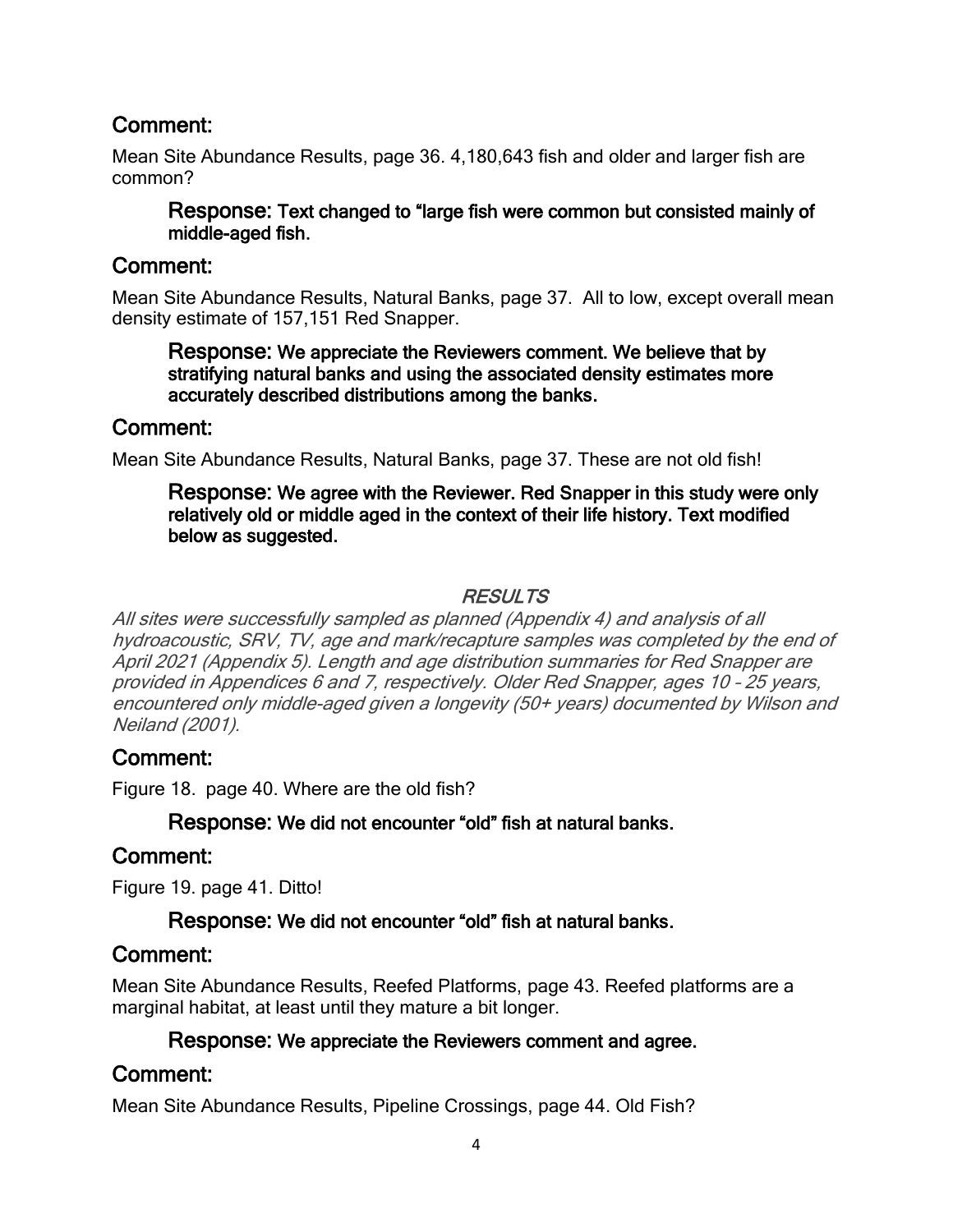Mean Site Abundance Results, page 36. 4,180,643 fish and older and larger fish are common?

#### Response: Text changed to "large fish were common but consisted mainly of middle-aged fish.

## Comment:

Mean Site Abundance Results, Natural Banks, page 37. All to low, except overall mean density estimate of 157,151 Red Snapper.

#### Response: We appreciate the Reviewers comment. We believe that by stratifying natural banks and using the associated density estimates more accurately described distributions among the banks.

## Comment:

Mean Site Abundance Results, Natural Banks, page 37. These are not old fish!

#### Response: We agree with the Reviewer. Red Snapper in this study were only relatively old or middle aged in the context of their life history. Text modified below as suggested.

## RESULTS

All sites were successfully sampled as planned (Appendix 4) and analysis of all hydroacoustic, SRV, TV, age and mark/recapture samples was completed by the end of April 2021 (Appendix 5). Length and age distribution summaries for Red Snapper are provided in Appendices 6 and 7, respectively. Older Red Snapper, ages 10 – 25 years, encountered only middle-aged given a longevity (50+ years) documented by Wilson and Neiland (2001).

# Comment:

Figure 18. page 40. Where are the old fish?

## Response: We did not encounter "old" fish at natural banks.

## Comment:

Figure 19. page 41. Ditto!

## Response: We did not encounter "old" fish at natural banks.

## Comment:

Mean Site Abundance Results, Reefed Platforms, page 43. Reefed platforms are a marginal habitat, at least until they mature a bit longer.

## Response: We appreciate the Reviewers comment and agree.

## Comment:

Mean Site Abundance Results, Pipeline Crossings, page 44. Old Fish?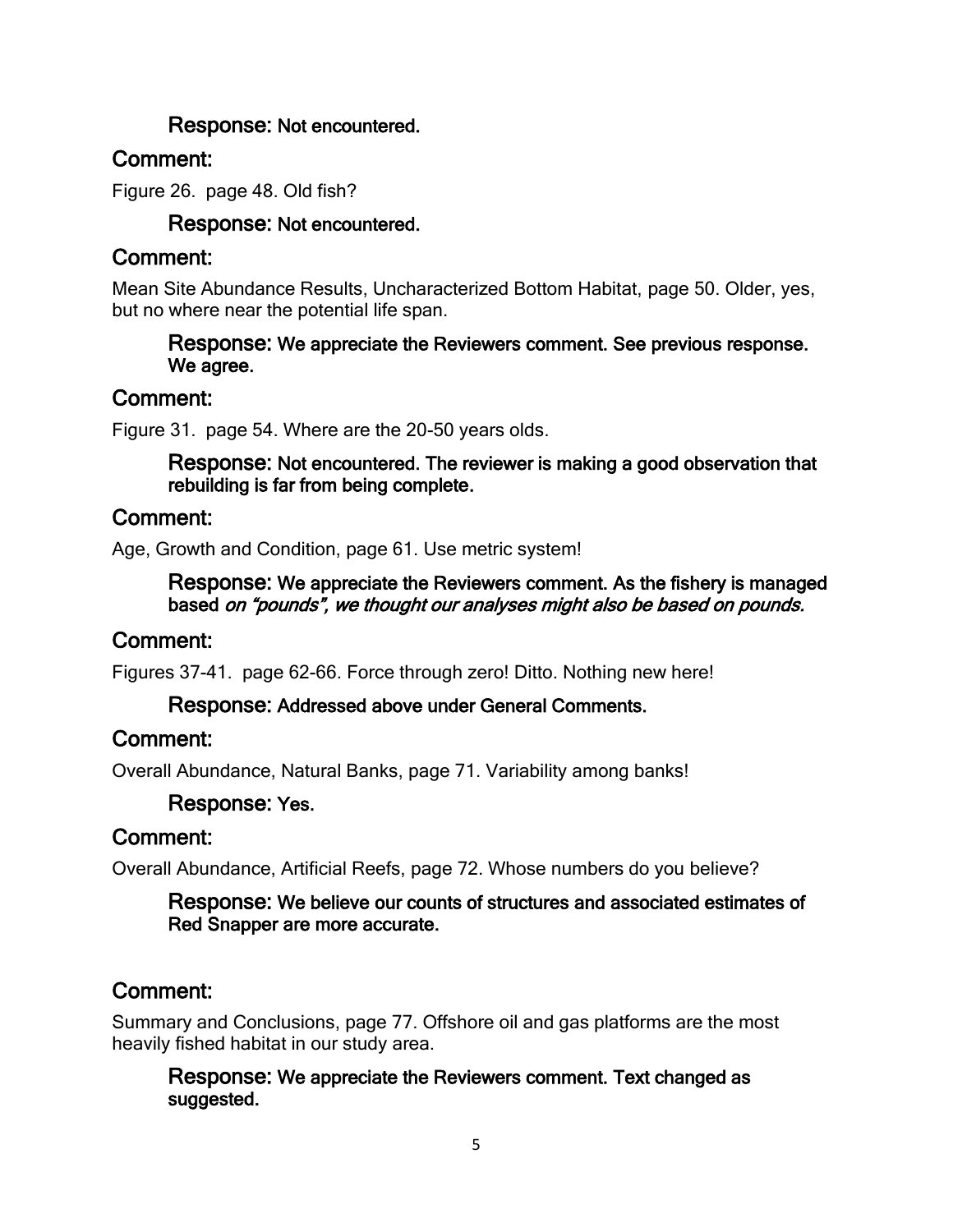## Response: Not encountered.

## Comment:

Figure 26. page 48. Old fish?

### Response: Not encountered.

## Comment:

Mean Site Abundance Results, Uncharacterized Bottom Habitat, page 50. Older, yes, but no where near the potential life span.

#### Response: We appreciate the Reviewers comment. See previous response. We agree.

## Comment:

Figure 31. page 54. Where are the 20-50 years olds.

#### Response: Not encountered. The reviewer is making a good observation that rebuilding is far from being complete.

## Comment:

Age, Growth and Condition, page 61. Use metric system!

#### Response: We appreciate the Reviewers comment. As the fishery is managed based on "pounds", we thought our analyses might also be based on pounds.

## Comment:

Figures 37-41. page 62-66. Force through zero! Ditto. Nothing new here!

#### Response: Addressed above under General Comments.

## Comment:

Overall Abundance, Natural Banks, page 71. Variability among banks!

## Response: Yes.

## Comment:

Overall Abundance, Artificial Reefs, page 72. Whose numbers do you believe?

#### Response: We believe our counts of structures and associated estimates of Red Snapper are more accurate.

## Comment:

Summary and Conclusions, page 77. Offshore oil and gas platforms are the most heavily fished habitat in our study area.

#### Response: We appreciate the Reviewers comment. Text changed as suggested.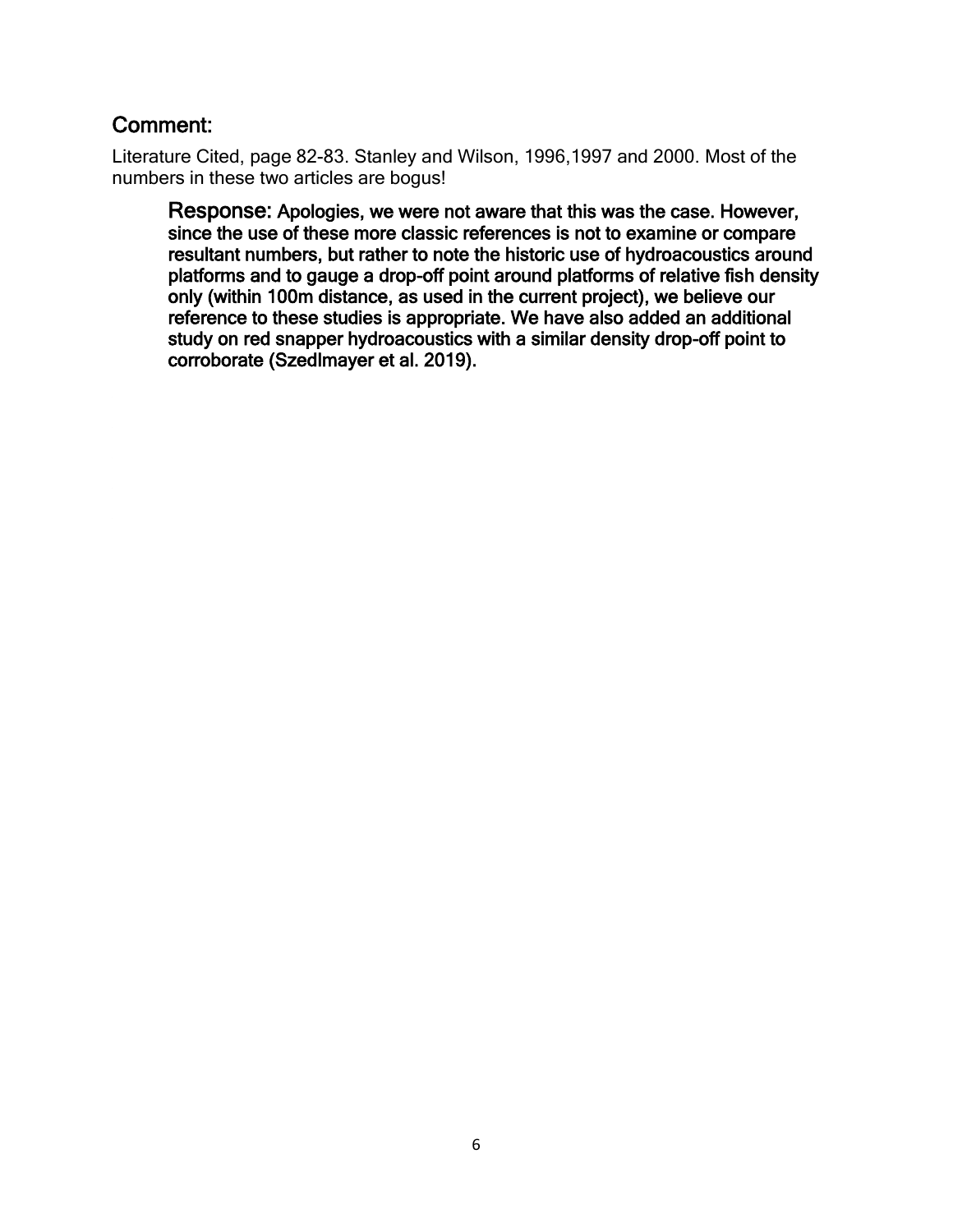Literature Cited, page 82-83. Stanley and Wilson, 1996,1997 and 2000. Most of the numbers in these two articles are bogus!

Response: Apologies, we were not aware that this was the case. However, since the use of these more classic references is not to examine or compare resultant numbers, but rather to note the historic use of hydroacoustics around platforms and to gauge a drop-off point around platforms of relative fish density only (within 100m distance, as used in the current project), we believe our reference to these studies is appropriate. We have also added an additional study on red snapper hydroacoustics with a similar density drop-off point to corroborate (Szedlmayer et al. 2019).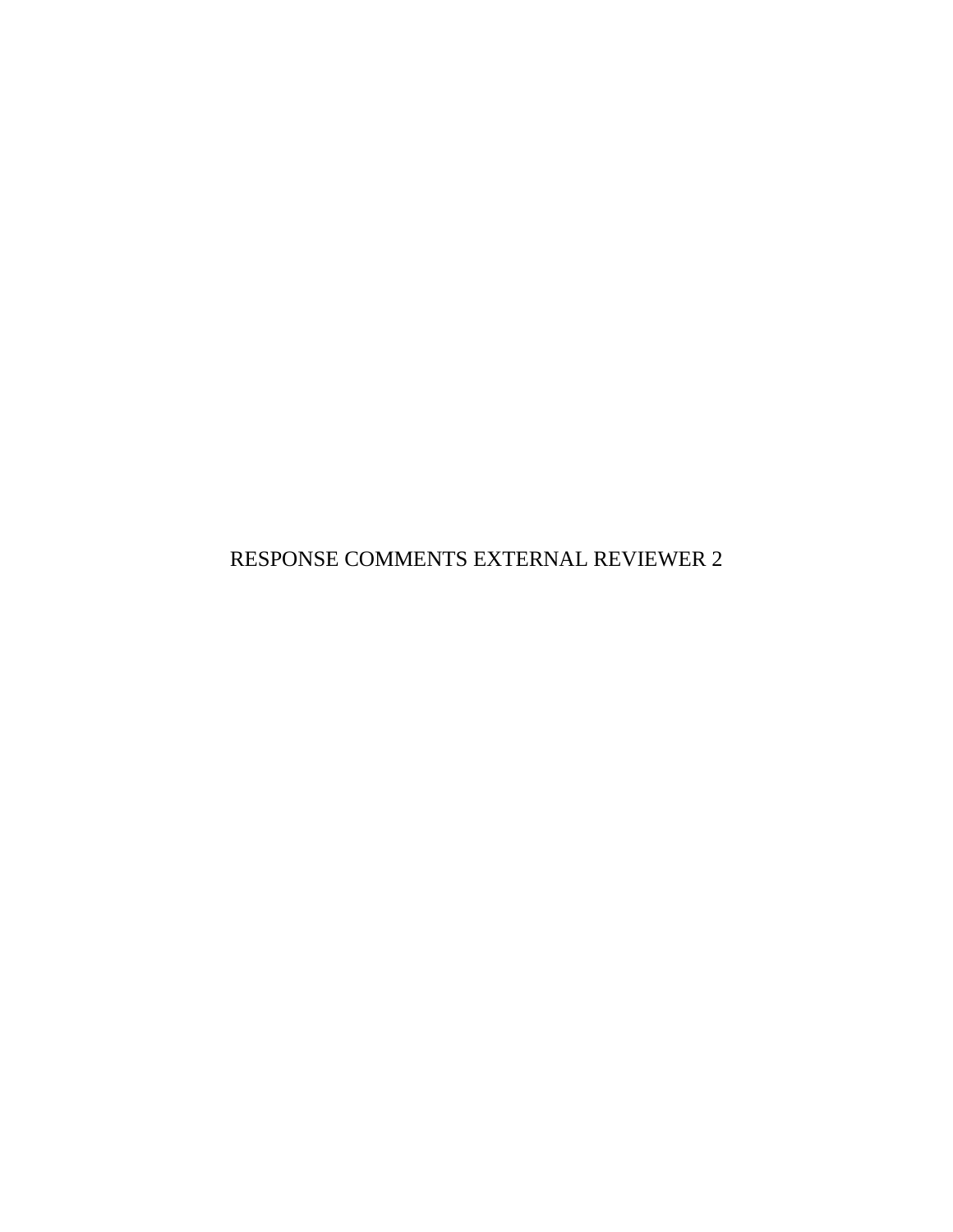RESPONSE COMMENTS EXTERNAL REVIEWER 2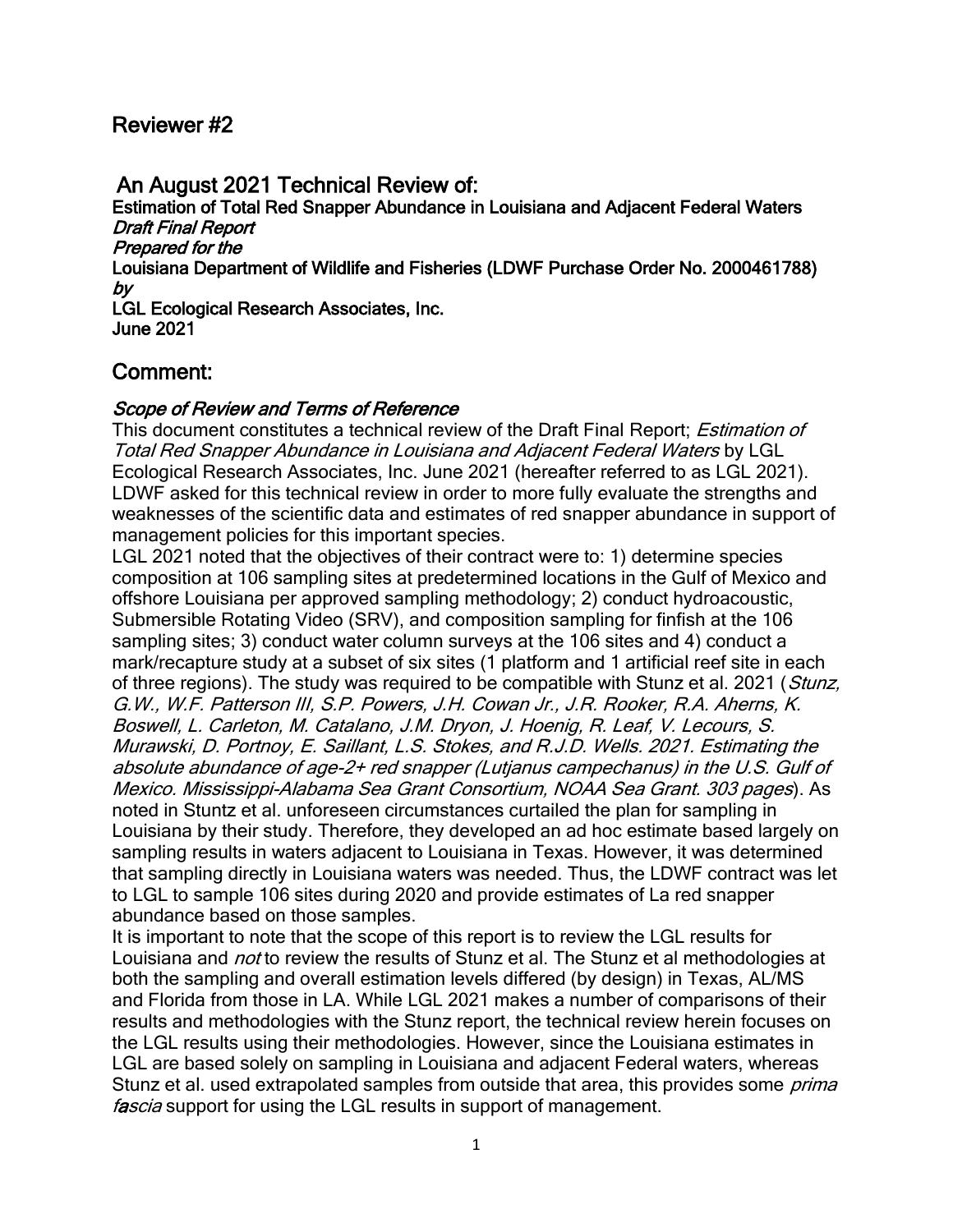### Reviewer #2

# An August 2021 Technical Review of:

Estimation of Total Red Snapper Abundance in Louisiana and Adjacent Federal Waters Draft Final Report Prepared for the Louisiana Department of Wildlife and Fisheries (LDWF Purchase Order No. 2000461788) by LGL Ecological Research Associates, Inc.

June 2021

## Comment:

#### Scope of Review and Terms of Reference

This document constitutes a technical review of the Draft Final Report: *Estimation of* Total Red Snapper Abundance in Louisiana and Adjacent Federal Waters by LGL Ecological Research Associates, Inc. June 2021 (hereafter referred to as LGL 2021). LDWF asked for this technical review in order to more fully evaluate the strengths and weaknesses of the scientific data and estimates of red snapper abundance in support of management policies for this important species.

LGL 2021 noted that the objectives of their contract were to: 1) determine species composition at 106 sampling sites at predetermined locations in the Gulf of Mexico and offshore Louisiana per approved sampling methodology; 2) conduct hydroacoustic, Submersible Rotating Video (SRV), and composition sampling for finfish at the 106 sampling sites; 3) conduct water column surveys at the 106 sites and 4) conduct a mark/recapture study at a subset of six sites (1 platform and 1 artificial reef site in each of three regions). The study was required to be compatible with Stunz et al. 2021 (Stunz, G.W., W.F. Patterson III, S.P. Powers, J.H. Cowan Jr., J.R. Rooker, R.A. Aherns, K. Boswell, L. Carleton, M. Catalano, J.M. Dryon, J. Hoenig, R. Leaf, V. Lecours, S. Murawski, D. Portnoy, E. Saillant, L.S. Stokes, and R.J.D. Wells. 2021. Estimating the absolute abundance of age-2+ red snapper (Lutjanus campechanus) in the U.S. Gulf of Mexico. Mississippi-Alabama Sea Grant Consortium, NOAA Sea Grant. 303 pages). As noted in Stuntz et al. unforeseen circumstances curtailed the plan for sampling in Louisiana by their study. Therefore, they developed an ad hoc estimate based largely on sampling results in waters adjacent to Louisiana in Texas. However, it was determined that sampling directly in Louisiana waters was needed. Thus, the LDWF contract was let to LGL to sample 106 sites during 2020 and provide estimates of La red snapper abundance based on those samples.

It is important to note that the scope of this report is to review the LGL results for Louisiana and *not* to review the results of Stunz et al. The Stunz et al methodologies at both the sampling and overall estimation levels differed (by design) in Texas, AL/MS and Florida from those in LA. While LGL 2021 makes a number of comparisons of their results and methodologies with the Stunz report, the technical review herein focuses on the LGL results using their methodologies. However, since the Louisiana estimates in LGL are based solely on sampling in Louisiana and adjacent Federal waters, whereas Stunz et al. used extrapolated samples from outside that area, this provides some *prima* fascia support for using the LGL results in support of management.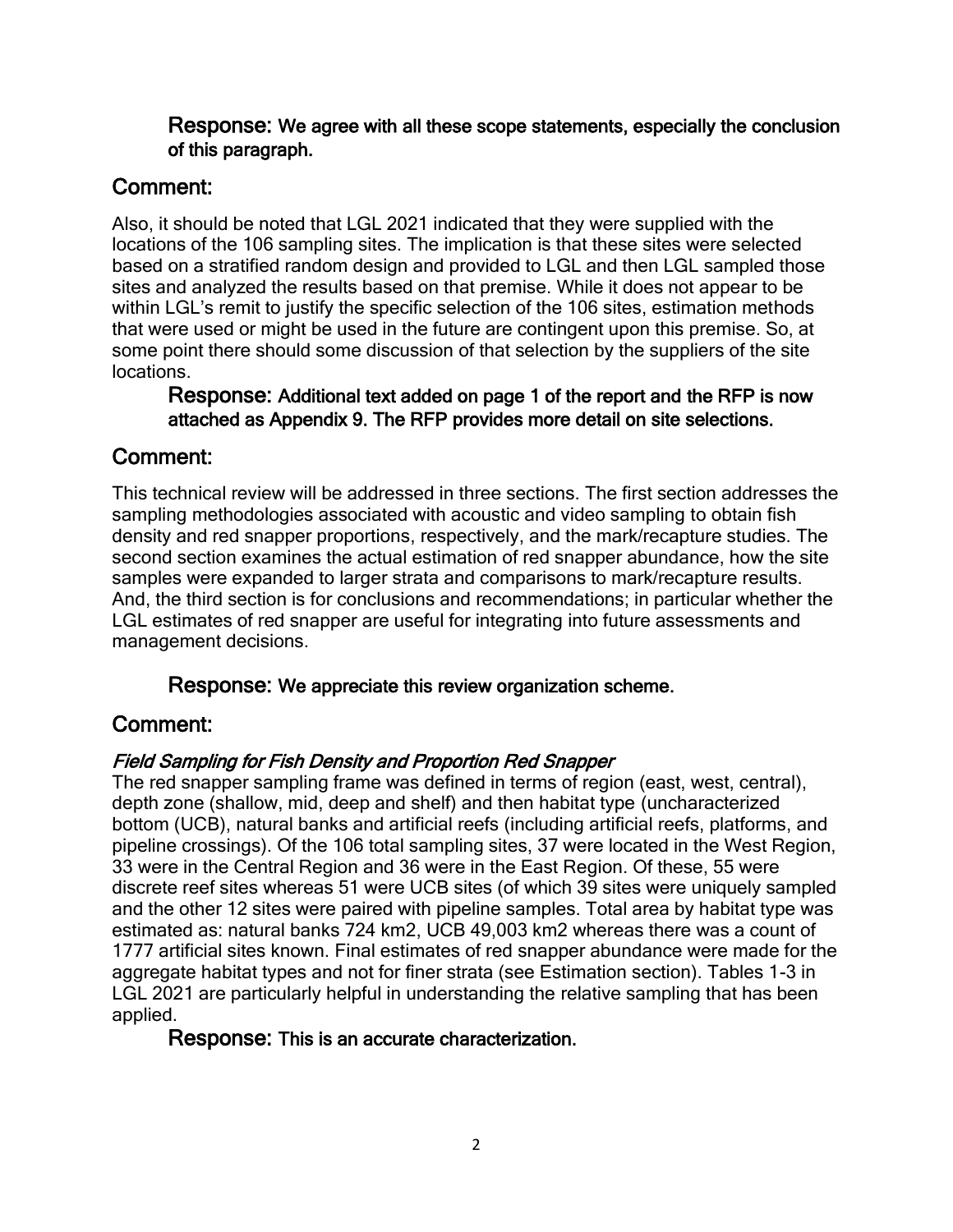### Response: We agree with all these scope statements, especially the conclusion of this paragraph.

# Comment:

Also, it should be noted that LGL 2021 indicated that they were supplied with the locations of the 106 sampling sites. The implication is that these sites were selected based on a stratified random design and provided to LGL and then LGL sampled those sites and analyzed the results based on that premise. While it does not appear to be within LGL's remit to justify the specific selection of the 106 sites, estimation methods that were used or might be used in the future are contingent upon this premise. So, at some point there should some discussion of that selection by the suppliers of the site locations.

#### Response: Additional text added on page 1 of the report and the RFP is now attached as Appendix 9. The RFP provides more detail on site selections.

## Comment:

This technical review will be addressed in three sections. The first section addresses the sampling methodologies associated with acoustic and video sampling to obtain fish density and red snapper proportions, respectively, and the mark/recapture studies. The second section examines the actual estimation of red snapper abundance, how the site samples were expanded to larger strata and comparisons to mark/recapture results. And, the third section is for conclusions and recommendations; in particular whether the LGL estimates of red snapper are useful for integrating into future assessments and management decisions.

Response: We appreciate this review organization scheme.

# Comment:

## Field Sampling for Fish Density and Proportion Red Snapper

The red snapper sampling frame was defined in terms of region (east, west, central), depth zone (shallow, mid, deep and shelf) and then habitat type (uncharacterized bottom (UCB), natural banks and artificial reefs (including artificial reefs, platforms, and pipeline crossings). Of the 106 total sampling sites, 37 were located in the West Region, 33 were in the Central Region and 36 were in the East Region. Of these, 55 were discrete reef sites whereas 51 were UCB sites (of which 39 sites were uniquely sampled and the other 12 sites were paired with pipeline samples. Total area by habitat type was estimated as: natural banks 724 km2, UCB 49,003 km2 whereas there was a count of 1777 artificial sites known. Final estimates of red snapper abundance were made for the aggregate habitat types and not for finer strata (see Estimation section). Tables 1-3 in LGL 2021 are particularly helpful in understanding the relative sampling that has been applied.

## Response: This is an accurate characterization.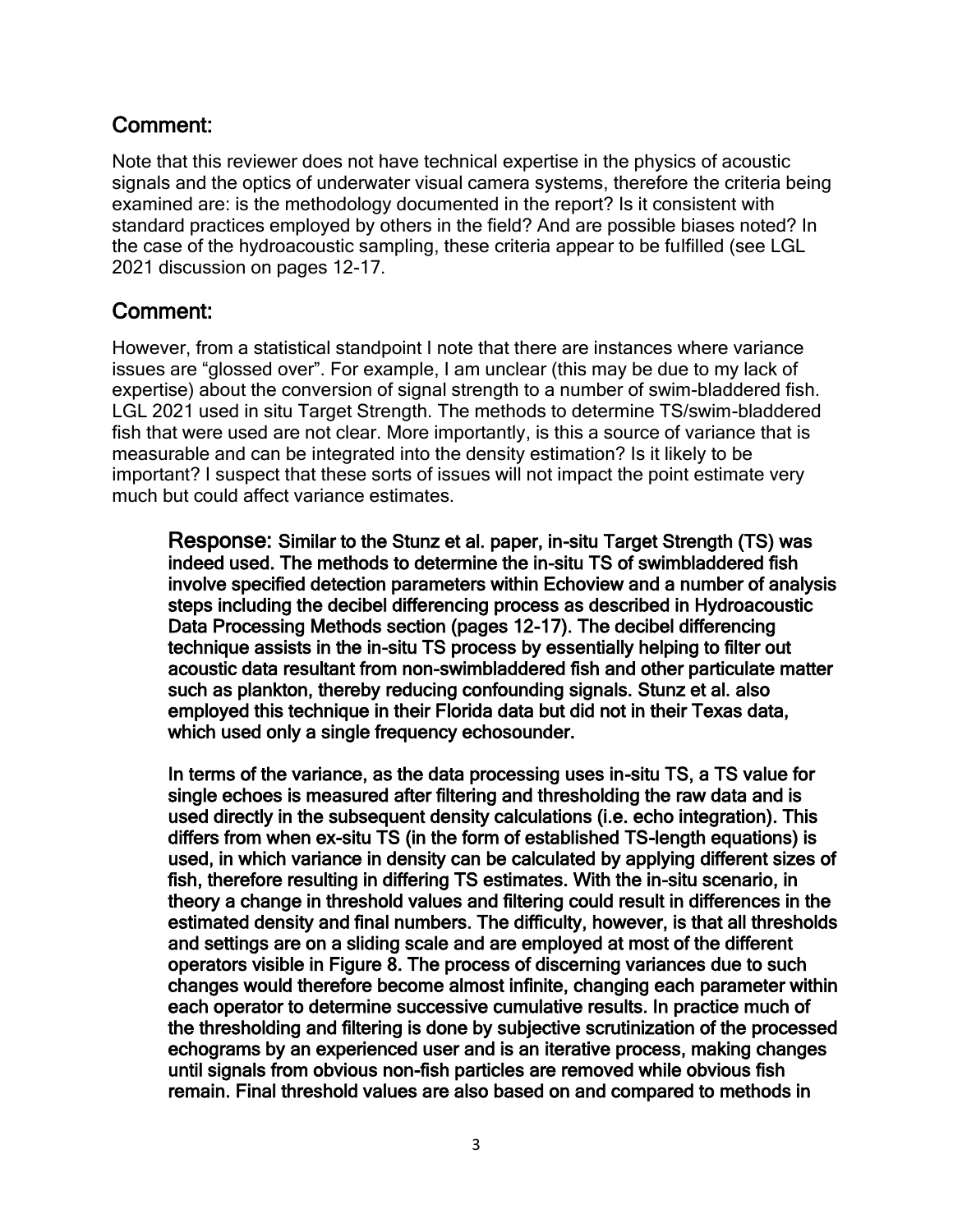Note that this reviewer does not have technical expertise in the physics of acoustic signals and the optics of underwater visual camera systems, therefore the criteria being examined are: is the methodology documented in the report? Is it consistent with standard practices employed by others in the field? And are possible biases noted? In the case of the hydroacoustic sampling, these criteria appear to be fulfilled (see LGL 2021 discussion on pages 12-17.

## Comment:

However, from a statistical standpoint I note that there are instances where variance issues are "glossed over". For example, I am unclear (this may be due to my lack of expertise) about the conversion of signal strength to a number of swim-bladdered fish. LGL 2021 used in situ Target Strength. The methods to determine TS/swim-bladdered fish that were used are not clear. More importantly, is this a source of variance that is measurable and can be integrated into the density estimation? Is it likely to be important? I suspect that these sorts of issues will not impact the point estimate very much but could affect variance estimates.

Response: Similar to the Stunz et al. paper, in-situ Target Strength (TS) was indeed used. The methods to determine the in-situ TS of swimbladdered fish involve specified detection parameters within Echoview and a number of analysis steps including the decibel differencing process as described in Hydroacoustic Data Processing Methods section (pages 12-17). The decibel differencing technique assists in the in-situ TS process by essentially helping to filter out acoustic data resultant from non-swimbladdered fish and other particulate matter such as plankton, thereby reducing confounding signals. Stunz et al. also employed this technique in their Florida data but did not in their Texas data, which used only a single frequency echosounder.

In terms of the variance, as the data processing uses in-situ TS, a TS value for single echoes is measured after filtering and thresholding the raw data and is used directly in the subsequent density calculations (i.e. echo integration). This differs from when ex-situ TS (in the form of established TS-length equations) is used, in which variance in density can be calculated by applying different sizes of fish, therefore resulting in differing TS estimates. With the in-situ scenario, in theory a change in threshold values and filtering could result in differences in the estimated density and final numbers. The difficulty, however, is that all thresholds and settings are on a sliding scale and are employed at most of the different operators visible in Figure 8. The process of discerning variances due to such changes would therefore become almost infinite, changing each parameter within each operator to determine successive cumulative results. In practice much of the thresholding and filtering is done by subjective scrutinization of the processed echograms by an experienced user and is an iterative process, making changes until signals from obvious non-fish particles are removed while obvious fish remain. Final threshold values are also based on and compared to methods in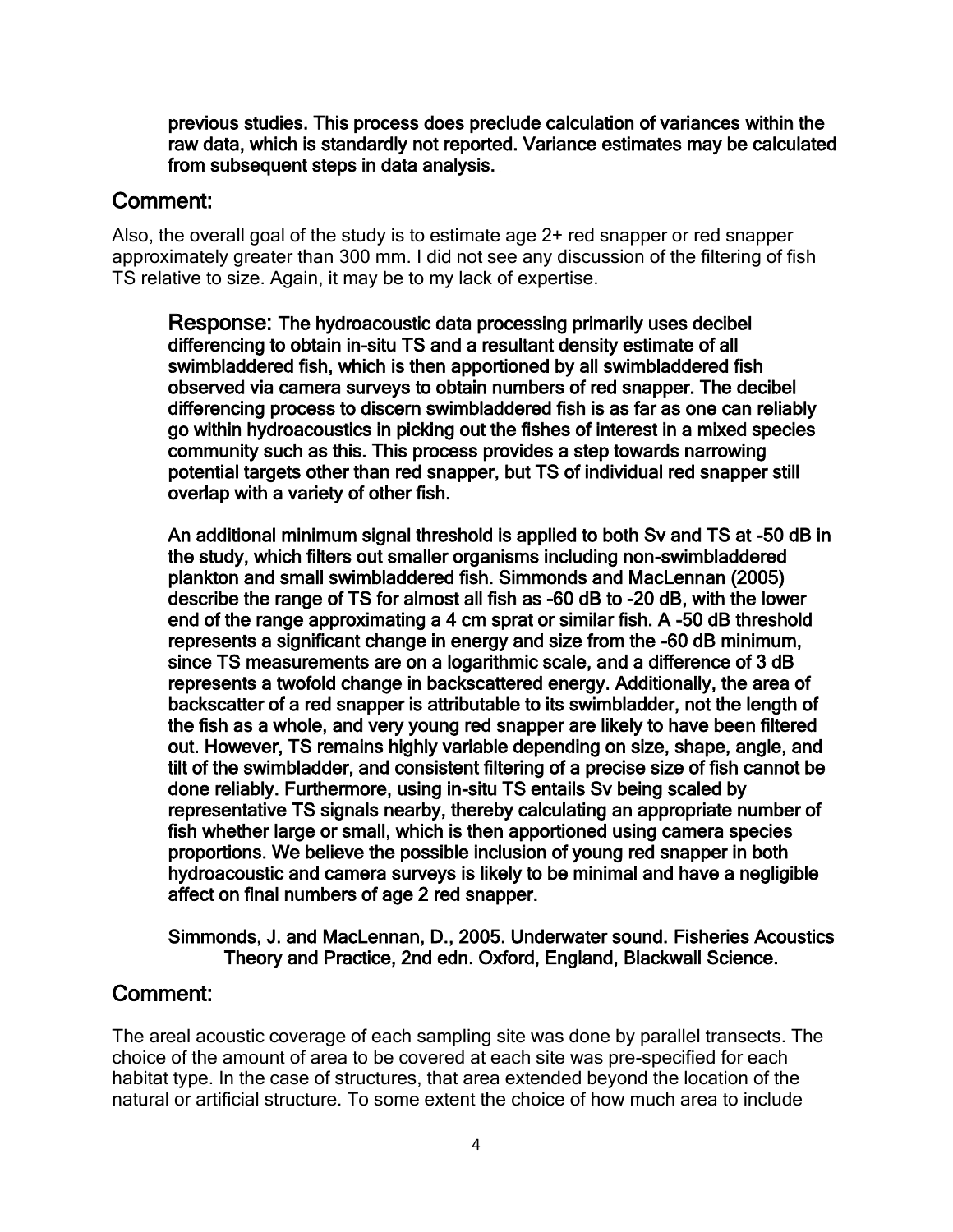previous studies. This process does preclude calculation of variances within the raw data, which is standardly not reported. Variance estimates may be calculated from subsequent steps in data analysis.

## Comment:

Also, the overall goal of the study is to estimate age 2+ red snapper or red snapper approximately greater than 300 mm. I did not see any discussion of the filtering of fish TS relative to size. Again, it may be to my lack of expertise.

Response: The hydroacoustic data processing primarily uses decibel differencing to obtain in-situ TS and a resultant density estimate of all swimbladdered fish, which is then apportioned by all swimbladdered fish observed via camera surveys to obtain numbers of red snapper. The decibel differencing process to discern swimbladdered fish is as far as one can reliably go within hydroacoustics in picking out the fishes of interest in a mixed species community such as this. This process provides a step towards narrowing potential targets other than red snapper, but TS of individual red snapper still overlap with a variety of other fish.

An additional minimum signal threshold is applied to both Sv and TS at -50 dB in the study, which filters out smaller organisms including non-swimbladdered plankton and small swimbladdered fish. Simmonds and MacLennan (2005) describe the range of TS for almost all fish as -60 dB to -20 dB, with the lower end of the range approximating a 4 cm sprat or similar fish. A -50 dB threshold represents a significant change in energy and size from the -60 dB minimum, since TS measurements are on a logarithmic scale, and a difference of 3 dB represents a twofold change in backscattered energy. Additionally, the area of backscatter of a red snapper is attributable to its swimbladder, not the length of the fish as a whole, and very young red snapper are likely to have been filtered out. However, TS remains highly variable depending on size, shape, angle, and tilt of the swimbladder, and consistent filtering of a precise size of fish cannot be done reliably. Furthermore, using in-situ TS entails Sv being scaled by representative TS signals nearby, thereby calculating an appropriate number of fish whether large or small, which is then apportioned using camera species proportions. We believe the possible inclusion of young red snapper in both hydroacoustic and camera surveys is likely to be minimal and have a negligible affect on final numbers of age 2 red snapper.

#### Simmonds, J. and MacLennan, D., 2005. Underwater sound. Fisheries Acoustics Theory and Practice, 2nd edn. Oxford, England, Blackwall Science.

# Comment:

The areal acoustic coverage of each sampling site was done by parallel transects. The choice of the amount of area to be covered at each site was pre-specified for each habitat type. In the case of structures, that area extended beyond the location of the natural or artificial structure. To some extent the choice of how much area to include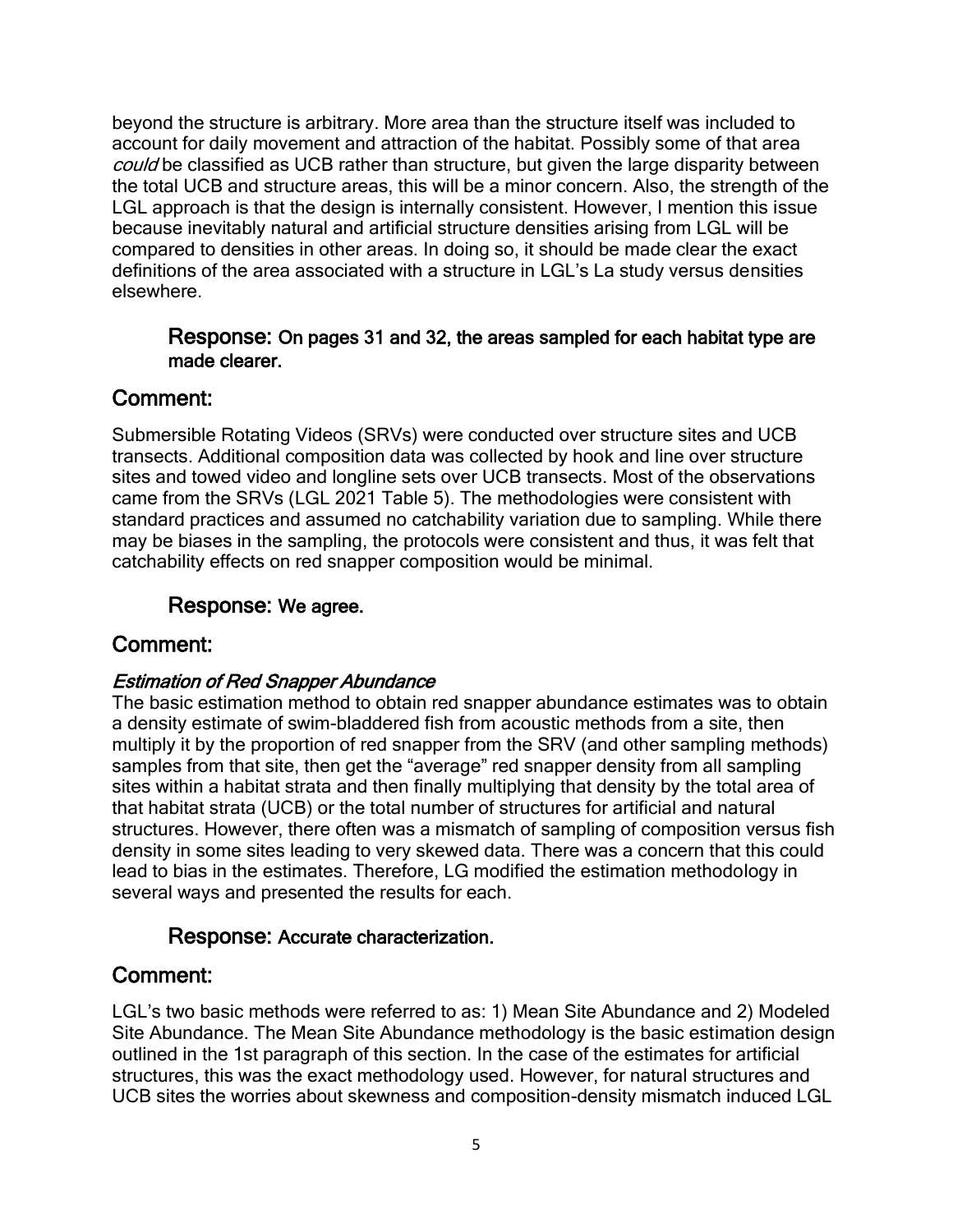beyond the structure is arbitrary. More area than the structure itself was included to account for daily movement and attraction of the habitat. Possibly some of that area could be classified as UCB rather than structure, but given the large disparity between the total UCB and structure areas, this will be a minor concern. Also, the strength of the LGL approach is that the design is internally consistent. However, I mention this issue because inevitably natural and artificial structure densities arising from LGL will be compared to densities in other areas. In doing so, it should be made clear the exact definitions of the area associated with a structure in LGL's La study versus densities elsewhere.

#### Response: On pages 31 and 32, the areas sampled for each habitat type are made clearer.

## Comment:

Submersible Rotating Videos (SRVs) were conducted over structure sites and UCB transects. Additional composition data was collected by hook and line over structure sites and towed video and longline sets over UCB transects. Most of the observations came from the SRVs (LGL 2021 Table 5). The methodologies were consistent with standard practices and assumed no catchability variation due to sampling. While there may be biases in the sampling, the protocols were consistent and thus, it was felt that catchability effects on red snapper composition would be minimal.

## Response: We agree.

## Comment:

## Estimation of Red Snapper Abundance

The basic estimation method to obtain red snapper abundance estimates was to obtain a density estimate of swim-bladdered fish from acoustic methods from a site, then multiply it by the proportion of red snapper from the SRV (and other sampling methods) samples from that site, then get the "average" red snapper density from all sampling sites within a habitat strata and then finally multiplying that density by the total area of that habitat strata (UCB) or the total number of structures for artificial and natural structures. However, there often was a mismatch of sampling of composition versus fish density in some sites leading to very skewed data. There was a concern that this could lead to bias in the estimates. Therefore, LG modified the estimation methodology in several ways and presented the results for each.

## Response: Accurate characterization.

# Comment:

LGL's two basic methods were referred to as: 1) Mean Site Abundance and 2) Modeled Site Abundance. The Mean Site Abundance methodology is the basic estimation design outlined in the 1st paragraph of this section. In the case of the estimates for artificial structures, this was the exact methodology used. However, for natural structures and UCB sites the worries about skewness and composition-density mismatch induced LGL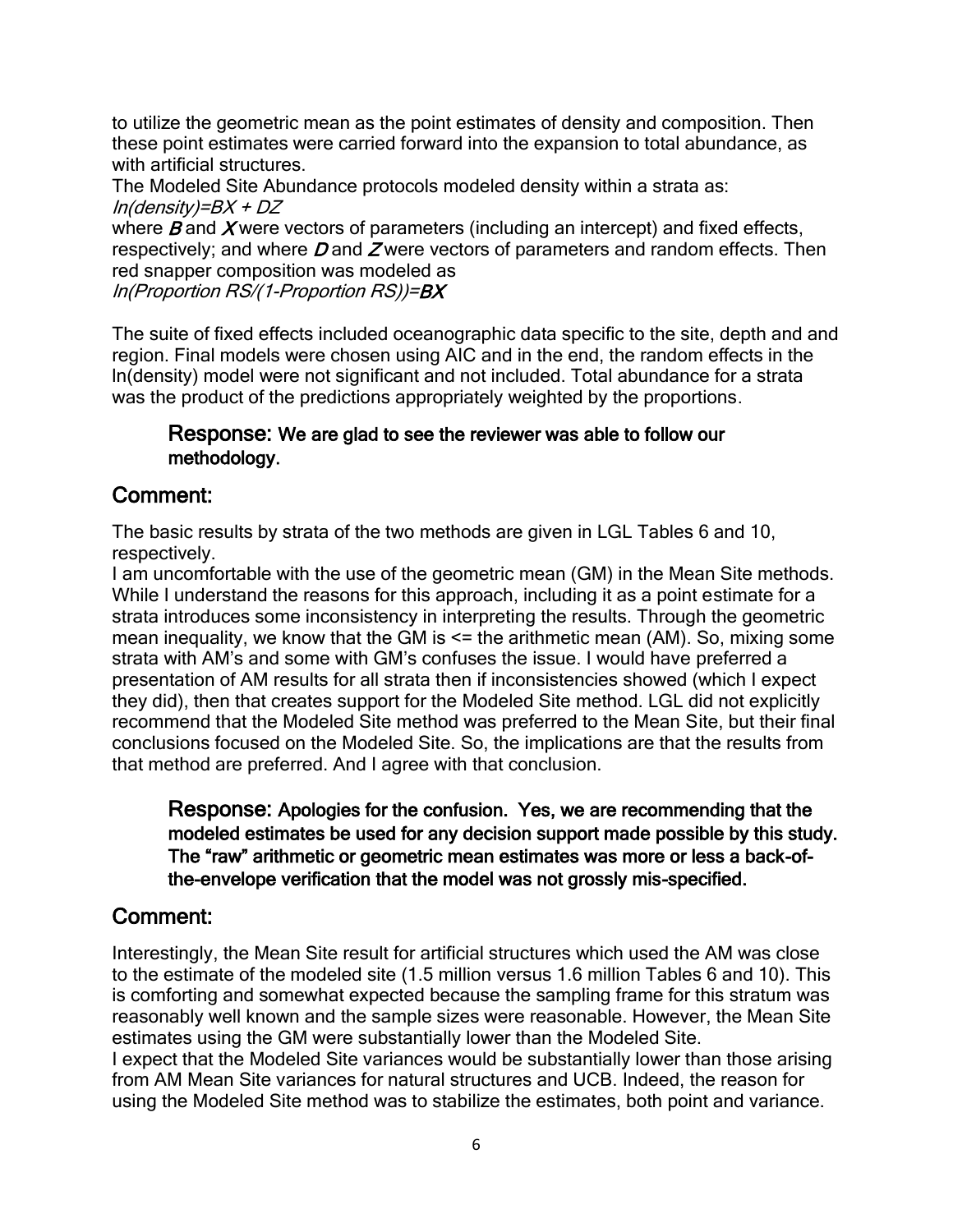to utilize the geometric mean as the point estimates of density and composition. Then these point estimates were carried forward into the expansion to total abundance, as with artificial structures.

The Modeled Site Abundance protocols modeled density within a strata as: ln(density)=BX + DZ

where  $B$  and  $X$  were vectors of parameters (including an intercept) and fixed effects, respectively; and where  $D$  and  $\overline{Z}$  were vectors of parameters and random effects. Then red snapper composition was modeled as

ln(Proportion RS/(1-Proportion RS))=BX

The suite of fixed effects included oceanographic data specific to the site, depth and and region. Final models were chosen using AIC and in the end, the random effects in the ln(density) model were not significant and not included. Total abundance for a strata was the product of the predictions appropriately weighted by the proportions.

#### Response: We are glad to see the reviewer was able to follow our methodology.

## Comment:

The basic results by strata of the two methods are given in LGL Tables 6 and 10, respectively.

I am uncomfortable with the use of the geometric mean (GM) in the Mean Site methods. While I understand the reasons for this approach, including it as a point estimate for a strata introduces some inconsistency in interpreting the results. Through the geometric mean inequality, we know that the GM is  $\leq$  the arithmetic mean (AM). So, mixing some strata with AM's and some with GM's confuses the issue. I would have preferred a presentation of AM results for all strata then if inconsistencies showed (which I expect they did), then that creates support for the Modeled Site method. LGL did not explicitly recommend that the Modeled Site method was preferred to the Mean Site, but their final conclusions focused on the Modeled Site. So, the implications are that the results from that method are preferred. And I agree with that conclusion.

Response: Apologies for the confusion. Yes, we are recommending that the modeled estimates be used for any decision support made possible by this study. The "raw" arithmetic or geometric mean estimates was more or less a back-ofthe-envelope verification that the model was not grossly mis-specified.

## Comment:

Interestingly, the Mean Site result for artificial structures which used the AM was close to the estimate of the modeled site (1.5 million versus 1.6 million Tables 6 and 10). This is comforting and somewhat expected because the sampling frame for this stratum was reasonably well known and the sample sizes were reasonable. However, the Mean Site estimates using the GM were substantially lower than the Modeled Site.

I expect that the Modeled Site variances would be substantially lower than those arising from AM Mean Site variances for natural structures and UCB. Indeed, the reason for using the Modeled Site method was to stabilize the estimates, both point and variance.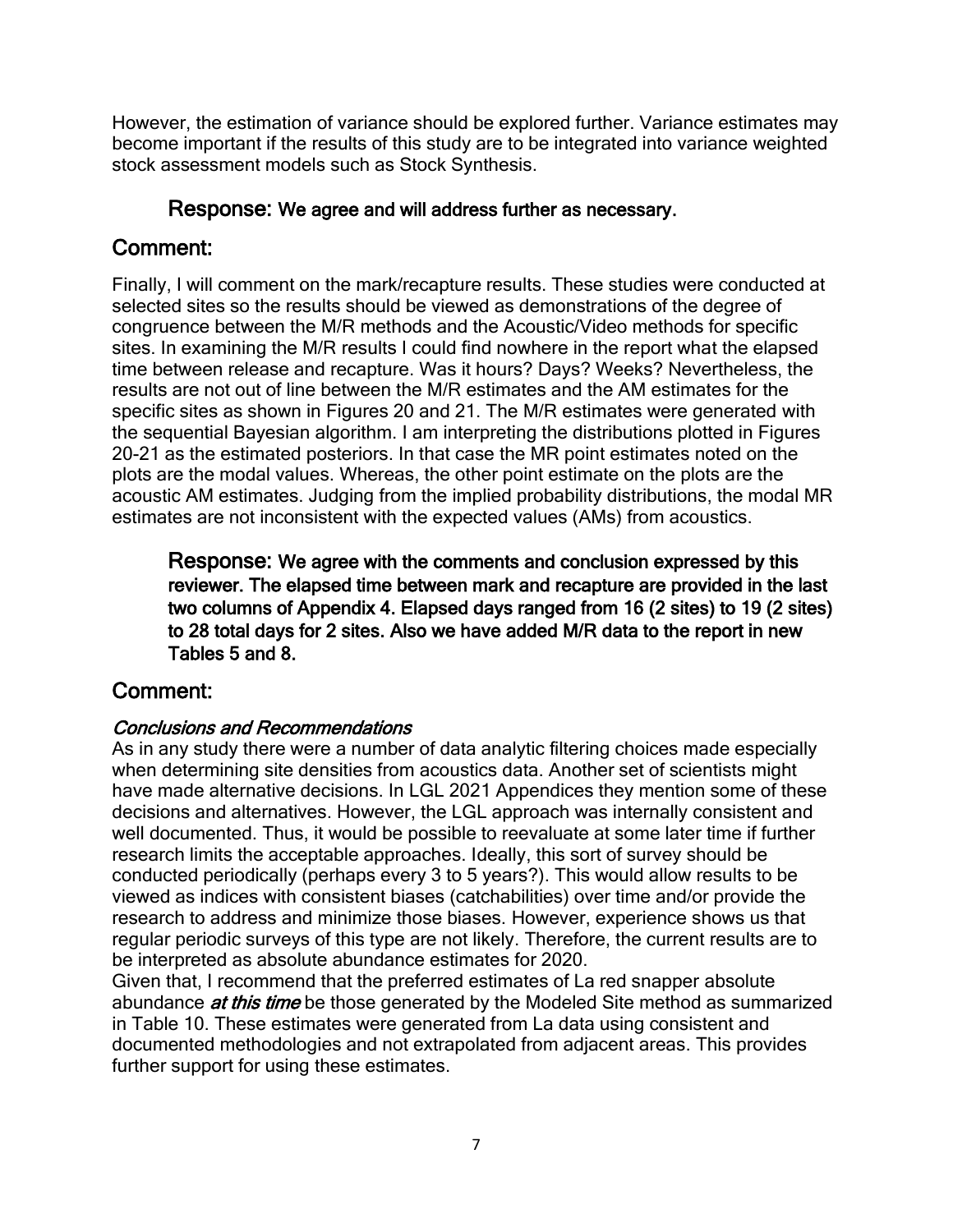However, the estimation of variance should be explored further. Variance estimates may become important if the results of this study are to be integrated into variance weighted stock assessment models such as Stock Synthesis.

### Response: We agree and will address further as necessary.

# Comment:

Finally, I will comment on the mark/recapture results. These studies were conducted at selected sites so the results should be viewed as demonstrations of the degree of congruence between the M/R methods and the Acoustic/Video methods for specific sites. In examining the M/R results I could find nowhere in the report what the elapsed time between release and recapture. Was it hours? Days? Weeks? Nevertheless, the results are not out of line between the M/R estimates and the AM estimates for the specific sites as shown in Figures 20 and 21. The M/R estimates were generated with the sequential Bayesian algorithm. I am interpreting the distributions plotted in Figures 20-21 as the estimated posteriors. In that case the MR point estimates noted on the plots are the modal values. Whereas, the other point estimate on the plots are the acoustic AM estimates. Judging from the implied probability distributions, the modal MR estimates are not inconsistent with the expected values (AMs) from acoustics.

Response: We agree with the comments and conclusion expressed by this reviewer. The elapsed time between mark and recapture are provided in the last two columns of Appendix 4. Elapsed days ranged from 16 (2 sites) to 19 (2 sites) to 28 total days for 2 sites. Also we have added M/R data to the report in new Tables 5 and 8.

# Comment:

## Conclusions and Recommendations

As in any study there were a number of data analytic filtering choices made especially when determining site densities from acoustics data. Another set of scientists might have made alternative decisions. In LGL 2021 Appendices they mention some of these decisions and alternatives. However, the LGL approach was internally consistent and well documented. Thus, it would be possible to reevaluate at some later time if further research limits the acceptable approaches. Ideally, this sort of survey should be conducted periodically (perhaps every 3 to 5 years?). This would allow results to be viewed as indices with consistent biases (catchabilities) over time and/or provide the research to address and minimize those biases. However, experience shows us that regular periodic surveys of this type are not likely. Therefore, the current results are to be interpreted as absolute abundance estimates for 2020.

Given that, I recommend that the preferred estimates of La red snapper absolute abundance *at this time* be those generated by the Modeled Site method as summarized in Table 10. These estimates were generated from La data using consistent and documented methodologies and not extrapolated from adjacent areas. This provides further support for using these estimates.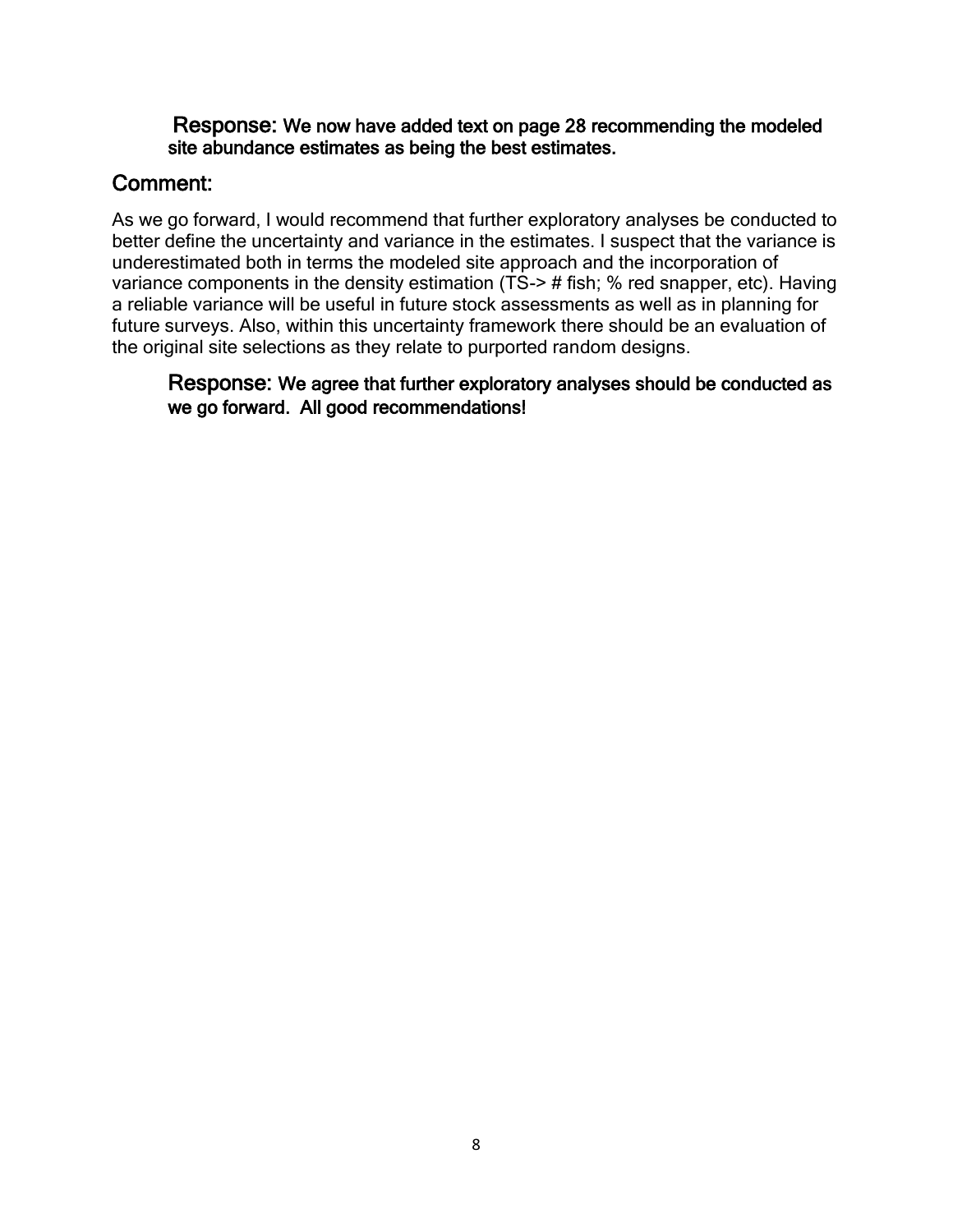#### Response: We now have added text on page 28 recommending the modeled site abundance estimates as being the best estimates.

## Comment:

As we go forward, I would recommend that further exploratory analyses be conducted to better define the uncertainty and variance in the estimates. I suspect that the variance is underestimated both in terms the modeled site approach and the incorporation of variance components in the density estimation (TS-> # fish; % red snapper, etc). Having a reliable variance will be useful in future stock assessments as well as in planning for future surveys. Also, within this uncertainty framework there should be an evaluation of the original site selections as they relate to purported random designs.

Response: We agree that further exploratory analyses should be conducted as we go forward. All good recommendations!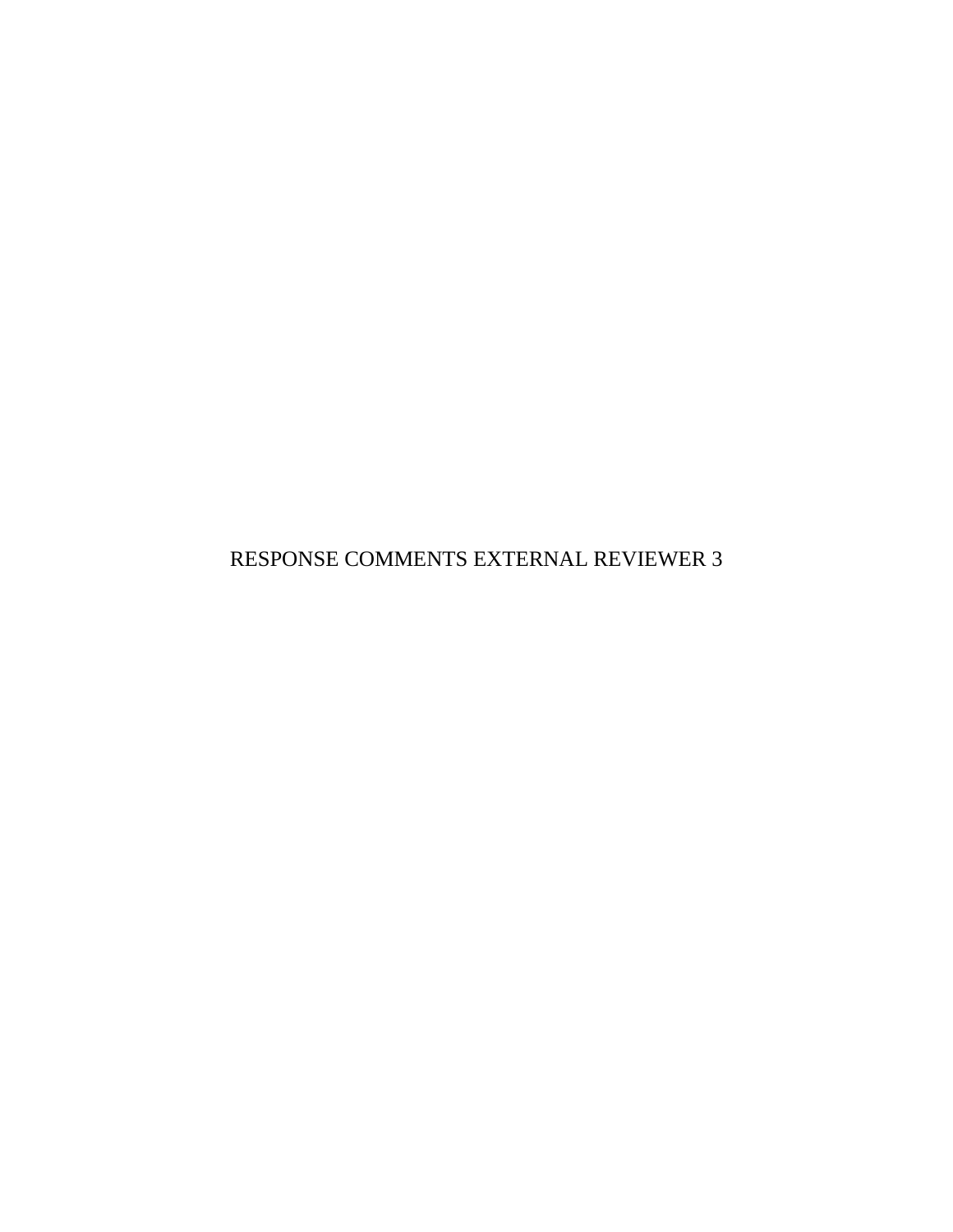RESPONSE COMMENTS EXTERNAL REVIEWER 3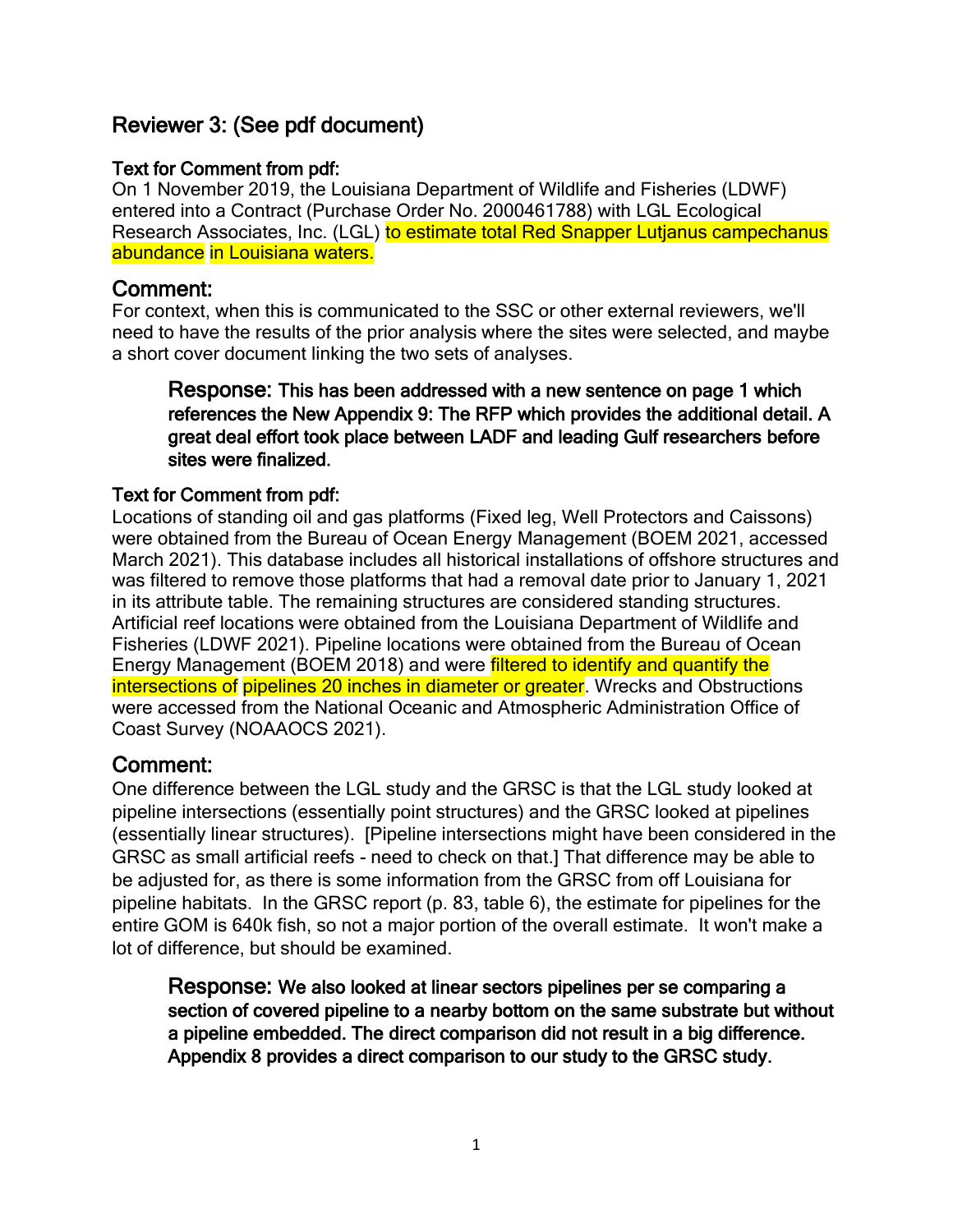# Reviewer 3: (See pdf document)

### Text for Comment from pdf:

On 1 November 2019, the Louisiana Department of Wildlife and Fisheries (LDWF) entered into a Contract (Purchase Order No. 2000461788) with LGL Ecological Research Associates, Inc. (LGL) to estimate total Red Snapper Lutianus campechanus abundance in Louisiana waters.

### Comment:

For context, when this is communicated to the SSC or other external reviewers, we'll need to have the results of the prior analysis where the sites were selected, and maybe a short cover document linking the two sets of analyses.

#### Response: This has been addressed with a new sentence on page 1 which references the New Appendix 9: The RFP which provides the additional detail. A great deal effort took place between LADF and leading Gulf researchers before sites were finalized.

#### Text for Comment from pdf:

Locations of standing oil and gas platforms (Fixed leg, Well Protectors and Caissons) were obtained from the Bureau of Ocean Energy Management (BOEM 2021, accessed March 2021). This database includes all historical installations of offshore structures and was filtered to remove those platforms that had a removal date prior to January 1, 2021 in its attribute table. The remaining structures are considered standing structures. Artificial reef locations were obtained from the Louisiana Department of Wildlife and Fisheries (LDWF 2021). Pipeline locations were obtained from the Bureau of Ocean Energy Management (BOEM 2018) and were filtered to identify and quantify the intersections of pipelines 20 inches in diameter or greater. Wrecks and Obstructions were accessed from the National Oceanic and Atmospheric Administration Office of Coast Survey (NOAAOCS 2021).

## Comment:

One difference between the LGL study and the GRSC is that the LGL study looked at pipeline intersections (essentially point structures) and the GRSC looked at pipelines (essentially linear structures). [Pipeline intersections might have been considered in the GRSC as small artificial reefs - need to check on that.] That difference may be able to be adjusted for, as there is some information from the GRSC from off Louisiana for pipeline habitats. In the GRSC report (p. 83, table 6), the estimate for pipelines for the entire GOM is 640k fish, so not a major portion of the overall estimate. It won't make a lot of difference, but should be examined.

Response: We also looked at linear sectors pipelines per se comparing a section of covered pipeline to a nearby bottom on the same substrate but without a pipeline embedded. The direct comparison did not result in a big difference. Appendix 8 provides a direct comparison to our study to the GRSC study.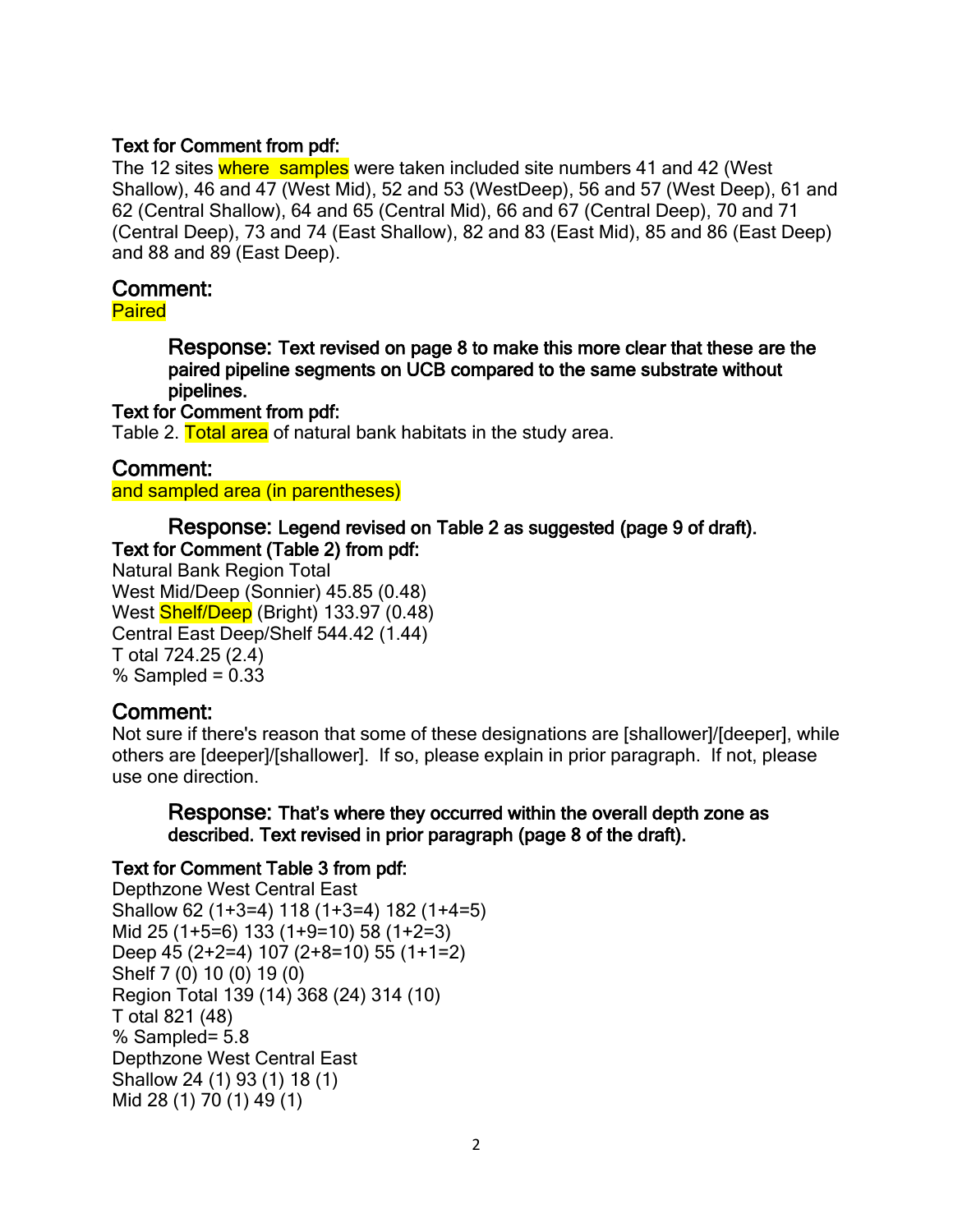#### Text for Comment from pdf:

The 12 sites where samples were taken included site numbers 41 and 42 (West Shallow), 46 and 47 (West Mid), 52 and 53 (WestDeep), 56 and 57 (West Deep), 61 and 62 (Central Shallow), 64 and 65 (Central Mid), 66 and 67 (Central Deep), 70 and 71 (Central Deep), 73 and 74 (East Shallow), 82 and 83 (East Mid), 85 and 86 (East Deep) and 88 and 89 (East Deep).

### Comment:

Paired

Response: Text revised on page 8 to make this more clear that these are the paired pipeline segments on UCB compared to the same substrate without pipelines.

#### Text for Comment from pdf:

Table 2. Total area of natural bank habitats in the study area.

#### Comment:

and sampled area (in parentheses)

#### Response: Legend revised on Table 2 as suggested (page 9 of draft). Text for Comment (Table 2) from pdf:

Natural Bank Region Total West Mid/Deep (Sonnier) 45.85 (0.48) West **Shelf/Deep** (Bright) 133.97 (0.48) Central East Deep/Shelf 544.42 (1.44) T otal 724.25 (2.4) % Sampled =  $0.33$ 

## Comment:

Not sure if there's reason that some of these designations are [shallower]/[deeper], while others are [deeper]/[shallower]. If so, please explain in prior paragraph. If not, please use one direction.

Response: That's where they occurred within the overall depth zone as described. Text revised in prior paragraph (page 8 of the draft).

#### Text for Comment Table 3 from pdf:

Depthzone West Central East Shallow 62 (1+3=4) 118 (1+3=4) 182 (1+4=5) Mid 25 (1+5=6) 133 (1+9=10) 58 (1+2=3) Deep 45 (2+2=4) 107 (2+8=10) 55 (1+1=2) Shelf 7 (0) 10 (0) 19 (0) Region Total 139 (14) 368 (24) 314 (10) T otal 821 (48) % Sampled= 5.8 Depthzone West Central East Shallow 24 (1) 93 (1) 18 (1) Mid 28 (1) 70 (1) 49 (1)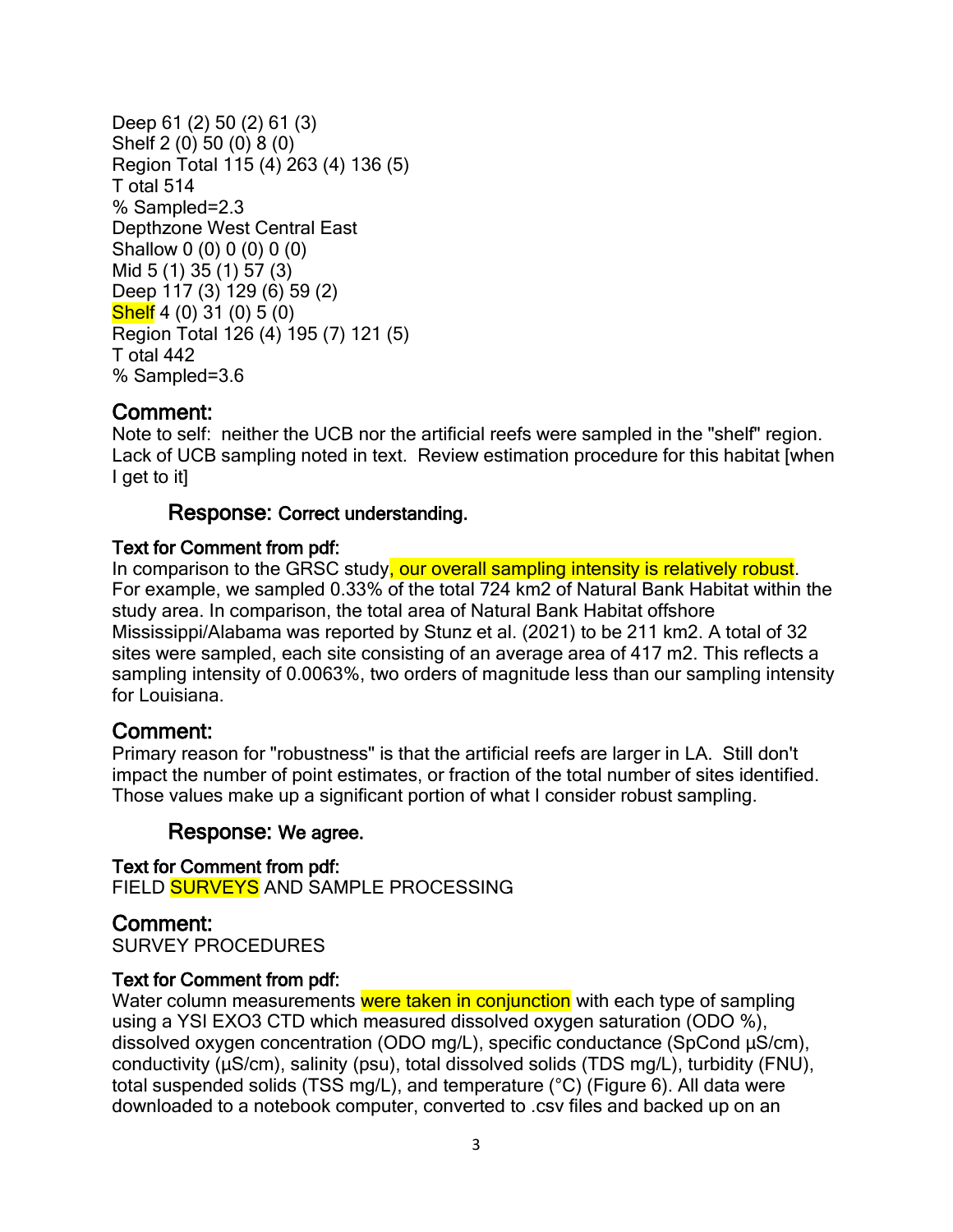```
Deep 61 (2) 50 (2) 61 (3)
Shelf 2 (0) 50 (0) 8 (0)
Region Total 115 (4) 263 (4) 136 (5)
T otal 514
% Sampled=2.3
Depthzone West Central East
Shallow 0 (0) 0 (0) 0 (0)
Mid 5 (1) 35 (1) 57 (3)
Deep 117 (3) 129 (6) 59 (2)
Shelf 4 (0) 31 (0) 5 (0)
Region Total 126 (4) 195 (7) 121 (5)
T otal 442
% Sampled=3.6
```
Note to self: neither the UCB nor the artificial reefs were sampled in the "shelf" region. Lack of UCB sampling noted in text. Review estimation procedure for this habitat [when I get to it]

#### Response: Correct understanding.

#### Text for Comment from pdf:

In comparison to the GRSC study, our overall sampling intensity is relatively robust. For example, we sampled 0.33% of the total 724 km2 of Natural Bank Habitat within the study area. In comparison, the total area of Natural Bank Habitat offshore Mississippi/Alabama was reported by Stunz et al. (2021) to be 211 km2. A total of 32 sites were sampled, each site consisting of an average area of 417 m2. This reflects a sampling intensity of 0.0063%, two orders of magnitude less than our sampling intensity for Louisiana.

#### Comment:

Primary reason for "robustness" is that the artificial reefs are larger in LA. Still don't impact the number of point estimates, or fraction of the total number of sites identified. Those values make up a significant portion of what I consider robust sampling.

#### Response: We agree.

Text for Comment from pdf: FIELD SURVEYS AND SAMPLE PROCESSING

#### Comment:

SURVEY PROCEDURES

#### Text for Comment from pdf:

Water column measurements were taken in conjunction with each type of sampling using a YSI EXO3 CTD which measured dissolved oxygen saturation (ODO %), dissolved oxygen concentration (ODO mg/L), specific conductance (SpCond μS/cm), conductivity (μS/cm), salinity (psu), total dissolved solids (TDS mg/L), turbidity (FNU), total suspended solids (TSS mg/L), and temperature (°C) (Figure 6). All data were downloaded to a notebook computer, converted to .csv files and backed up on an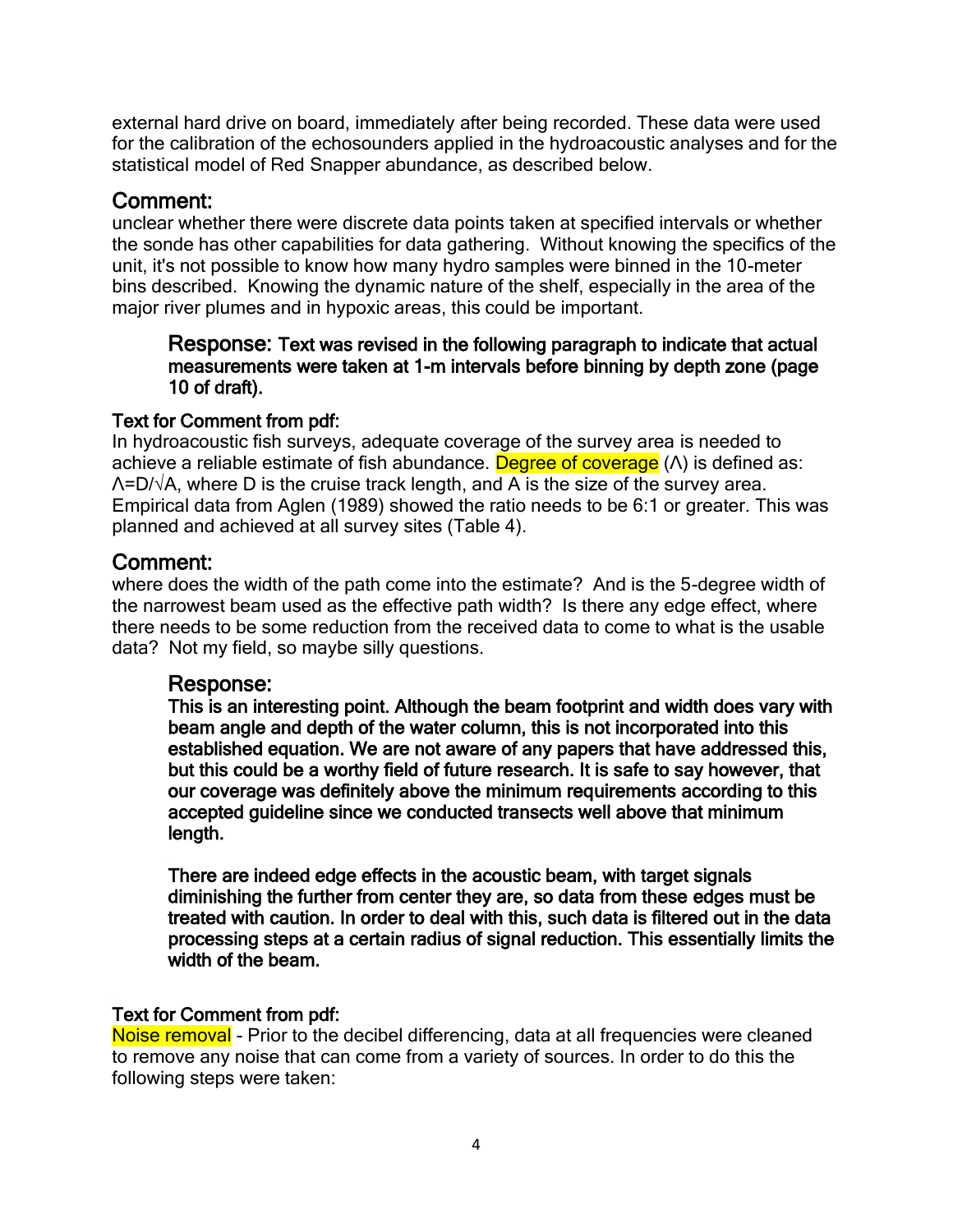external hard drive on board, immediately after being recorded. These data were used for the calibration of the echosounders applied in the hydroacoustic analyses and for the statistical model of Red Snapper abundance, as described below.

## Comment:

unclear whether there were discrete data points taken at specified intervals or whether the sonde has other capabilities for data gathering. Without knowing the specifics of the unit, it's not possible to know how many hydro samples were binned in the 10-meter bins described. Knowing the dynamic nature of the shelf, especially in the area of the major river plumes and in hypoxic areas, this could be important.

#### Response: Text was revised in the following paragraph to indicate that actual measurements were taken at 1-m intervals before binning by depth zone (page 10 of draft).

### Text for Comment from pdf:

In hydroacoustic fish surveys, adequate coverage of the survey area is needed to achieve a reliable estimate of fish abundance. Degree of coverage (Λ) is defined as:  $\Lambda$ =D/ $\sqrt{\Lambda}$ , where D is the cruise track length, and A is the size of the survey area. Empirical data from Aglen (1989) showed the ratio needs to be 6:1 or greater. This was planned and achieved at all survey sites (Table 4).

## Comment:

where does the width of the path come into the estimate? And is the 5-degree width of the narrowest beam used as the effective path width? Is there any edge effect, where there needs to be some reduction from the received data to come to what is the usable data? Not my field, so maybe silly questions.

## Response:

This is an interesting point. Although the beam footprint and width does vary with beam angle and depth of the water column, this is not incorporated into this established equation. We are not aware of any papers that have addressed this, but this could be a worthy field of future research. It is safe to say however, that our coverage was definitely above the minimum requirements according to this accepted guideline since we conducted transects well above that minimum length.

There are indeed edge effects in the acoustic beam, with target signals diminishing the further from center they are, so data from these edges must be treated with caution. In order to deal with this, such data is filtered out in the data processing steps at a certain radius of signal reduction. This essentially limits the width of the beam.

#### Text for Comment from pdf:

Noise removal - Prior to the decibel differencing, data at all frequencies were cleaned to remove any noise that can come from a variety of sources. In order to do this the following steps were taken: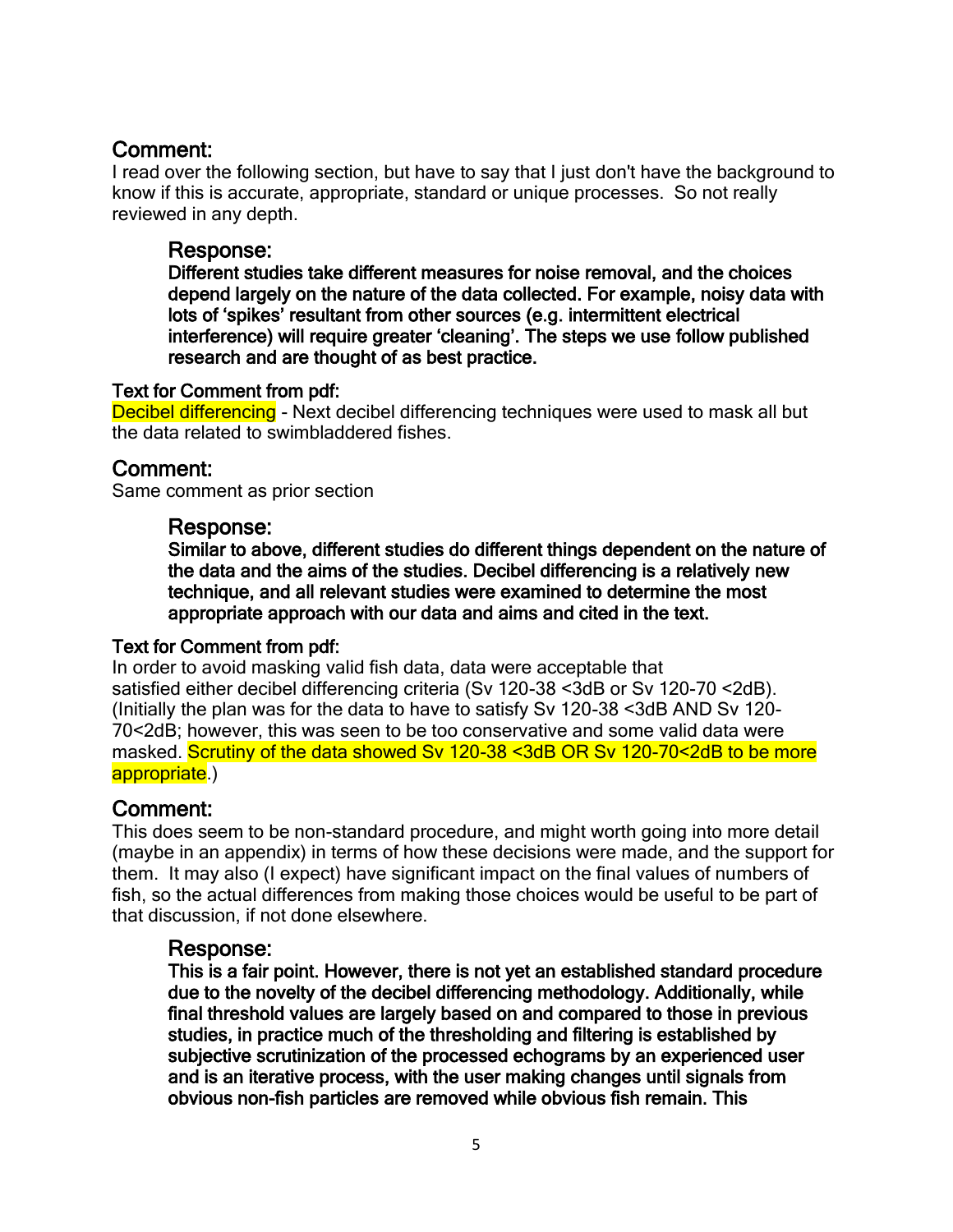I read over the following section, but have to say that I just don't have the background to know if this is accurate, appropriate, standard or unique processes. So not really reviewed in any depth.

#### Response:

Different studies take different measures for noise removal, and the choices depend largely on the nature of the data collected. For example, noisy data with lots of 'spikes' resultant from other sources (e.g. intermittent electrical interference) will require greater 'cleaning'. The steps we use follow published research and are thought of as best practice.

#### Text for Comment from pdf:

Decibel differencing - Next decibel differencing techniques were used to mask all but the data related to swimbladdered fishes.

### Comment:

Same comment as prior section

#### Response:

Similar to above, different studies do different things dependent on the nature of the data and the aims of the studies. Decibel differencing is a relatively new technique, and all relevant studies were examined to determine the most appropriate approach with our data and aims and cited in the text.

#### Text for Comment from pdf:

In order to avoid masking valid fish data, data were acceptable that satisfied either decibel differencing criteria (Sv 120-38 <3dB or Sv 120-70 <2dB). (Initially the plan was for the data to have to satisfy Sv 120-38 <3dB AND Sv 120- 70<2dB; however, this was seen to be too conservative and some valid data were masked. Scrutiny of the data showed Sv 120-38 <3dB OR Sv 120-70<2dB to be more appropriate.)

## Comment:

This does seem to be non-standard procedure, and might worth going into more detail (maybe in an appendix) in terms of how these decisions were made, and the support for them. It may also (I expect) have significant impact on the final values of numbers of fish, so the actual differences from making those choices would be useful to be part of that discussion, if not done elsewhere.

#### Response:

This is a fair point. However, there is not yet an established standard procedure due to the novelty of the decibel differencing methodology. Additionally, while final threshold values are largely based on and compared to those in previous studies, in practice much of the thresholding and filtering is established by subjective scrutinization of the processed echograms by an experienced user and is an iterative process, with the user making changes until signals from obvious non-fish particles are removed while obvious fish remain. This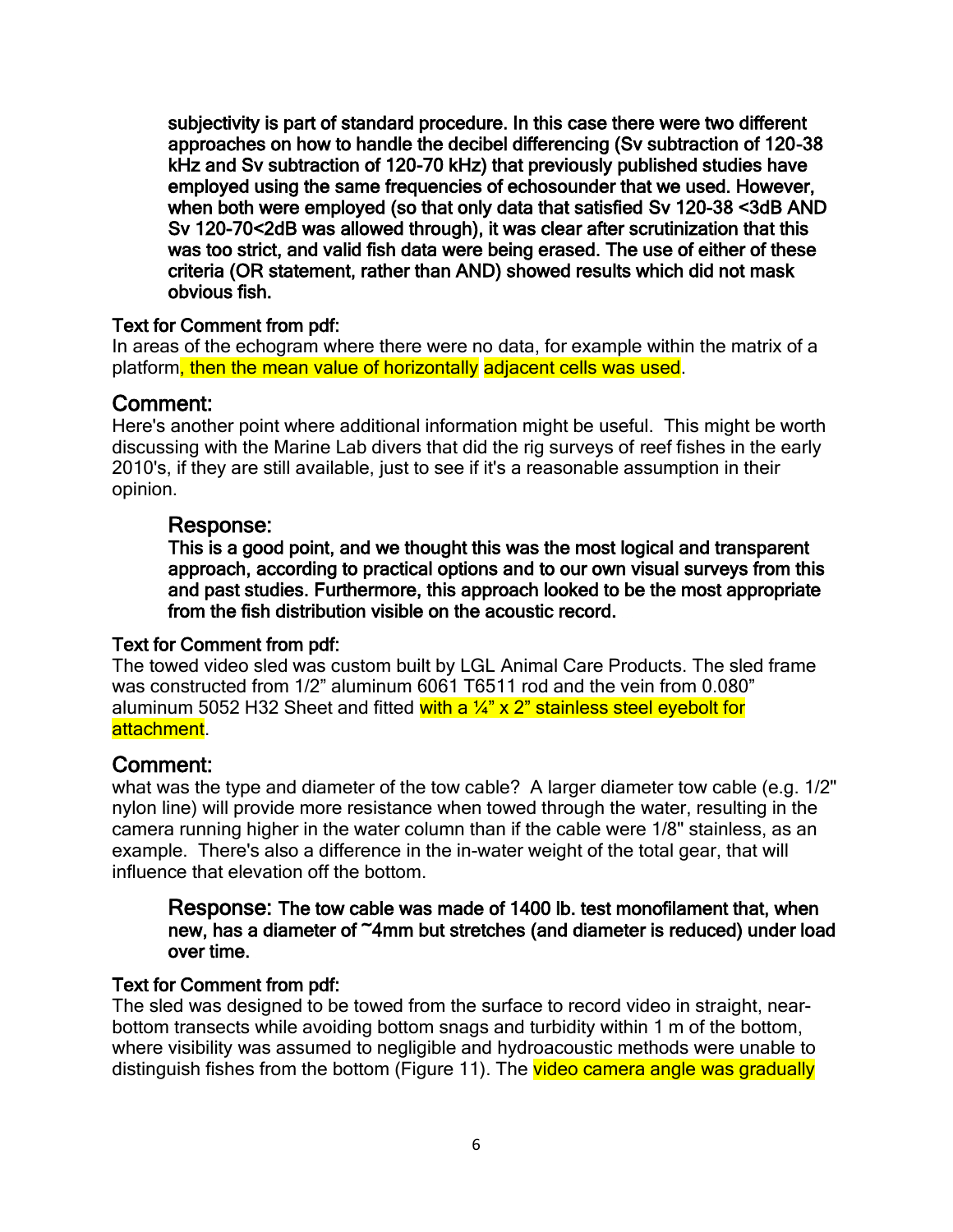subjectivity is part of standard procedure. In this case there were two different approaches on how to handle the decibel differencing (Sv subtraction of 120-38 kHz and Sv subtraction of 120-70 kHz) that previously published studies have employed using the same frequencies of echosounder that we used. However, when both were employed (so that only data that satisfied Sv 120-38 <3dB AND Sv 120-70<2dB was allowed through), it was clear after scrutinization that this was too strict, and valid fish data were being erased. The use of either of these criteria (OR statement, rather than AND) showed results which did not mask obvious fish.

#### Text for Comment from pdf:

In areas of the echogram where there were no data, for example within the matrix of a platform, then the mean value of horizontally adjacent cells was used.

## Comment:

Here's another point where additional information might be useful. This might be worth discussing with the Marine Lab divers that did the rig surveys of reef fishes in the early 2010's, if they are still available, just to see if it's a reasonable assumption in their opinion.

#### Response:

This is a good point, and we thought this was the most logical and transparent approach, according to practical options and to our own visual surveys from this and past studies. Furthermore, this approach looked to be the most appropriate from the fish distribution visible on the acoustic record.

#### Text for Comment from pdf:

The towed video sled was custom built by LGL Animal Care Products. The sled frame was constructed from 1/2" aluminum 6061 T6511 rod and the vein from 0.080" aluminum 5052 H32 Sheet and fitted with a  $\frac{1}{4}$  x  $2$ " stainless steel eyebolt for attachment.

#### Comment:

what was the type and diameter of the tow cable? A larger diameter tow cable (e.g.  $1/2$ " nylon line) will provide more resistance when towed through the water, resulting in the camera running higher in the water column than if the cable were 1/8" stainless, as an example. There's also a difference in the in-water weight of the total gear, that will influence that elevation off the bottom.

#### Response: The tow cable was made of 1400 lb. test monofilament that, when new, has a diameter of ~4mm but stretches (and diameter is reduced) under load over time.

#### Text for Comment from pdf:

The sled was designed to be towed from the surface to record video in straight, nearbottom transects while avoiding bottom snags and turbidity within 1 m of the bottom, where visibility was assumed to negligible and hydroacoustic methods were unable to distinguish fishes from the bottom (Figure 11). The video camera angle was gradually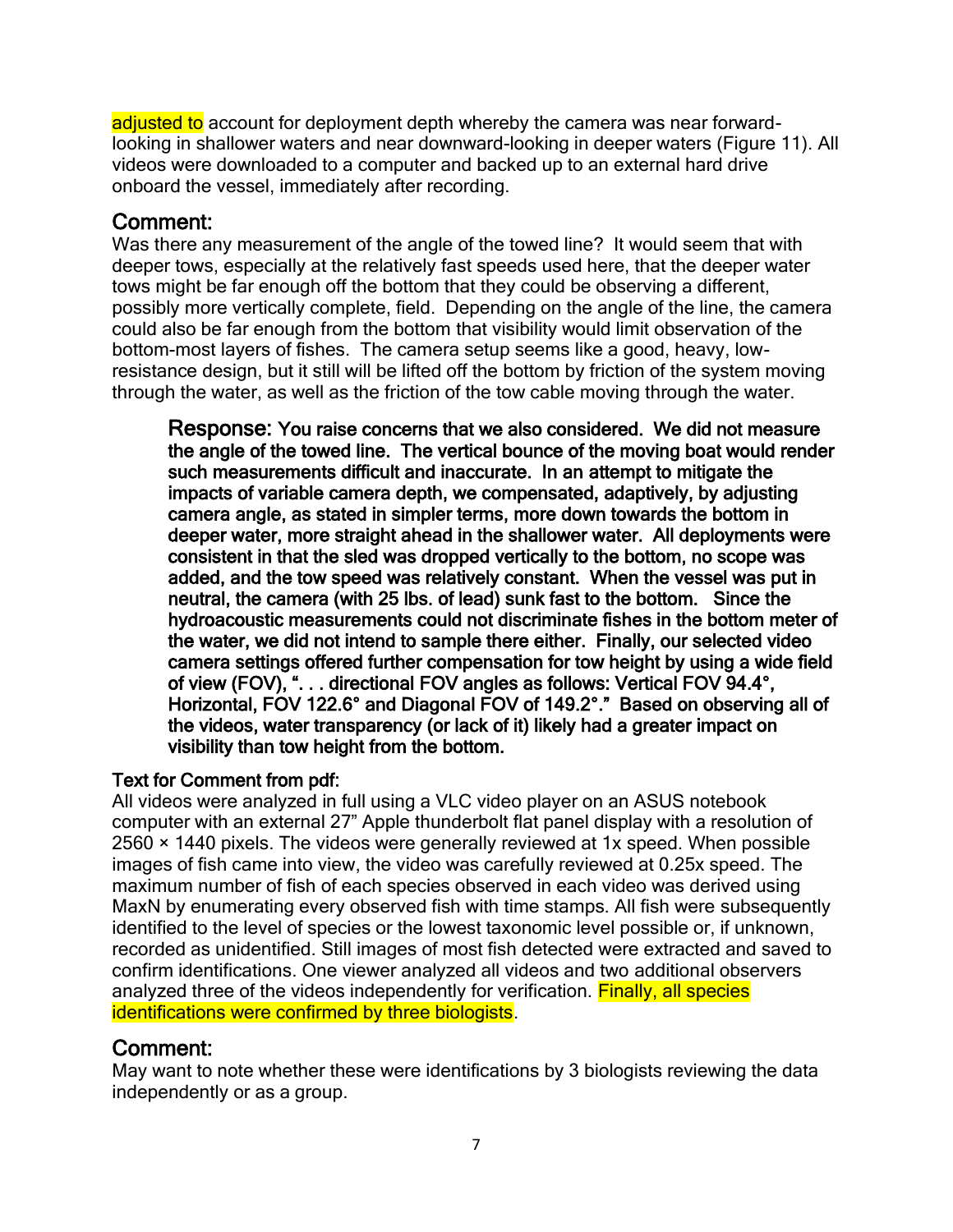adjusted to account for deployment depth whereby the camera was near forwardlooking in shallower waters and near downward-looking in deeper waters (Figure 11). All videos were downloaded to a computer and backed up to an external hard drive onboard the vessel, immediately after recording.

## Comment:

Was there any measurement of the angle of the towed line? It would seem that with deeper tows, especially at the relatively fast speeds used here, that the deeper water tows might be far enough off the bottom that they could be observing a different, possibly more vertically complete, field. Depending on the angle of the line, the camera could also be far enough from the bottom that visibility would limit observation of the bottom-most layers of fishes. The camera setup seems like a good, heavy, lowresistance design, but it still will be lifted off the bottom by friction of the system moving through the water, as well as the friction of the tow cable moving through the water.

Response: You raise concerns that we also considered. We did not measure the angle of the towed line. The vertical bounce of the moving boat would render such measurements difficult and inaccurate. In an attempt to mitigate the impacts of variable camera depth, we compensated, adaptively, by adjusting camera angle, as stated in simpler terms, more down towards the bottom in deeper water, more straight ahead in the shallower water. All deployments were consistent in that the sled was dropped vertically to the bottom, no scope was added, and the tow speed was relatively constant. When the vessel was put in neutral, the camera (with 25 lbs. of lead) sunk fast to the bottom. Since the hydroacoustic measurements could not discriminate fishes in the bottom meter of the water, we did not intend to sample there either. Finally, our selected video camera settings offered further compensation for tow height by using a wide field of view (FOV), ". . . directional FOV angles as follows: Vertical FOV 94.4°, Horizontal, FOV 122.6° and Diagonal FOV of 149.2°." Based on observing all of the videos, water transparency (or lack of it) likely had a greater impact on visibility than tow height from the bottom.

## Text for Comment from pdf:

All videos were analyzed in full using a VLC video player on an ASUS notebook computer with an external 27" Apple thunderbolt flat panel display with a resolution of 2560 × 1440 pixels. The videos were generally reviewed at 1x speed. When possible images of fish came into view, the video was carefully reviewed at 0.25x speed. The maximum number of fish of each species observed in each video was derived using MaxN by enumerating every observed fish with time stamps. All fish were subsequently identified to the level of species or the lowest taxonomic level possible or, if unknown, recorded as unidentified. Still images of most fish detected were extracted and saved to confirm identifications. One viewer analyzed all videos and two additional observers analyzed three of the videos independently for verification. **Finally, all species** identifications were confirmed by three biologists.

## Comment:

May want to note whether these were identifications by 3 biologists reviewing the data independently or as a group.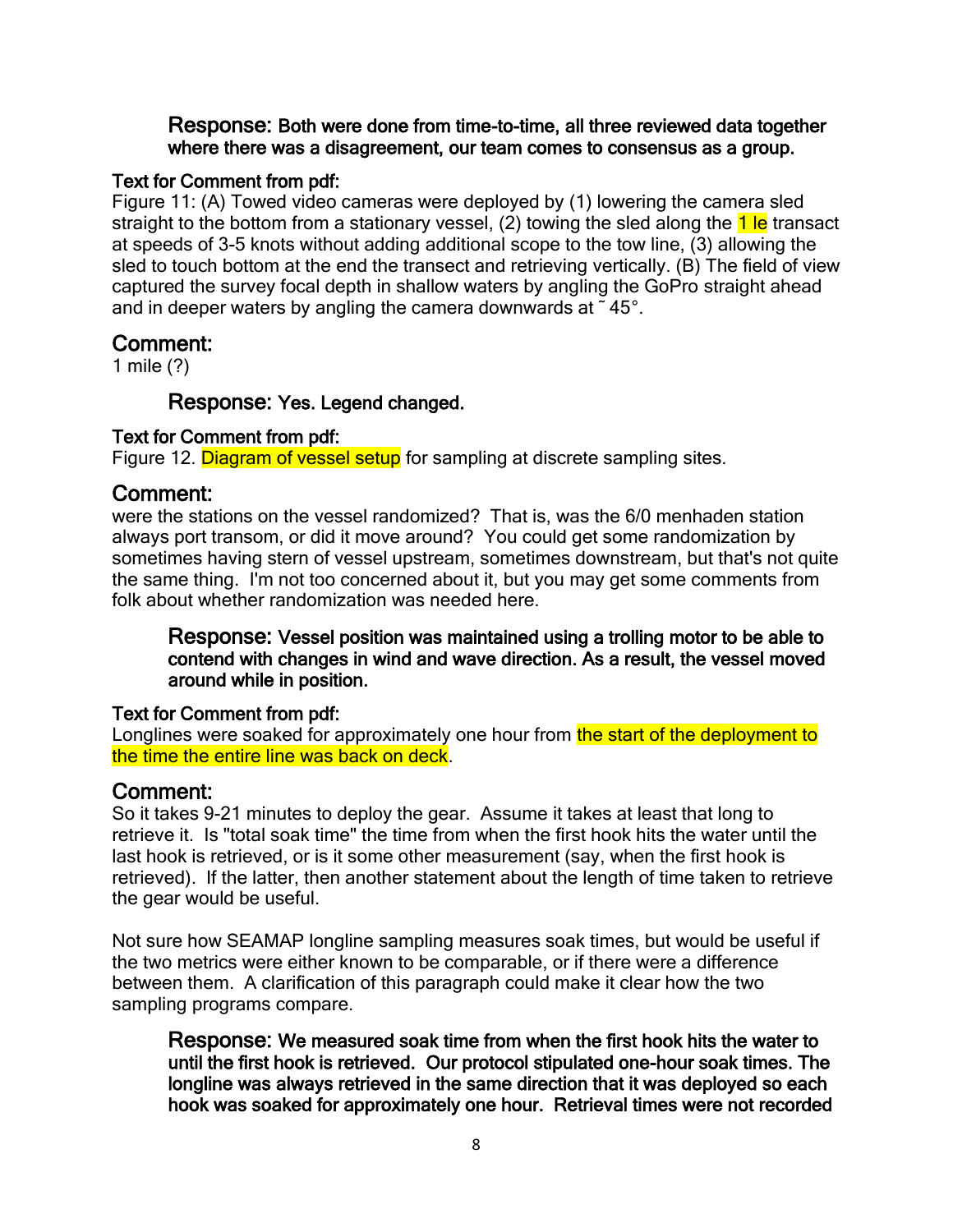#### Response: Both were done from time-to-time, all three reviewed data together where there was a disagreement, our team comes to consensus as a group.

#### Text for Comment from pdf:

Figure 11: (A) Towed video cameras were deployed by (1) lowering the camera sled straight to the bottom from a stationary vessel, (2) towing the sled along the 1 le transact at speeds of 3-5 knots without adding additional scope to the tow line, (3) allowing the sled to touch bottom at the end the transect and retrieving vertically. (B) The field of view captured the survey focal depth in shallow waters by angling the GoPro straight ahead and in deeper waters by angling the camera downwards at ˜ 45°.

### Comment:

1 mile (?)

#### Response: Yes. Legend changed.

#### Text for Comment from pdf:

Figure 12. Diagram of vessel setup for sampling at discrete sampling sites.

### Comment:

were the stations on the vessel randomized? That is, was the 6/0 menhaden station always port transom, or did it move around? You could get some randomization by sometimes having stern of vessel upstream, sometimes downstream, but that's not quite the same thing. I'm not too concerned about it, but you may get some comments from folk about whether randomization was needed here.

Response: Vessel position was maintained using a trolling motor to be able to contend with changes in wind and wave direction. As a result, the vessel moved around while in position.

#### Text for Comment from pdf:

Longlines were soaked for approximately one hour from the start of the deployment to the time the entire line was back on deck

#### Comment:

So it takes 9-21 minutes to deploy the gear. Assume it takes at least that long to retrieve it. Is "total soak time" the time from when the first hook hits the water until the last hook is retrieved, or is it some other measurement (say, when the first hook is retrieved). If the latter, then another statement about the length of time taken to retrieve the gear would be useful.

Not sure how SEAMAP longline sampling measures soak times, but would be useful if the two metrics were either known to be comparable, or if there were a difference between them. A clarification of this paragraph could make it clear how the two sampling programs compare.

Response: We measured soak time from when the first hook hits the water to until the first hook is retrieved. Our protocol stipulated one-hour soak times. The longline was always retrieved in the same direction that it was deployed so each hook was soaked for approximately one hour. Retrieval times were not recorded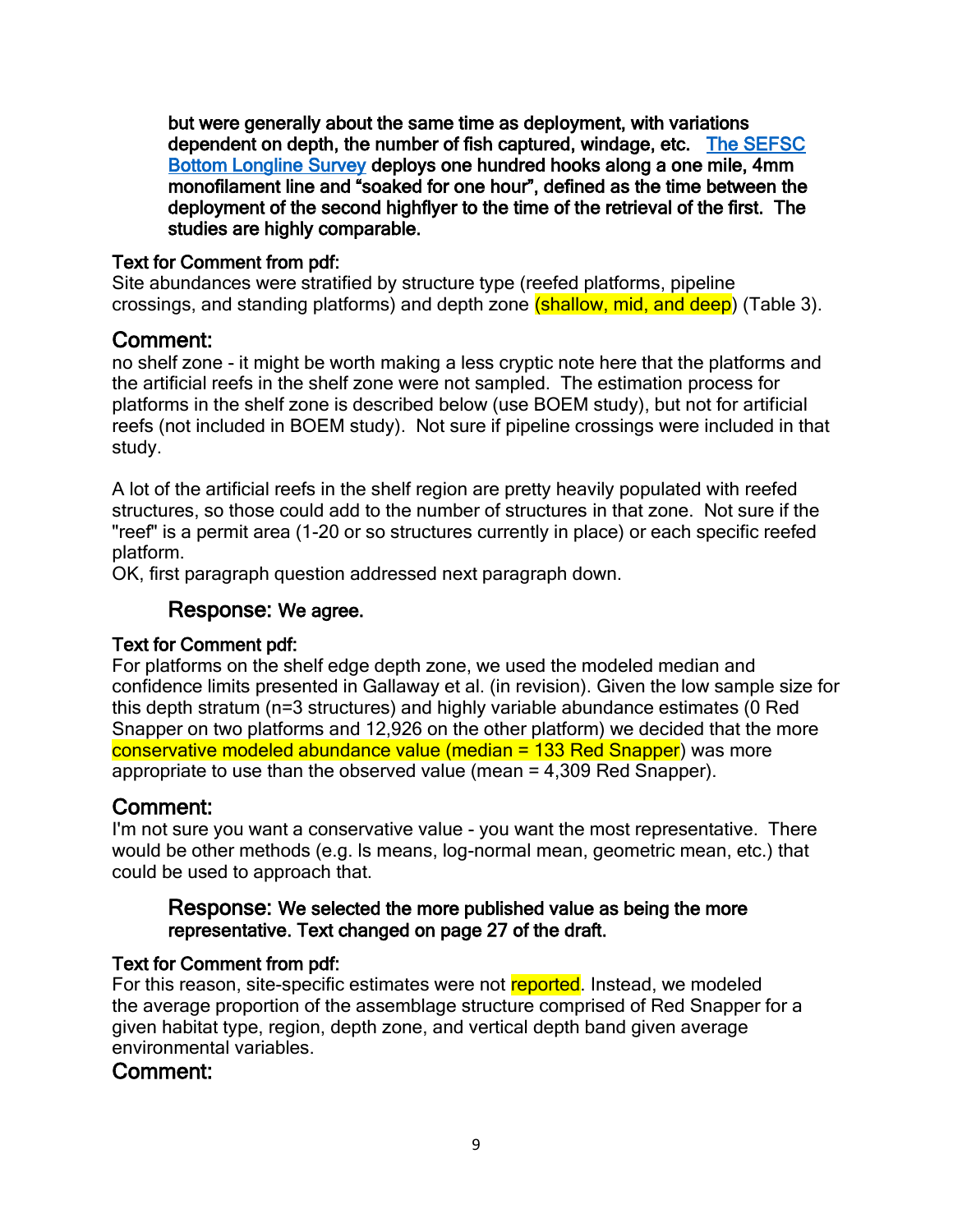but were generally about the same time as deployment, with variations dependent on depth, the number of fish captured, windage, etc. [The SEFSC](https://media.fisheries.noaa.gov/dam-migration/sefsc_longline_survey_2019.pdf)  [Bottom Longline Survey](https://media.fisheries.noaa.gov/dam-migration/sefsc_longline_survey_2019.pdf) deploys one hundred hooks along a one mile, 4mm monofilament line and "soaked for one hour", defined as the time between the deployment of the second highflyer to the time of the retrieval of the first. The studies are highly comparable.

#### Text for Comment from pdf:

Site abundances were stratified by structure type (reefed platforms, pipeline crossings, and standing platforms) and depth zone (shallow, mid, and deep) (Table 3).

## Comment:

no shelf zone - it might be worth making a less cryptic note here that the platforms and the artificial reefs in the shelf zone were not sampled. The estimation process for platforms in the shelf zone is described below (use BOEM study), but not for artificial reefs (not included in BOEM study). Not sure if pipeline crossings were included in that study.

A lot of the artificial reefs in the shelf region are pretty heavily populated with reefed structures, so those could add to the number of structures in that zone. Not sure if the "reef" is a permit area (1-20 or so structures currently in place) or each specific reefed platform.

OK, first paragraph question addressed next paragraph down.

#### Response: We agree.

#### Text for Comment pdf:

For platforms on the shelf edge depth zone, we used the modeled median and confidence limits presented in Gallaway et al. (in revision). Given the low sample size for this depth stratum (n=3 structures) and highly variable abundance estimates (0 Red Snapper on two platforms and 12,926 on the other platform) we decided that the more conservative modeled abundance value (median = 133 Red Snapper) was more appropriate to use than the observed value (mean = 4,309 Red Snapper).

## Comment:

I'm not sure you want a conservative value - you want the most representative. There would be other methods (e.g. ls means, log-normal mean, geometric mean, etc.) that could be used to approach that.

#### Response: We selected the more published value as being the more representative. Text changed on page 27 of the draft.

#### Text for Comment from pdf:

For this reason, site-specific estimates were not reported. Instead, we modeled the average proportion of the assemblage structure comprised of Red Snapper for a given habitat type, region, depth zone, and vertical depth band given average environmental variables.

#### Comment: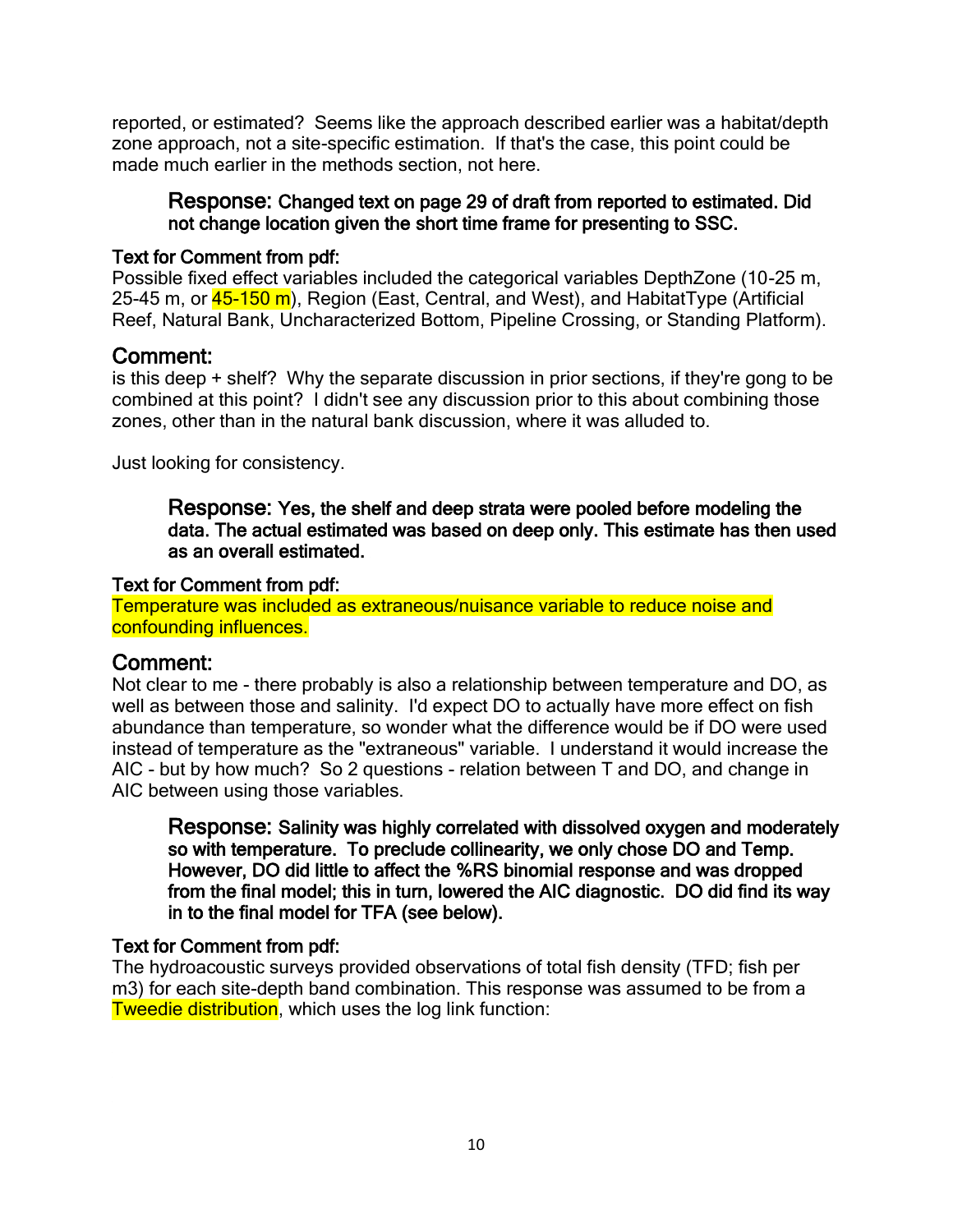reported, or estimated? Seems like the approach described earlier was a habitat/depth zone approach, not a site-specific estimation. If that's the case, this point could be made much earlier in the methods section, not here.

#### Response: Changed text on page 29 of draft from reported to estimated. Did not change location given the short time frame for presenting to SSC.

#### Text for Comment from pdf:

Possible fixed effect variables included the categorical variables DepthZone (10-25 m, 25-45 m, or **45-150 m**), Region (East, Central, and West), and HabitatType (Artificial Reef, Natural Bank, Uncharacterized Bottom, Pipeline Crossing, or Standing Platform).

### Comment:

is this deep + shelf? Why the separate discussion in prior sections, if they're gong to be combined at this point? I didn't see any discussion prior to this about combining those zones, other than in the natural bank discussion, where it was alluded to.

Just looking for consistency.

Response: Yes, the shelf and deep strata were pooled before modeling the data. The actual estimated was based on deep only. This estimate has then used as an overall estimated.

#### Text for Comment from pdf:

Temperature was included as extraneous/nuisance variable to reduce noise and confounding influences.

## Comment:

Not clear to me - there probably is also a relationship between temperature and DO, as well as between those and salinity. I'd expect DO to actually have more effect on fish abundance than temperature, so wonder what the difference would be if DO were used instead of temperature as the "extraneous" variable. I understand it would increase the AIC - but by how much? So 2 questions - relation between T and DO, and change in AIC between using those variables.

Response: Salinity was highly correlated with dissolved oxygen and moderately so with temperature. To preclude collinearity, we only chose DO and Temp. However, DO did little to affect the %RS binomial response and was dropped from the final model; this in turn, lowered the AIC diagnostic. DO did find its way in to the final model for TFA (see below).

#### Text for Comment from pdf:

The hydroacoustic surveys provided observations of total fish density (TFD; fish per m3) for each site-depth band combination. This response was assumed to be from a Tweedie distribution, which uses the log link function: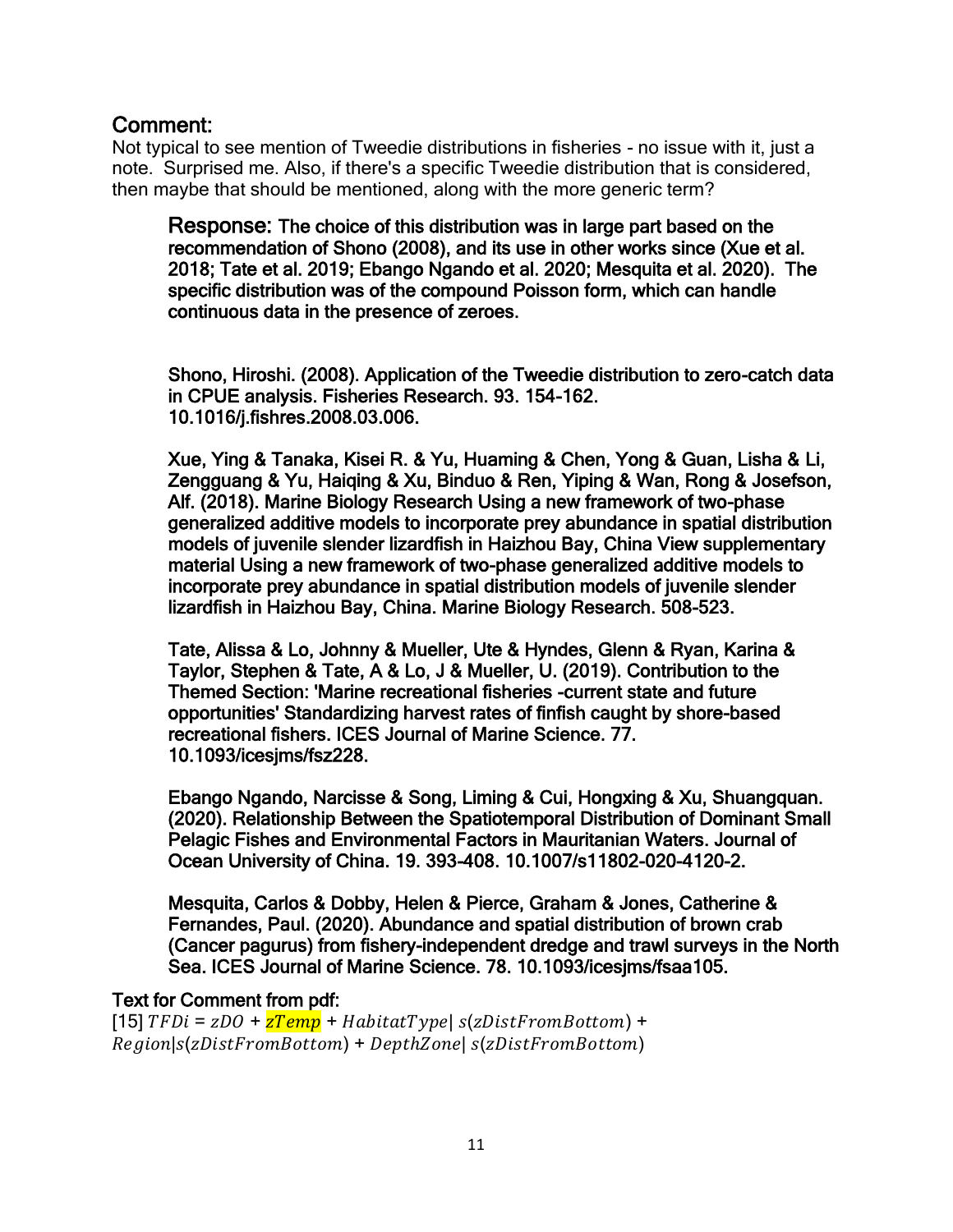Not typical to see mention of Tweedie distributions in fisheries - no issue with it, just a note. Surprised me. Also, if there's a specific Tweedie distribution that is considered, then maybe that should be mentioned, along with the more generic term?

Response: The choice of this distribution was in large part based on the recommendation of Shono (2008), and its use in other works since (Xue et al. 2018; Tate et al. 2019; Ebango Ngando et al. 2020; Mesquita et al. 2020). The specific distribution was of the compound Poisson form, which can handle continuous data in the presence of zeroes.

Shono, Hiroshi. (2008). Application of the Tweedie distribution to zero-catch data in CPUE analysis. Fisheries Research. 93. 154-162. 10.1016/j.fishres.2008.03.006.

Xue, Ying & Tanaka, Kisei R. & Yu, Huaming & Chen, Yong & Guan, Lisha & Li, Zengguang & Yu, Haiqing & Xu, Binduo & Ren, Yiping & Wan, Rong & Josefson, Alf. (2018). Marine Biology Research Using a new framework of two-phase generalized additive models to incorporate prey abundance in spatial distribution models of juvenile slender lizardfish in Haizhou Bay, China View supplementary material Using a new framework of two-phase generalized additive models to incorporate prey abundance in spatial distribution models of juvenile slender lizardfish in Haizhou Bay, China. Marine Biology Research. 508-523.

Tate, Alissa & Lo, Johnny & Mueller, Ute & Hyndes, Glenn & Ryan, Karina & Taylor, Stephen & Tate, A & Lo, J & Mueller, U. (2019). Contribution to the Themed Section: 'Marine recreational fisheries -current state and future opportunities' Standardizing harvest rates of finfish caught by shore-based recreational fishers. ICES Journal of Marine Science. 77. 10.1093/icesjms/fsz228.

Ebango Ngando, Narcisse & Song, Liming & Cui, Hongxing & Xu, Shuangquan. (2020). Relationship Between the Spatiotemporal Distribution of Dominant Small Pelagic Fishes and Environmental Factors in Mauritanian Waters. Journal of Ocean University of China. 19. 393-408. 10.1007/s11802-020-4120-2.

Mesquita, Carlos & Dobby, Helen & Pierce, Graham & Jones, Catherine & Fernandes, Paul. (2020). Abundance and spatial distribution of brown crab (Cancer pagurus) from fishery-independent dredge and trawl surveys in the North Sea. ICES Journal of Marine Science. 78. 10.1093/icesjms/fsaa105.

#### Text for Comment from pdf:

[15]  $TFDi = zDO + zTemp + HabitatType | s(zDistFromBottom) +$  $Region|s(zDistFromBottom) + DepthZone|s(zDistFromBottom)$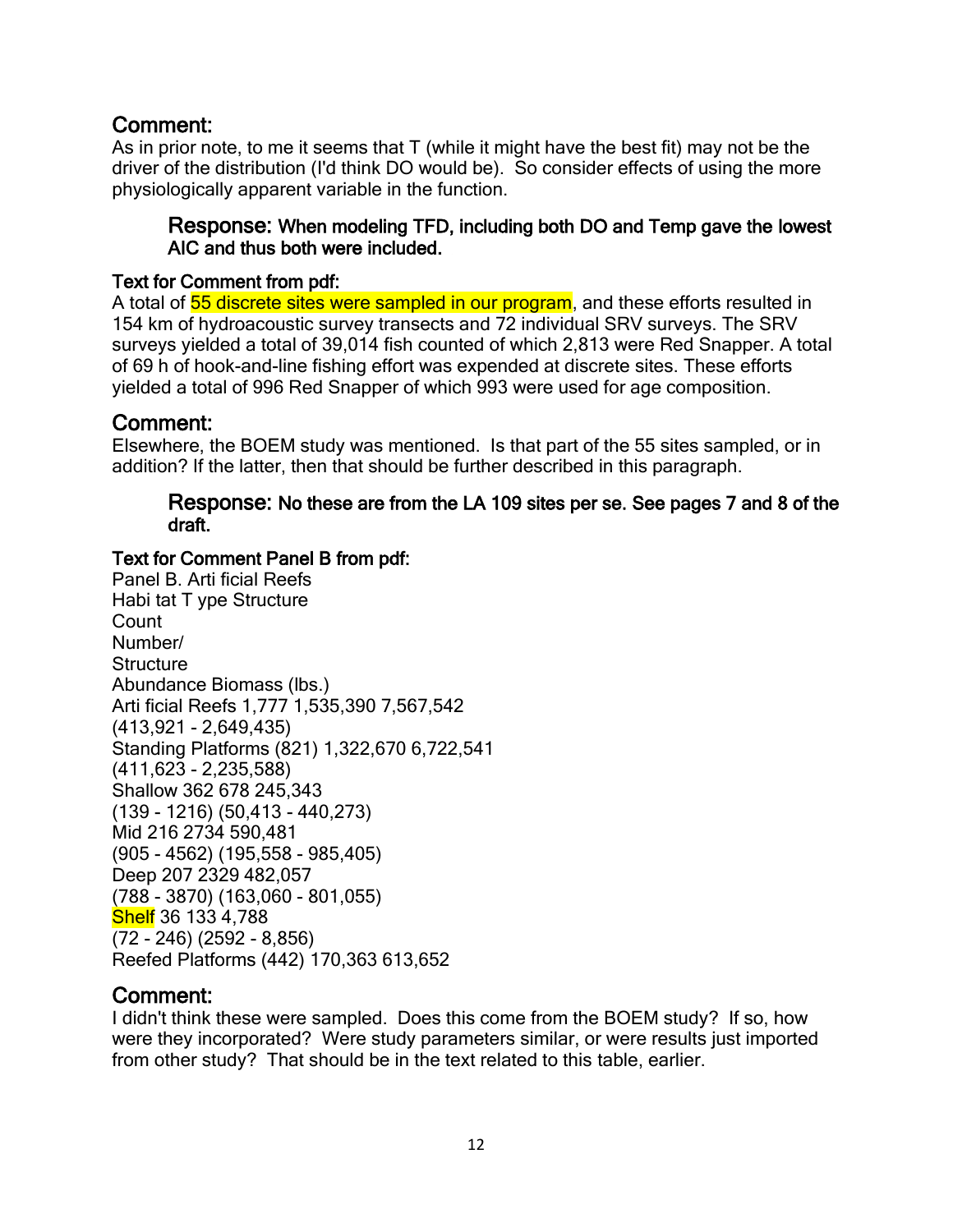As in prior note, to me it seems that T (while it might have the best fit) may not be the driver of the distribution (I'd think DO would be). So consider effects of using the more physiologically apparent variable in the function.

#### Response: When modeling TFD, including both DO and Temp gave the lowest AIC and thus both were included.

#### Text for Comment from pdf:

A total of  $\overline{55}$  discrete sites were sampled in our program, and these efforts resulted in 154 km of hydroacoustic survey transects and 72 individual SRV surveys. The SRV surveys yielded a total of 39,014 fish counted of which 2,813 were Red Snapper. A total of 69 h of hook-and-line fishing effort was expended at discrete sites. These efforts yielded a total of 996 Red Snapper of which 993 were used for age composition.

## Comment:

Elsewhere, the BOEM study was mentioned. Is that part of the 55 sites sampled, or in addition? If the latter, then that should be further described in this paragraph.

#### Response: No these are from the LA 109 sites per se. See pages 7 and 8 of the draft.

#### Text for Comment Panel B from pdf:

Panel B. Arti ficial Reefs Habi tat T ype Structure Count Number/ **Structure** Abundance Biomass (lbs.) Arti ficial Reefs 1,777 1,535,390 7,567,542 (413,921 - 2,649,435) Standing Platforms (821) 1,322,670 6,722,541 (411,623 - 2,235,588) Shallow 362 678 245,343 (139 - 1216) (50,413 - 440,273) Mid 216 2734 590,481 (905 - 4562) (195,558 - 985,405) Deep 207 2329 482,057 (788 - 3870) (163,060 - 801,055) Shelf 36 133 4,788 (72 - 246) (2592 - 8,856) Reefed Platforms (442) 170,363 613,652

## Comment:

I didn't think these were sampled. Does this come from the BOEM study? If so, how were they incorporated? Were study parameters similar, or were results just imported from other study? That should be in the text related to this table, earlier.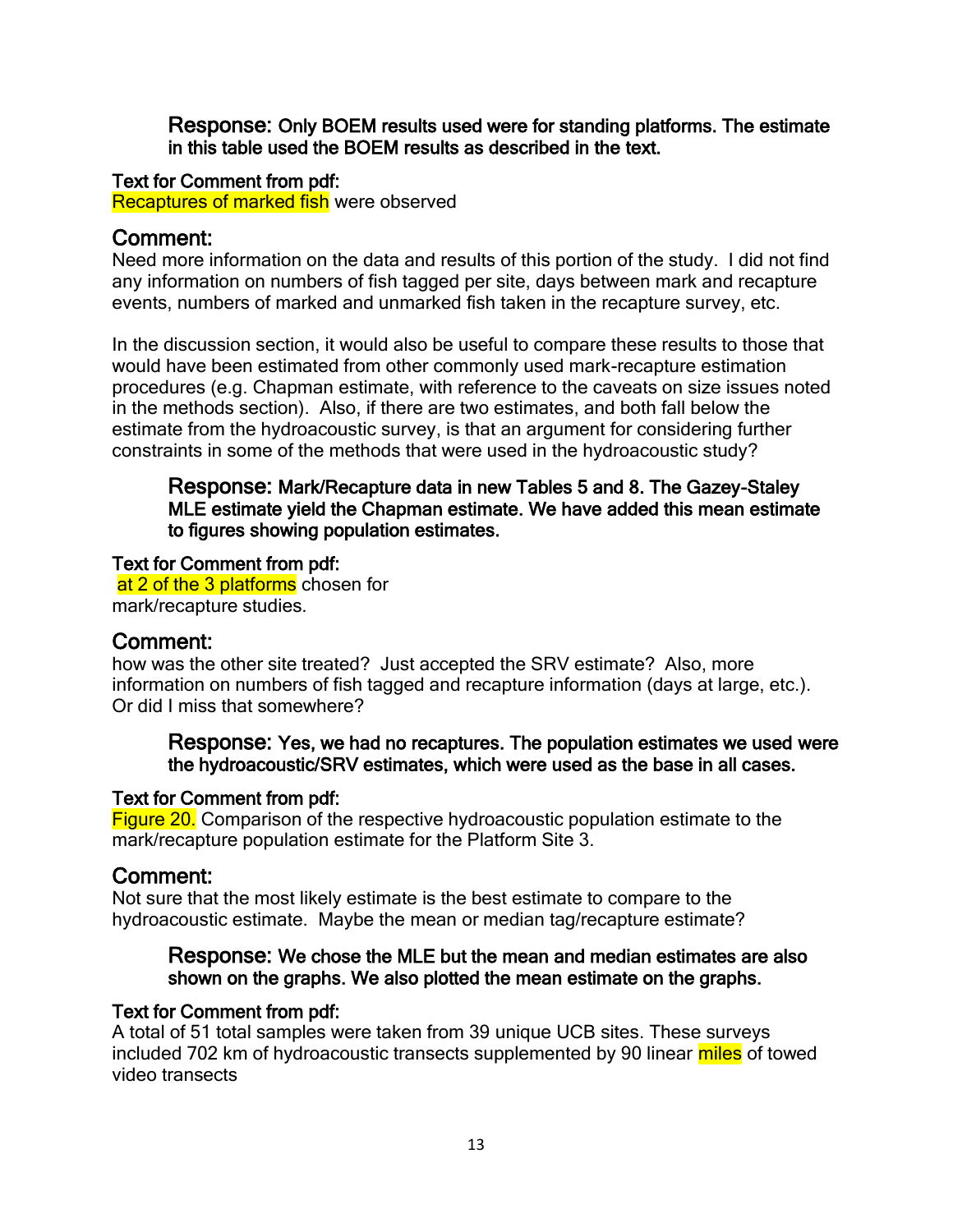Response: Only BOEM results used were for standing platforms. The estimate in this table used the BOEM results as described in the text.

#### Text for Comment from pdf:

Recaptures of marked fish were observed

### Comment:

Need more information on the data and results of this portion of the study. I did not find any information on numbers of fish tagged per site, days between mark and recapture events, numbers of marked and unmarked fish taken in the recapture survey, etc.

In the discussion section, it would also be useful to compare these results to those that would have been estimated from other commonly used mark-recapture estimation procedures (e.g. Chapman estimate, with reference to the caveats on size issues noted in the methods section). Also, if there are two estimates, and both fall below the estimate from the hydroacoustic survey, is that an argument for considering further constraints in some of the methods that were used in the hydroacoustic study?

#### Response: Mark/Recapture data in new Tables 5 and 8. The Gazey-Staley MLE estimate yield the Chapman estimate. We have added this mean estimate to figures showing population estimates.

#### Text for Comment from pdf:

at 2 of the 3 platforms chosen for mark/recapture studies.

## Comment:

how was the other site treated? Just accepted the SRV estimate? Also, more information on numbers of fish tagged and recapture information (days at large, etc.). Or did I miss that somewhere?

#### Response: Yes, we had no recaptures. The population estimates we used were the hydroacoustic/SRV estimates, which were used as the base in all cases.

#### Text for Comment from pdf:

**Figure 20.** Comparison of the respective hydroacoustic population estimate to the mark/recapture population estimate for the Platform Site 3.

#### Comment:

Not sure that the most likely estimate is the best estimate to compare to the hydroacoustic estimate. Maybe the mean or median tag/recapture estimate?

#### Response: We chose the MLE but the mean and median estimates are also shown on the graphs. We also plotted the mean estimate on the graphs.

#### Text for Comment from pdf:

A total of 51 total samples were taken from 39 unique UCB sites. These surveys included 702 km of hydroacoustic transects supplemented by 90 linear miles of towed video transects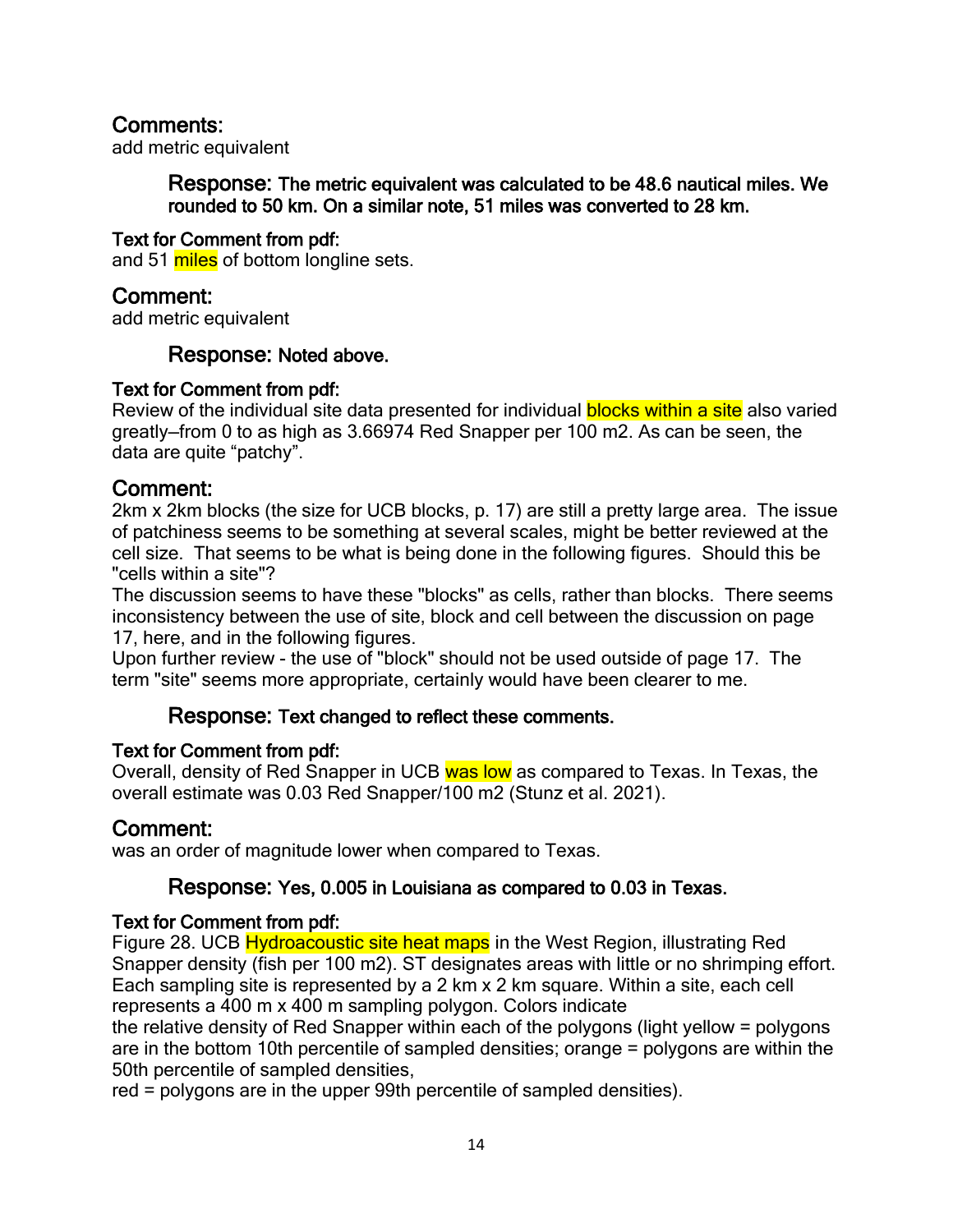add metric equivalent

Response: The metric equivalent was calculated to be 48.6 nautical miles. We rounded to 50 km. On a similar note, 51 miles was converted to 28 km.

#### Text for Comment from pdf:

and 51 miles of bottom longline sets.

## Comment:

add metric equivalent

#### Response: Noted above.

#### Text for Comment from pdf:

Review of the individual site data presented for individual **blocks within a site** also varied greatly—from 0 to as high as 3.66974 Red Snapper per 100 m2. As can be seen, the data are quite "patchy".

### Comment:

2km x 2km blocks (the size for UCB blocks, p. 17) are still a pretty large area. The issue of patchiness seems to be something at several scales, might be better reviewed at the cell size. That seems to be what is being done in the following figures. Should this be "cells within a site"?

The discussion seems to have these "blocks" as cells, rather than blocks. There seems inconsistency between the use of site, block and cell between the discussion on page 17, here, and in the following figures.

Upon further review - the use of "block" should not be used outside of page 17. The term "site" seems more appropriate, certainly would have been clearer to me.

#### Response: Text changed to reflect these comments.

#### Text for Comment from pdf:

Overall, density of Red Snapper in UCB was low as compared to Texas. In Texas, the overall estimate was 0.03 Red Snapper/100 m2 (Stunz et al. 2021).

## Comment:

was an order of magnitude lower when compared to Texas.

## Response: Yes, 0.005 in Louisiana as compared to 0.03 in Texas.

#### Text for Comment from pdf:

Figure 28. UCB **Hydroacoustic site heat maps** in the West Region, illustrating Red Snapper density (fish per 100 m2). ST designates areas with little or no shrimping effort. Each sampling site is represented by a 2 km x 2 km square. Within a site, each cell represents a 400 m x 400 m sampling polygon. Colors indicate

the relative density of Red Snapper within each of the polygons (light yellow = polygons are in the bottom 10th percentile of sampled densities; orange = polygons are within the 50th percentile of sampled densities,

red = polygons are in the upper 99th percentile of sampled densities).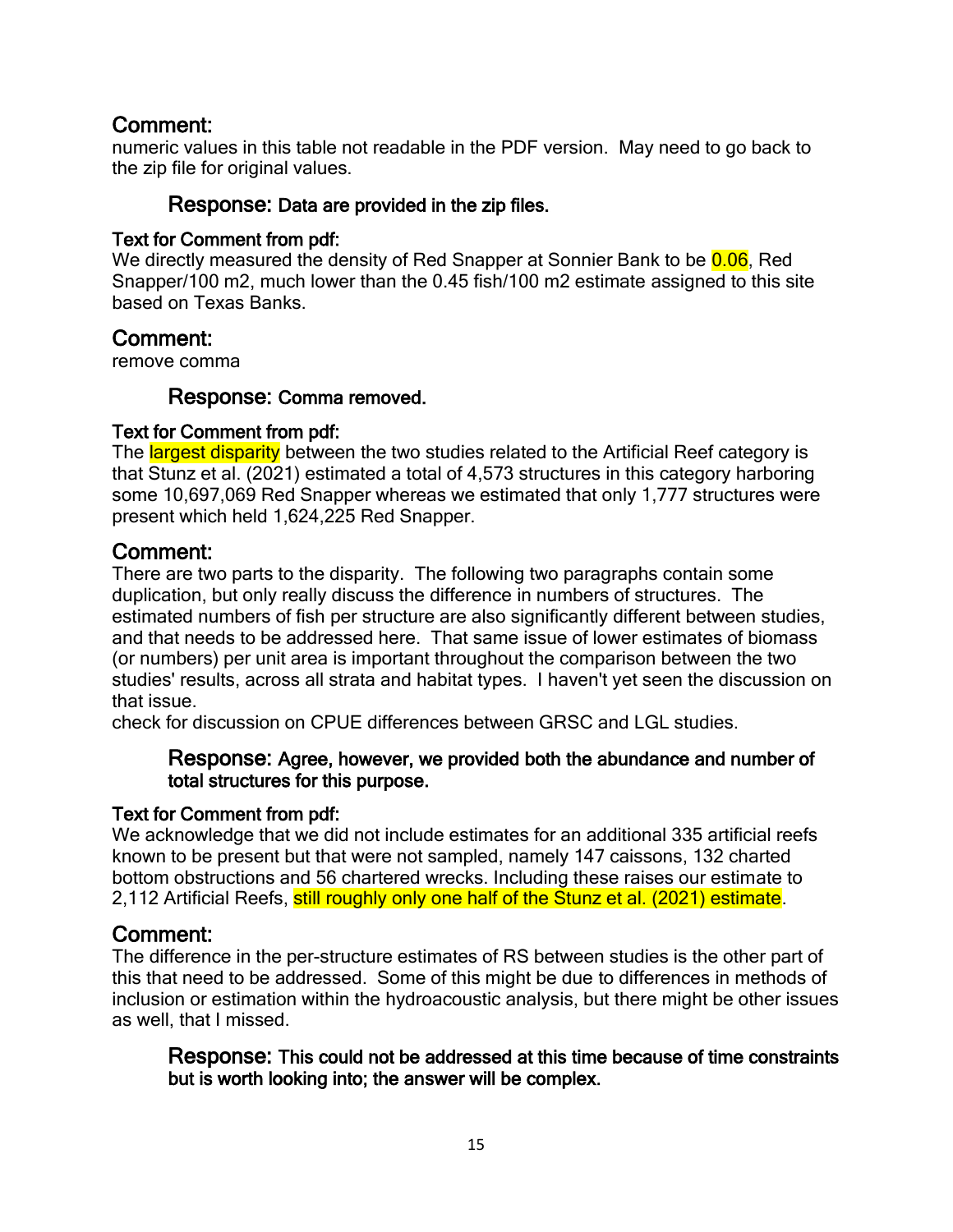numeric values in this table not readable in the PDF version. May need to go back to the zip file for original values.

#### Response: Data are provided in the zip files.

#### Text for Comment from pdf:

We directly measured the density of Red Snapper at Sonnier Bank to be **0.06**, Red Snapper/100 m2, much lower than the 0.45 fish/100 m2 estimate assigned to this site based on Texas Banks.

### Comment:

remove comma

#### Response: Comma removed.

#### Text for Comment from pdf:

The largest disparity between the two studies related to the Artificial Reef category is that Stunz et al. (2021) estimated a total of 4,573 structures in this category harboring some 10,697,069 Red Snapper whereas we estimated that only 1,777 structures were present which held 1,624,225 Red Snapper.

## Comment:

There are two parts to the disparity. The following two paragraphs contain some duplication, but only really discuss the difference in numbers of structures. The estimated numbers of fish per structure are also significantly different between studies, and that needs to be addressed here. That same issue of lower estimates of biomass (or numbers) per unit area is important throughout the comparison between the two studies' results, across all strata and habitat types. I haven't yet seen the discussion on that issue.

check for discussion on CPUE differences between GRSC and LGL studies.

#### Response: Agree, however, we provided both the abundance and number of total structures for this purpose.

#### Text for Comment from pdf:

We acknowledge that we did not include estimates for an additional 335 artificial reefs known to be present but that were not sampled, namely 147 caissons, 132 charted bottom obstructions and 56 chartered wrecks. Including these raises our estimate to 2,112 Artificial Reefs, still roughly only one half of the Stunz et al. (2021) estimate.

## Comment:

The difference in the per-structure estimates of RS between studies is the other part of this that need to be addressed. Some of this might be due to differences in methods of inclusion or estimation within the hydroacoustic analysis, but there might be other issues as well, that I missed.

Response: This could not be addressed at this time because of time constraints but is worth looking into; the answer will be complex.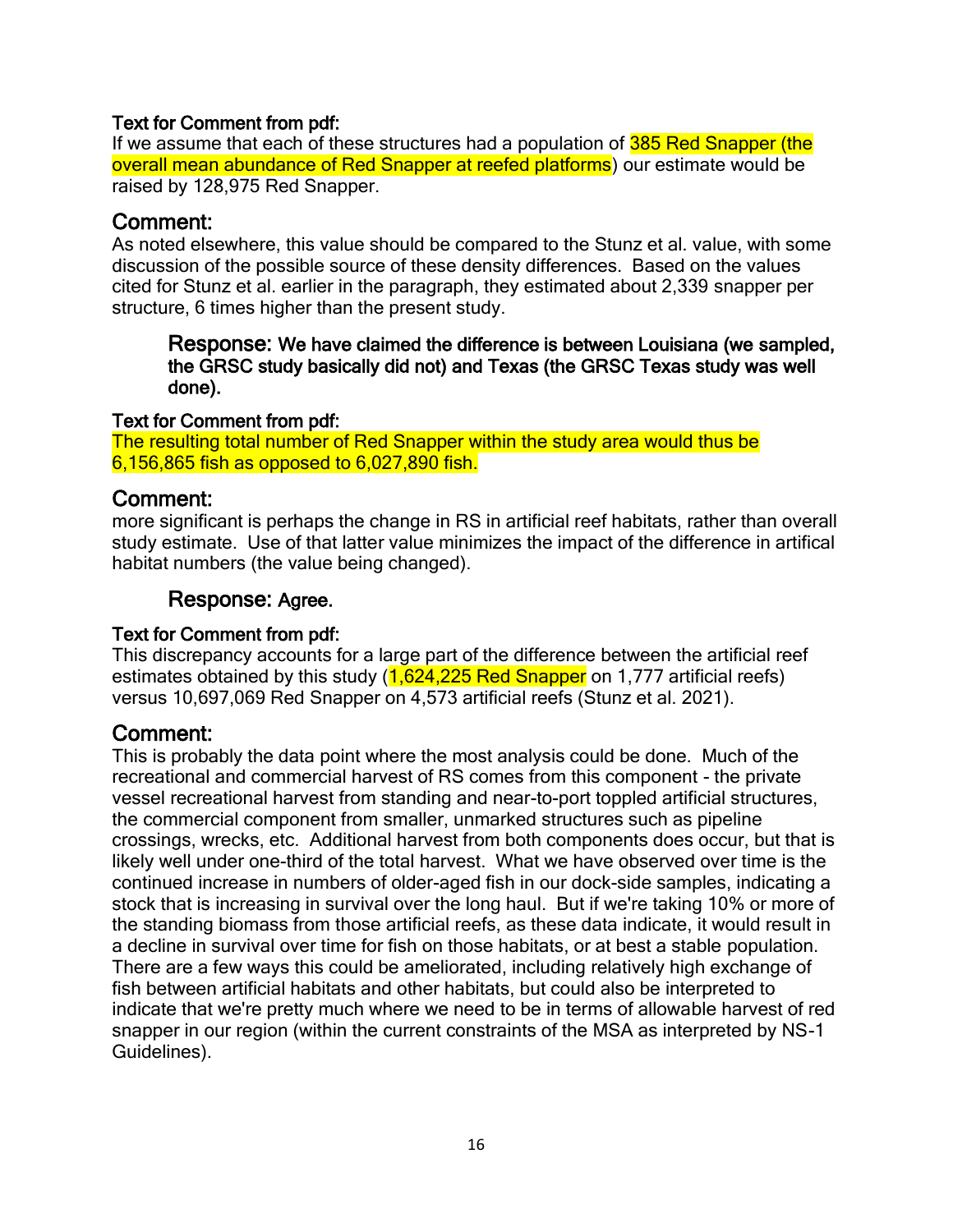#### Text for Comment from pdf:

If we assume that each of these structures had a population of 385 Red Snapper (the overall mean abundance of Red Snapper at reefed platforms) our estimate would be raised by 128,975 Red Snapper.

### Comment:

As noted elsewhere, this value should be compared to the Stunz et al. value, with some discussion of the possible source of these density differences. Based on the values cited for Stunz et al. earlier in the paragraph, they estimated about 2,339 snapper per structure, 6 times higher than the present study.

Response: We have claimed the difference is between Louisiana (we sampled, the GRSC study basically did not) and Texas (the GRSC Texas study was well done).

#### Text for Comment from pdf:

The resulting total number of Red Snapper within the study area would thus be 6,156,865 fish as opposed to 6,027,890 fish.

### Comment:

more significant is perhaps the change in RS in artificial reef habitats, rather than overall study estimate. Use of that latter value minimizes the impact of the difference in artifical habitat numbers (the value being changed).

### Response: Agree.

#### Text for Comment from pdf:

This discrepancy accounts for a large part of the difference between the artificial reef estimates obtained by this study (1,624,225 Red Snapper on 1,777 artificial reefs) versus 10,697,069 Red Snapper on 4,573 artificial reefs (Stunz et al. 2021).

## Comment:

This is probably the data point where the most analysis could be done. Much of the recreational and commercial harvest of RS comes from this component - the private vessel recreational harvest from standing and near-to-port toppled artificial structures, the commercial component from smaller, unmarked structures such as pipeline crossings, wrecks, etc. Additional harvest from both components does occur, but that is likely well under one-third of the total harvest. What we have observed over time is the continued increase in numbers of older-aged fish in our dock-side samples, indicating a stock that is increasing in survival over the long haul. But if we're taking 10% or more of the standing biomass from those artificial reefs, as these data indicate, it would result in a decline in survival over time for fish on those habitats, or at best a stable population. There are a few ways this could be ameliorated, including relatively high exchange of fish between artificial habitats and other habitats, but could also be interpreted to indicate that we're pretty much where we need to be in terms of allowable harvest of red snapper in our region (within the current constraints of the MSA as interpreted by NS-1 Guidelines).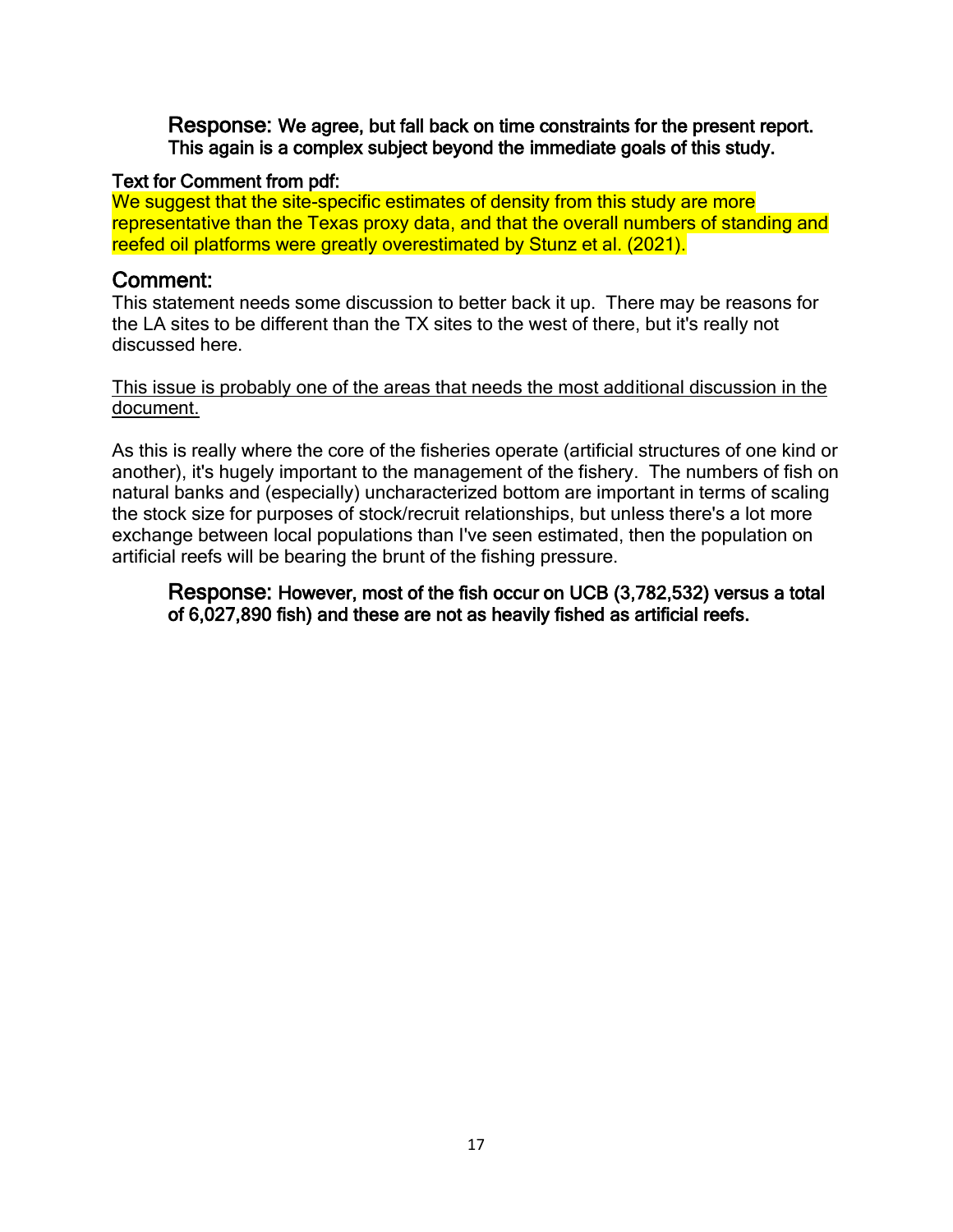Response: We agree, but fall back on time constraints for the present report. This again is a complex subject beyond the immediate goals of this study.

#### Text for Comment from pdf:

We suggest that the site-specific estimates of density from this study are more representative than the Texas proxy data, and that the overall numbers of standing and reefed oil platforms were greatly overestimated by Stunz et al. (2021).

### Comment:

This statement needs some discussion to better back it up. There may be reasons for the LA sites to be different than the TX sites to the west of there, but it's really not discussed here.

#### This issue is probably one of the areas that needs the most additional discussion in the document.

As this is really where the core of the fisheries operate (artificial structures of one kind or another), it's hugely important to the management of the fishery. The numbers of fish on natural banks and (especially) uncharacterized bottom are important in terms of scaling the stock size for purposes of stock/recruit relationships, but unless there's a lot more exchange between local populations than I've seen estimated, then the population on artificial reefs will be bearing the brunt of the fishing pressure.

#### Response: However, most of the fish occur on UCB (3,782,532) versus a total of 6,027,890 fish) and these are not as heavily fished as artificial reefs.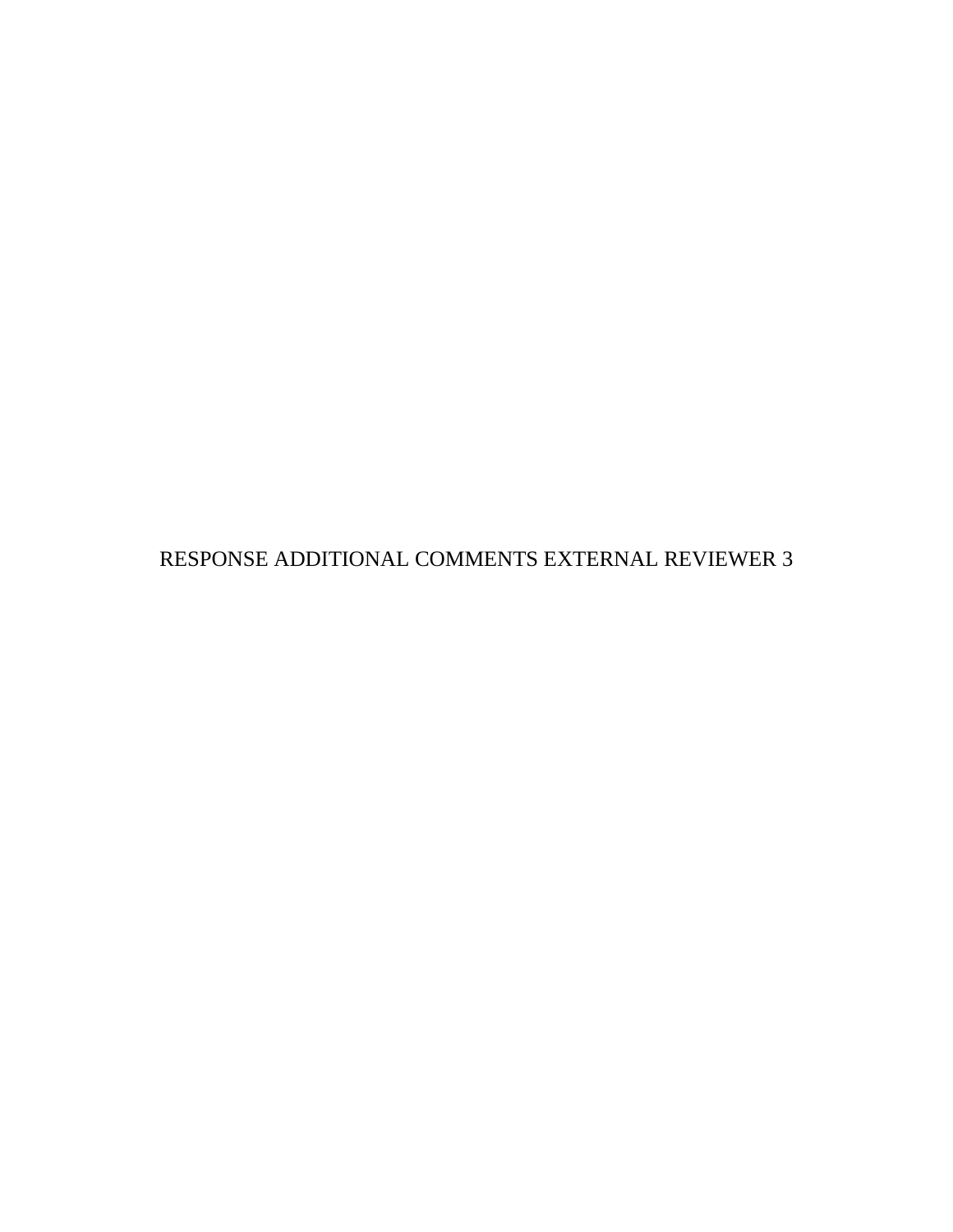RESPONSE ADDITIONAL COMMENTS EXTERNAL REVIEWER 3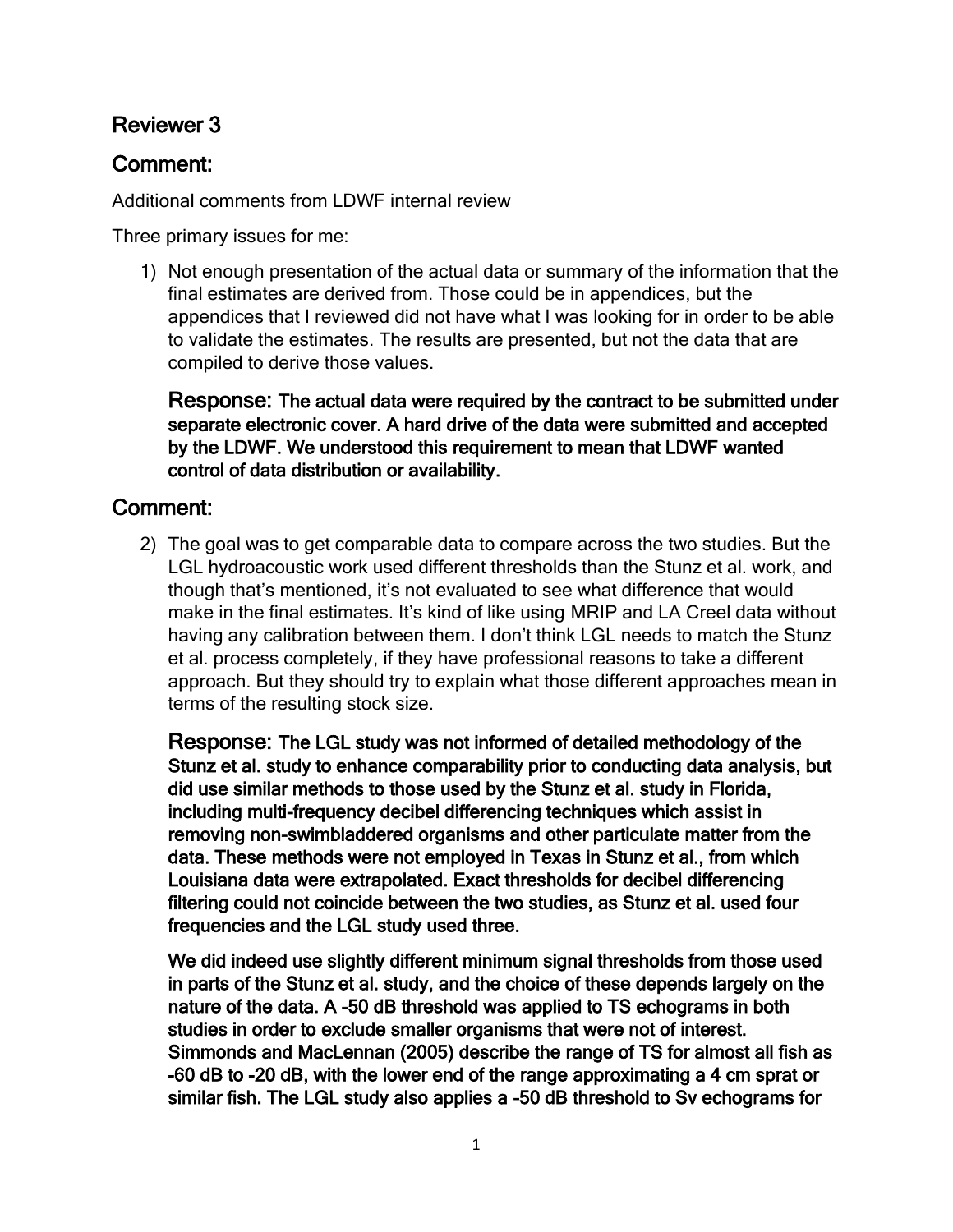# Reviewer 3

# Comment:

Additional comments from LDWF internal review

Three primary issues for me:

1) Not enough presentation of the actual data or summary of the information that the final estimates are derived from. Those could be in appendices, but the appendices that I reviewed did not have what I was looking for in order to be able to validate the estimates. The results are presented, but not the data that are compiled to derive those values.

Response: The actual data were required by the contract to be submitted under separate electronic cover. A hard drive of the data were submitted and accepted by the LDWF. We understood this requirement to mean that LDWF wanted control of data distribution or availability.

## Comment:

2) The goal was to get comparable data to compare across the two studies. But the LGL hydroacoustic work used different thresholds than the Stunz et al. work, and though that's mentioned, it's not evaluated to see what difference that would make in the final estimates. It's kind of like using MRIP and LA Creel data without having any calibration between them. I don't think LGL needs to match the Stunz et al. process completely, if they have professional reasons to take a different approach. But they should try to explain what those different approaches mean in terms of the resulting stock size.

Response: The LGL study was not informed of detailed methodology of the Stunz et al. study to enhance comparability prior to conducting data analysis, but did use similar methods to those used by the Stunz et al. study in Florida, including multi-frequency decibel differencing techniques which assist in removing non-swimbladdered organisms and other particulate matter from the data. These methods were not employed in Texas in Stunz et al., from which Louisiana data were extrapolated. Exact thresholds for decibel differencing filtering could not coincide between the two studies, as Stunz et al. used four frequencies and the LGL study used three.

We did indeed use slightly different minimum signal thresholds from those used in parts of the Stunz et al. study, and the choice of these depends largely on the nature of the data. A -50 dB threshold was applied to TS echograms in both studies in order to exclude smaller organisms that were not of interest. Simmonds and MacLennan (2005) describe the range of TS for almost all fish as -60 dB to -20 dB, with the lower end of the range approximating a 4 cm sprat or similar fish. The LGL study also applies a -50 dB threshold to Sv echograms for